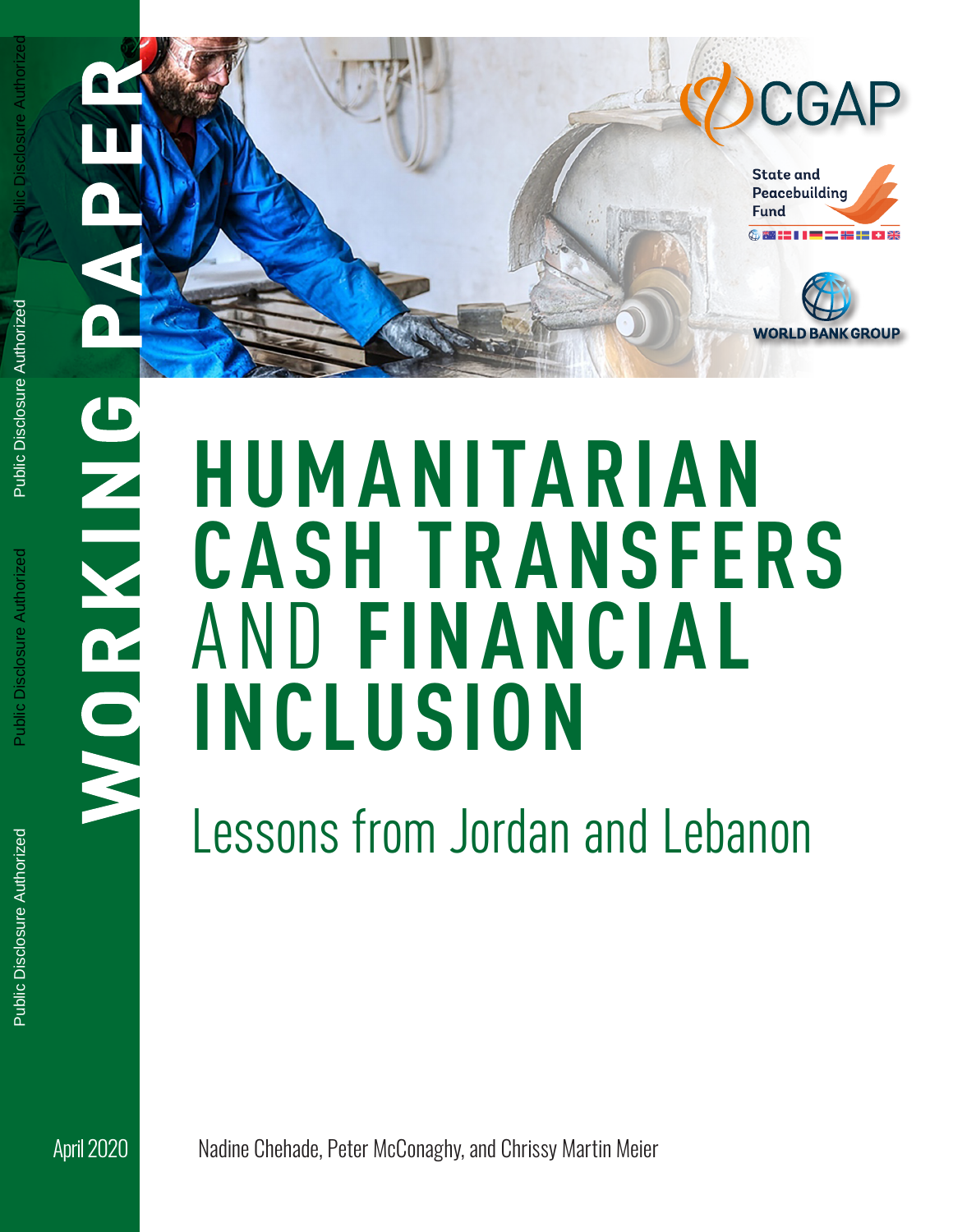

Public Disclosure Authorized

**SINNOV** 

# **HUMANITARIAN CASH TR ANSFERS**  AND **FINANCIAL INCLUSION**

Lessons from Jordan and Lebanon

April 2020 Nadine Chehade, Peter McConaghy, and Chrissy Martin Meier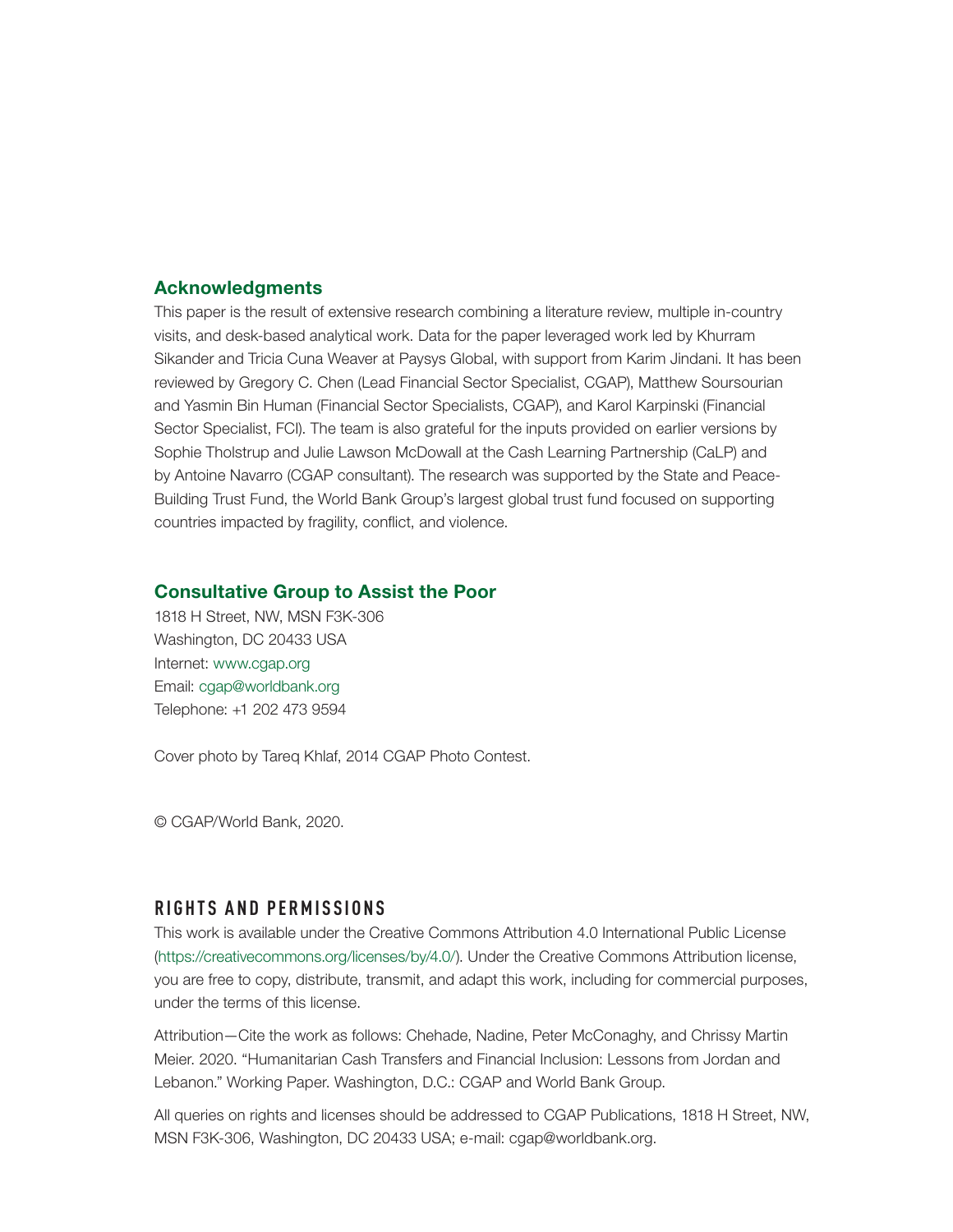#### Acknowledgments

This paper is the result of extensive research combining a literature review, multiple in-country visits, and desk-based analytical work. Data for the paper leveraged work led by Khurram Sikander and Tricia Cuna Weaver at Paysys Global, with support from Karim Jindani. It has been reviewed by Gregory C. Chen (Lead Financial Sector Specialist, CGAP), Matthew Soursourian and Yasmin Bin Human (Financial Sector Specialists, CGAP), and Karol Karpinski (Financial Sector Specialist, FCI). The team is also grateful for the inputs provided on earlier versions by Sophie Tholstrup and Julie Lawson McDowall at the Cash Learning Partnership (CaLP) and by Antoine Navarro (CGAP consultant). The research was supported by the State and Peace-Building Trust Fund, the World Bank Group's largest global trust fund focused on supporting countries impacted by fragility, conflict, and violence.

#### Consultative Group to Assist the Poor

1818 H Street, NW, MSN F3K-306 Washington, DC 20433 USA Internet: [www.cgap.org](http://www.cgap.org) Email: [cgap@worldbank.org](mailto:cgap@worldbank.org) Telephone: +1 202 473 9594

Cover photo by Tareq Khlaf, 2014 CGAP Photo Contest.

© CGAP/World Bank, 2020.

### **RIGHTS AND PERMISSIONS**

This work is available under the Creative Commons Attribution 4.0 International Public License (<https://creativecommons.org/licenses/by/4.0/>). Under the Creative Commons Attribution license, you are free to copy, distribute, transmit, and adapt this work, including for commercial purposes, under the terms of this license.

Attribution—Cite the work as follows: Chehade, Nadine, Peter McConaghy, and Chrissy Martin Meier. 2020. "Humanitarian Cash Transfers and Financial Inclusion: Lessons from Jordan and Lebanon." Working Paper. Washington, D.C.: CGAP and World Bank Group.

All queries on rights and licenses should be addressed to CGAP Publications, 1818 H Street, NW, MSN F3K-306, Washington, DC 20433 USA; e-mail: [cgap@worldbank.org](mailto:cgap@worldbank.org).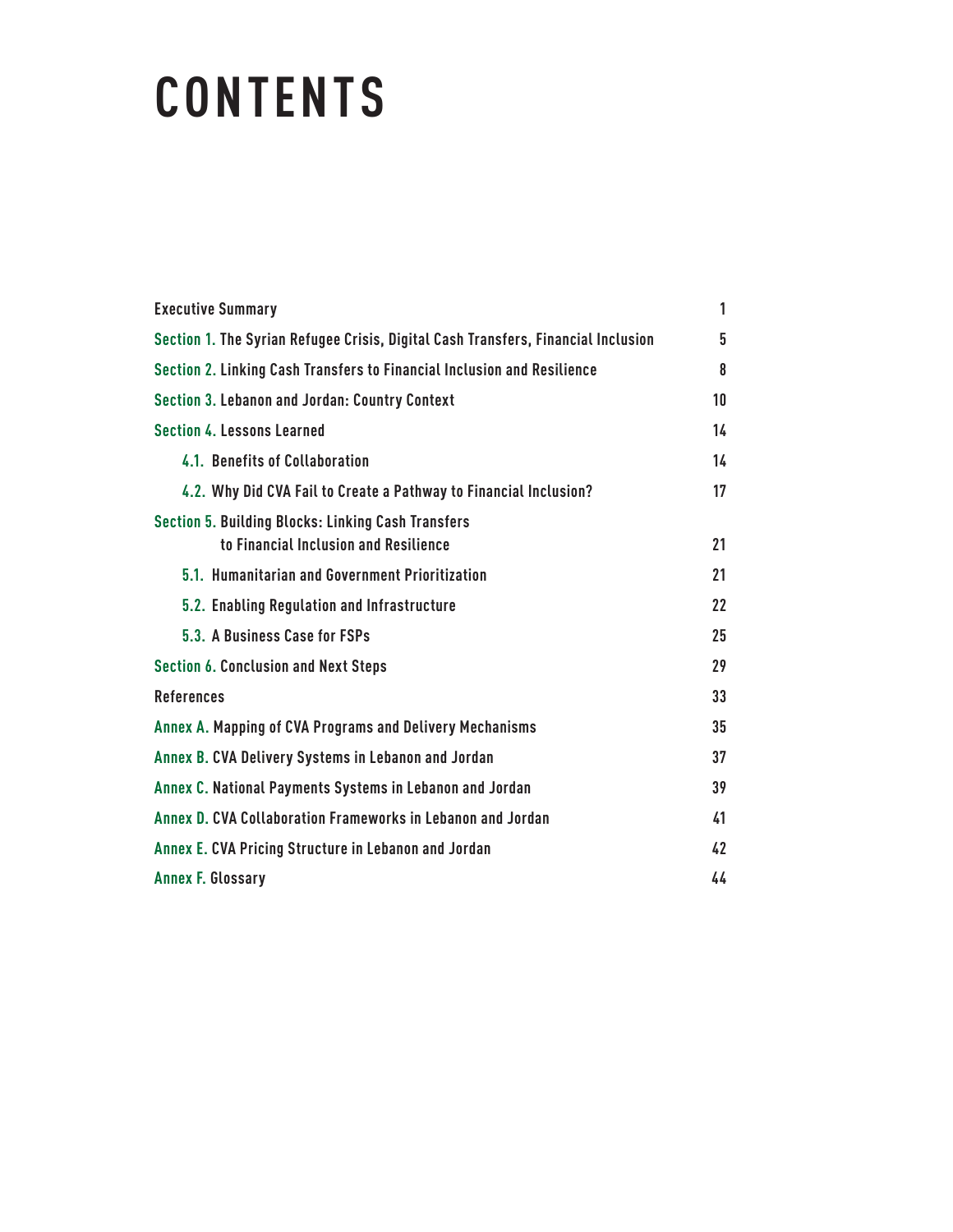# **CONTENTS**

| <b>Executive Summary</b>                                                                           | 1  |
|----------------------------------------------------------------------------------------------------|----|
| Section 1. The Syrian Refugee Crisis, Digital Cash Transfers, Financial Inclusion                  | 5  |
| Section 2. Linking Cash Transfers to Financial Inclusion and Resilience                            | 8  |
| <b>Section 3. Lebanon and Jordan: Country Context</b>                                              | 10 |
| <b>Section 4. Lessons Learned</b>                                                                  | 14 |
| 4.1. Benefits of Collaboration                                                                     | 14 |
| 4.2. Why Did CVA Fail to Create a Pathway to Financial Inclusion?                                  | 17 |
| <b>Section 5. Building Blocks: Linking Cash Transfers</b><br>to Financial Inclusion and Resilience | 21 |
| 5.1. Humanitarian and Government Prioritization                                                    | 21 |
| 5.2. Enabling Regulation and Infrastructure                                                        | 22 |
| 5.3. A Business Case for FSPs                                                                      | 25 |
| <b>Section 6. Conclusion and Next Steps</b>                                                        | 29 |
| <b>References</b>                                                                                  | 33 |
| Annex A. Mapping of CVA Programs and Delivery Mechanisms                                           | 35 |
| Annex B. CVA Delivery Systems in Lebanon and Jordan                                                | 37 |
| Annex C. National Payments Systems in Lebanon and Jordan                                           | 39 |
| Annex D. CVA Collaboration Frameworks in Lebanon and Jordan                                        | 41 |
| Annex E. CVA Pricing Structure in Lebanon and Jordan                                               | 42 |
| <b>Annex F. Glossary</b>                                                                           | 44 |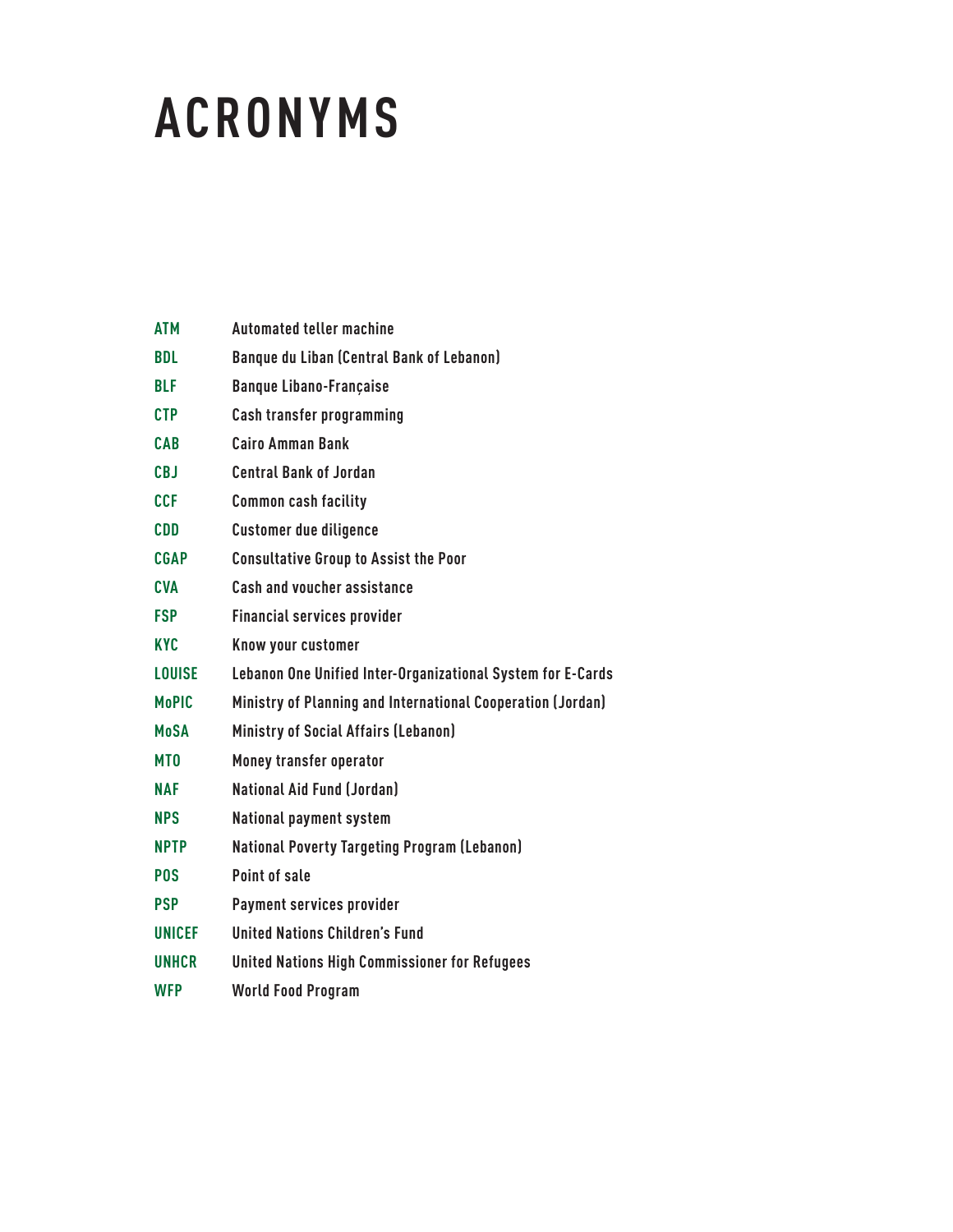# **ACRONYMS**

| <b>ATM</b>      | <b>Automated teller machine</b>                             |
|-----------------|-------------------------------------------------------------|
| <b>BDL</b>      | <b>Banque du Liban (Central Bank of Lebanon)</b>            |
| <b>BLF</b>      | <b>Banque Libano-Française</b>                              |
| <b>CTP</b>      | Cash transfer programming                                   |
| <b>CAB</b>      | <b>Cairo Amman Bank</b>                                     |
| <b>CBJ</b>      | <b>Central Bank of Jordan</b>                               |
| <b>CCF</b>      | <b>Common cash facility</b>                                 |
| <b>CDD</b>      | <b>Customer due diligence</b>                               |
| <b>CGAP</b>     | <b>Consultative Group to Assist the Poor</b>                |
| <b>CVA</b>      | <b>Cash and voucher assistance</b>                          |
| <b>FSP</b>      | <b>Financial services provider</b>                          |
| <b>KYC</b>      | Know your customer                                          |
| <b>LOUISE</b>   | Lebanon One Unified Inter-Organizational System for E-Cards |
| <b>MoPIC</b>    | Ministry of Planning and International Cooperation (Jordan) |
| <b>MoSA</b>     | Ministry of Social Affairs (Lebanon)                        |
| MT <sub>0</sub> | Money transfer operator                                     |
| <b>NAF</b>      | <b>National Aid Fund (Jordan)</b>                           |
| <b>NPS</b>      | <b>National payment system</b>                              |
| <b>NPTP</b>     | <b>National Poverty Targeting Program (Lebanon)</b>         |
| <b>POS</b>      | Point of sale                                               |
| <b>PSP</b>      | Payment services provider                                   |
| <b>UNICEF</b>   | <b>United Nations Children's Fund</b>                       |
| <b>UNHCR</b>    | <b>United Nations High Commissioner for Refugees</b>        |
| <b>WFP</b>      | <b>World Food Program</b>                                   |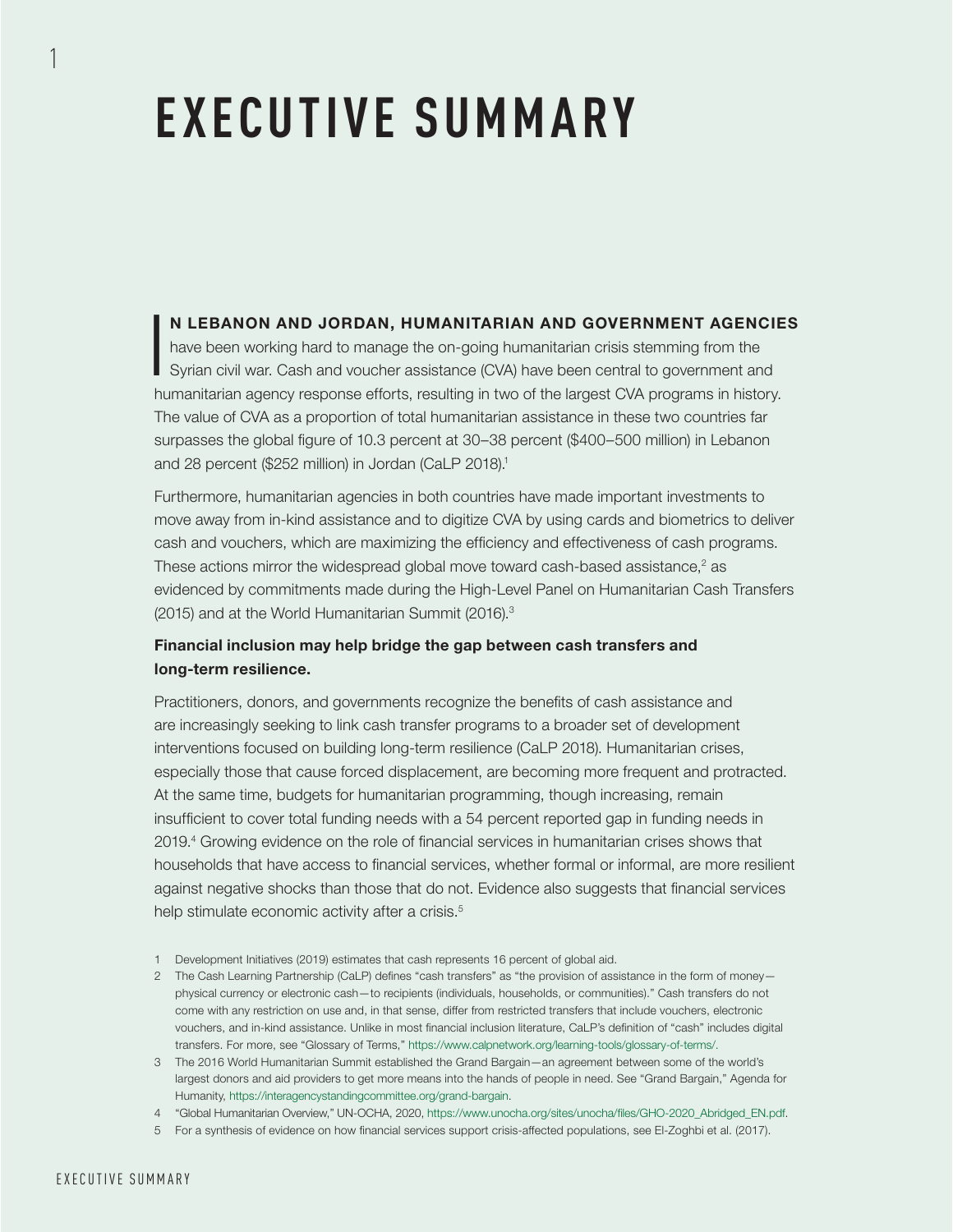# **EXECUTIVE SUMMARY**

### N LEBANON AND JORDAN, HUMANITARIAN AND GOVERNMENT AGENCIES

I have been working hard to manage the on-going humanitarian crisis stemming from the Syrian civil war. Cash and voucher assistance (CVA) have been central to government and humanitarian agency response efforts, resulting in two of the largest CVA programs in history. The value of CVA as a proportion of total humanitarian assistance in these two countries far surpasses the global figure of 10.3 percent at 30–38 percent (\$400–500 million) in Lebanon and 28 percent (\$252 million) in Jordan (CaLP 2018).<sup>1</sup>

Furthermore, humanitarian agencies in both countries have made important investments to move away from in-kind assistance and to digitize CVA by using cards and biometrics to deliver cash and vouchers, which are maximizing the efficiency and effectiveness of cash programs. These actions mirror the widespread global move toward cash-based assistance, $^2$  as evidenced by commitments made during the High-Level Panel on Humanitarian Cash Transfers (2015) and at the World Humanitarian Summit (2016).3

### Financial inclusion may help bridge the gap between cash transfers and long-term resilience.

Practitioners, donors, and governments recognize the benefits of cash assistance and are increasingly seeking to link cash transfer programs to a broader set of development interventions focused on building long-term resilience (CaLP 2018). Humanitarian crises, especially those that cause forced displacement, are becoming more frequent and protracted. At the same time, budgets for humanitarian programming, though increasing, remain insufficient to cover total funding needs with a 54 percent reported gap in funding needs in 2019.4 Growing evidence on the role of financial services in humanitarian crises shows that households that have access to financial services, whether formal or informal, are more resilient against negative shocks than those that do not. Evidence also suggests that financial services help stimulate economic activity after a crisis.<sup>5</sup>

- 1 Development Initiatives (2019) estimates that cash represents 16 percent of global aid.
- 2 The Cash Learning Partnership (CaLP) defines "cash transfers" as "the provision of assistance in the form of money physical currency or electronic cash—to recipients (individuals, households, or communities)." Cash transfers do not come with any restriction on use and, in that sense, differ from restricted transfers that include vouchers, electronic vouchers, and in-kind assistance. Unlike in most financial inclusion literature, CaLP's definition of "cash" includes digital transfers. For more, see "Glossary of Terms," [https://www.calpnetwork.org/learning-tools/glossary-of-terms/.](https://www.calpnetwork.org/learning-tools/glossary-of-terms/)
- 3 The 2016 World Humanitarian Summit established the Grand Bargain—an agreement between some of the world's largest donors and aid providers to get more means into the hands of people in need. See "Grand Bargain," Agenda for Humanity, [https://interagencystandingcommittee.org/grand-bargain.](https://interagencystandingcommittee.org/grand-bargain)
- 4 "Global Humanitarian Overview," UN-OCHA, 2020, [https://www.unocha.org/sites/unocha/files/GHO-2020\\_Abridged\\_EN.pdf.](https://www.unocha.org/sites/unocha/files/GHO-2020_Abridged_EN.pdf)
- 5 For a synthesis of evidence on how financial services support crisis-affected populations, see El-Zoghbi et al. (2017).

1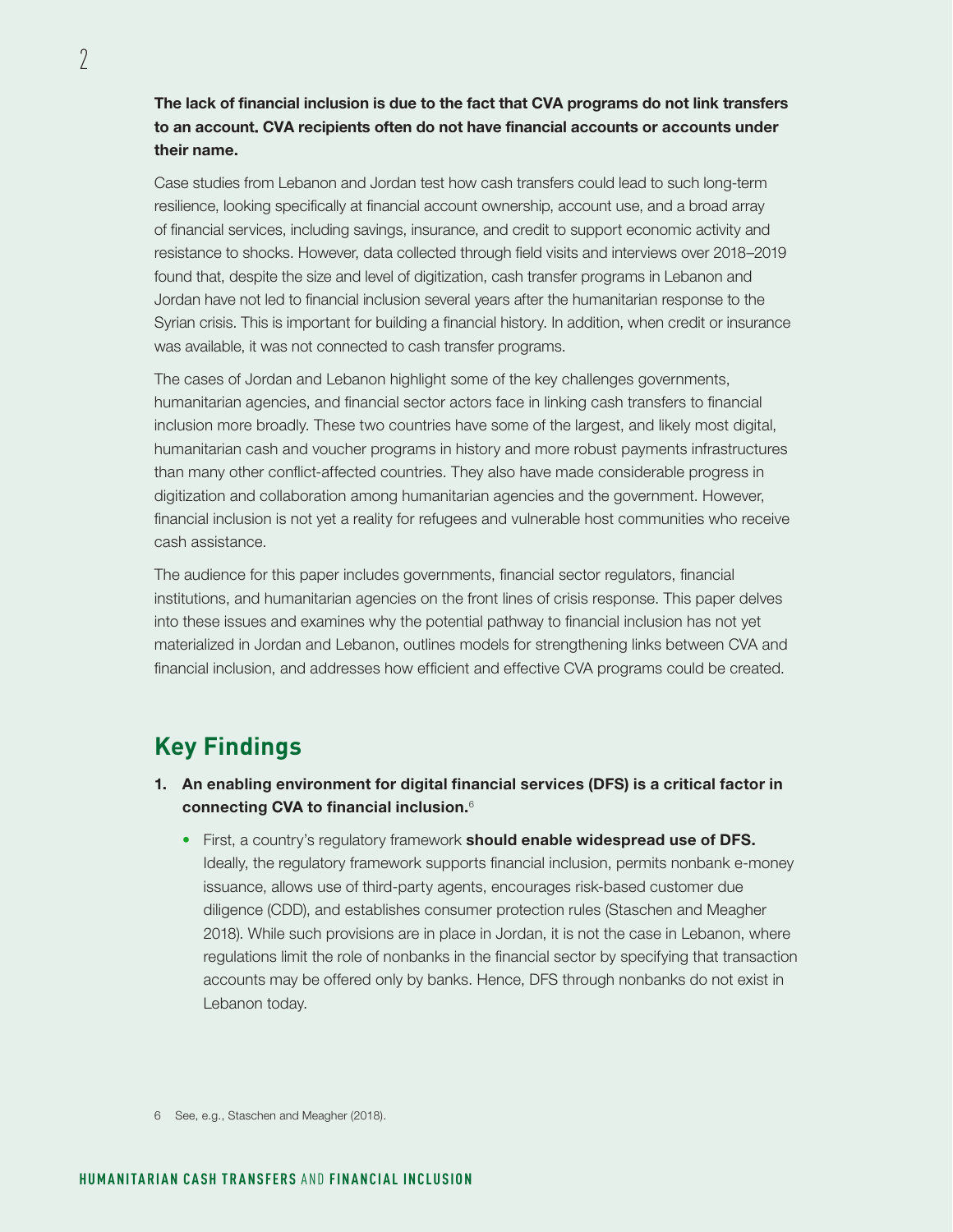The lack of financial inclusion is due to the fact that CVA programs do not link transfers to an account. CVA recipients often do not have financial accounts or accounts under their name.

Case studies from Lebanon and Jordan test how cash transfers could lead to such long-term resilience, looking specifically at financial account ownership, account use, and a broad array of financial services, including savings, insurance, and credit to support economic activity and resistance to shocks. However, data collected through field visits and interviews over 2018–2019 found that, despite the size and level of digitization, cash transfer programs in Lebanon and Jordan have not led to financial inclusion several years after the humanitarian response to the Syrian crisis. This is important for building a financial history. In addition, when credit or insurance was available, it was not connected to cash transfer programs.

The cases of Jordan and Lebanon highlight some of the key challenges governments, humanitarian agencies, and financial sector actors face in linking cash transfers to financial inclusion more broadly. These two countries have some of the largest, and likely most digital, humanitarian cash and voucher programs in history and more robust payments infrastructures than many other conflict-affected countries. They also have made considerable progress in digitization and collaboration among humanitarian agencies and the government. However, financial inclusion is not yet a reality for refugees and vulnerable host communities who receive cash assistance.

The audience for this paper includes governments, financial sector regulators, financial institutions, and humanitarian agencies on the front lines of crisis response. This paper delves into these issues and examines why the potential pathway to financial inclusion has not yet materialized in Jordan and Lebanon, outlines models for strengthening links between CVA and financial inclusion, and addresses how efficient and effective CVA programs could be created.

### **Key Findings**

- 1. An enabling environment for digital financial services (DFS) is a critical factor in connecting CVA to financial inclusion.<sup>6</sup>
	- First, a country's regulatory framework **should enable widespread use of DFS.** Ideally, the regulatory framework supports financial inclusion, permits nonbank e-money issuance, allows use of third-party agents, encourages risk-based customer due diligence (CDD), and establishes consumer protection rules (Staschen and Meagher 2018). While such provisions are in place in Jordan, it is not the case in Lebanon, where regulations limit the role of nonbanks in the financial sector by specifying that transaction accounts may be offered only by banks. Hence, DFS through nonbanks do not exist in Lebanon today.

<sup>6</sup> See, e.g., Staschen and Meagher (2018).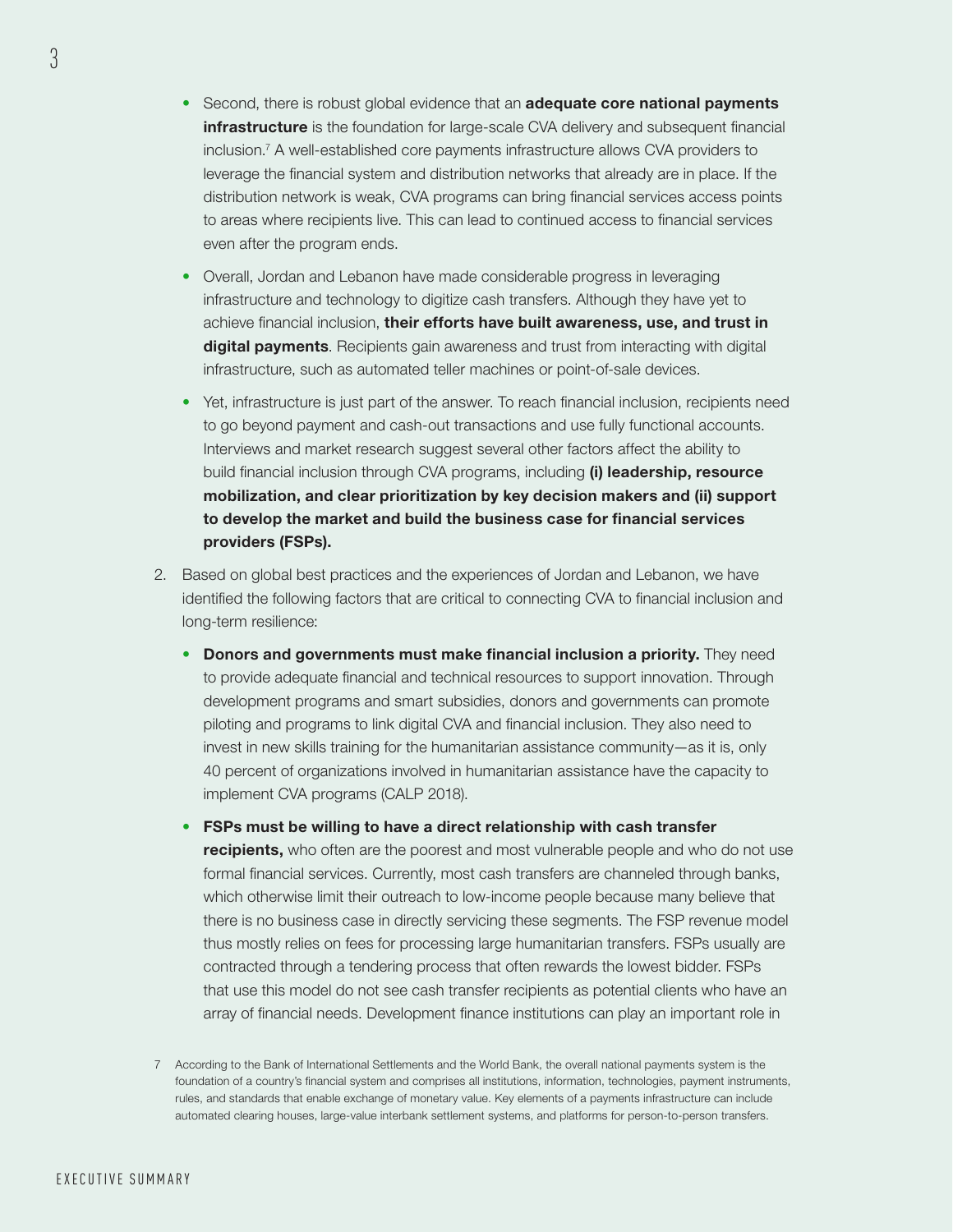- Second, there is robust global evidence that an **adequate core national payments** infrastructure is the foundation for large-scale CVA delivery and subsequent financial inclusion.7 A well-established core payments infrastructure allows CVA providers to leverage the financial system and distribution networks that already are in place. If the distribution network is weak, CVA programs can bring financial services access points to areas where recipients live. This can lead to continued access to financial services even after the program ends.
- Overall, Jordan and Lebanon have made considerable progress in leveraging infrastructure and technology to digitize cash transfers. Although they have yet to achieve financial inclusion, their efforts have built awareness, use, and trust in digital payments. Recipients gain awareness and trust from interacting with digital infrastructure, such as automated teller machines or point-of-sale devices.
- Yet, infrastructure is just part of the answer. To reach financial inclusion, recipients need to go beyond payment and cash-out transactions and use fully functional accounts. Interviews and market research suggest several other factors affect the ability to build financial inclusion through CVA programs, including (i) leadership, resource mobilization, and clear prioritization by key decision makers and (ii) support to develop the market and build the business case for financial services providers (FSPs).
- 2. Based on global best practices and the experiences of Jordan and Lebanon, we have identified the following factors that are critical to connecting CVA to financial inclusion and long-term resilience:
	- Donors and governments must make financial inclusion a priority. They need to provide adequate financial and technical resources to support innovation. Through development programs and smart subsidies, donors and governments can promote piloting and programs to link digital CVA and financial inclusion. They also need to invest in new skills training for the humanitarian assistance community—as it is, only 40 percent of organizations involved in humanitarian assistance have the capacity to implement CVA programs (CALP 2018).
	- FSPs must be willing to have a direct relationship with cash transfer recipients, who often are the poorest and most vulnerable people and who do not use formal financial services. Currently, most cash transfers are channeled through banks, which otherwise limit their outreach to low-income people because many believe that there is no business case in directly servicing these segments. The FSP revenue model thus mostly relies on fees for processing large humanitarian transfers. FSPs usually are contracted through a tendering process that often rewards the lowest bidder. FSPs that use this model do not see cash transfer recipients as potential clients who have an array of financial needs. Development finance institutions can play an important role in
- 7 According to the Bank of International Settlements and the World Bank, the overall national payments system is the foundation of a country's financial system and comprises all institutions, information, technologies, payment instruments, rules, and standards that enable exchange of monetary value. Key elements of a payments infrastructure can include automated clearing houses, large-value interbank settlement systems, and platforms for person-to-person transfers.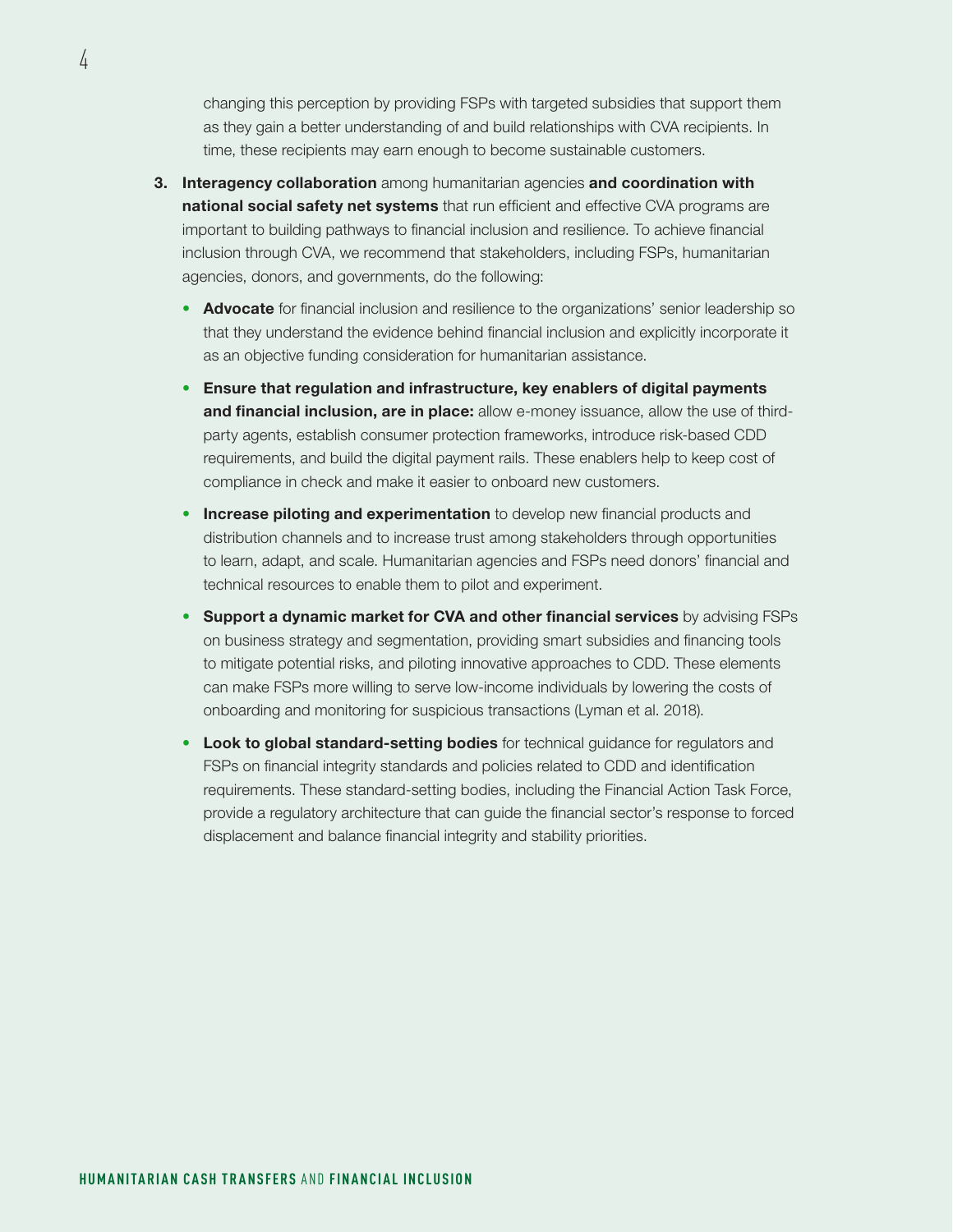changing this perception by providing FSPs with targeted subsidies that support them as they gain a better understanding of and build relationships with CVA recipients. In time, these recipients may earn enough to become sustainable customers.

- **3.** Interagency collaboration among humanitarian agencies and coordination with national social safety net systems that run efficient and effective CVA programs are important to building pathways to financial inclusion and resilience. To achieve financial inclusion through CVA, we recommend that stakeholders, including FSPs, humanitarian agencies, donors, and governments, do the following:
	- Advocate for financial inclusion and resilience to the organizations' senior leadership so that they understand the evidence behind financial inclusion and explicitly incorporate it as an objective funding consideration for humanitarian assistance.
	- Ensure that regulation and infrastructure, key enablers of digital payments and financial inclusion, are in place: allow e-money issuance, allow the use of thirdparty agents, establish consumer protection frameworks, introduce risk-based CDD requirements, and build the digital payment rails. These enablers help to keep cost of compliance in check and make it easier to onboard new customers.
	- Increase piloting and experimentation to develop new financial products and distribution channels and to increase trust among stakeholders through opportunities to learn, adapt, and scale. Humanitarian agencies and FSPs need donors' financial and technical resources to enable them to pilot and experiment.
	- Support a dynamic market for CVA and other financial services by advising FSPs on business strategy and segmentation, providing smart subsidies and financing tools to mitigate potential risks, and piloting innovative approaches to CDD. These elements can make FSPs more willing to serve low-income individuals by lowering the costs of onboarding and monitoring for suspicious transactions (Lyman et al. 2018).
	- Look to global standard-setting bodies for technical guidance for regulators and FSPs on financial integrity standards and policies related to CDD and identification requirements. These standard-setting bodies, including the Financial Action Task Force, provide a regulatory architecture that can guide the financial sector's response to forced displacement and balance financial integrity and stability priorities.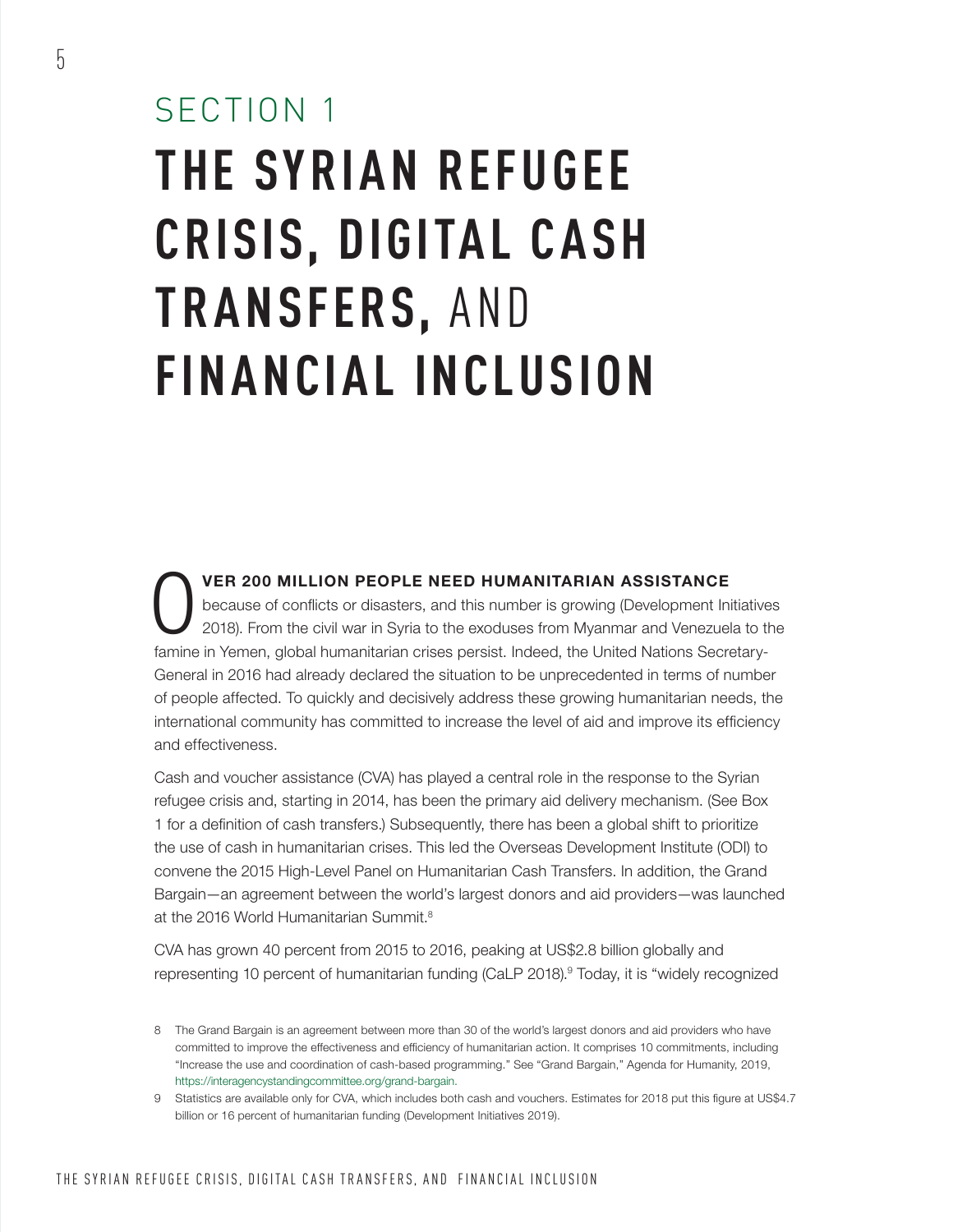# SECTION 1 **THE SYRIAN REFUGEE CRISIS, DIGITAL CASH TRANSFERS,** AND **FINANCIAL INCLUSION**

VER 200 MILLION PEOPLE NEED HUMANITARIAN ASSISTANCE<br>because of conflicts or disasters, and this number is growing (Development Ini<br>2018). From the civil war in Syria to the exoduses from Myanmar and Venezuel because of conflicts or disasters, and this number is growing (Development Initiatives 2018). From the civil war in Syria to the exoduses from Myanmar and Venezuela to the famine in Yemen, global humanitarian crises persist. Indeed, the United Nations Secretary-General in 2016 had already declared the situation to be unprecedented in terms of number of people affected. To quickly and decisively address these growing humanitarian needs, the international community has committed to increase the level of aid and improve its efficiency and effectiveness.

Cash and voucher assistance (CVA) has played a central role in the response to the Syrian refugee crisis and, starting in 2014, has been the primary aid delivery mechanism. (See Box 1 for a definition of cash transfers.) Subsequently, there has been a global shift to prioritize the use of cash in humanitarian crises. This led the Overseas Development Institute (ODI) to convene the 2015 High-Level Panel on Humanitarian Cash Transfers. In addition, the Grand Bargain—an agreement between the world's largest donors and aid providers—was launched at the 2016 World Humanitarian Summit<sup>8</sup>

CVA has grown 40 percent from 2015 to 2016, peaking at US\$2.8 billion globally and representing 10 percent of humanitarian funding (CaLP 2018).<sup>9</sup> Today, it is "widely recognized

<sup>8</sup> The Grand Bargain is an agreement between more than 30 of the world's largest donors and aid providers who have committed to improve the effectiveness and efficiency of humanitarian action. It comprises 10 commitments, including "Increase the use and coordination of cash-based programming." See "Grand Bargain," Agenda for Humanity, 2019, [https://interagencystandingcommittee.org/grand-bargain.](https://interagencystandingcommittee.org/grand-bargain)

<sup>9</sup> Statistics are available only for CVA, which includes both cash and vouchers. Estimates for 2018 put this figure at US\$4.7 billion or 16 percent of humanitarian funding (Development Initiatives 2019).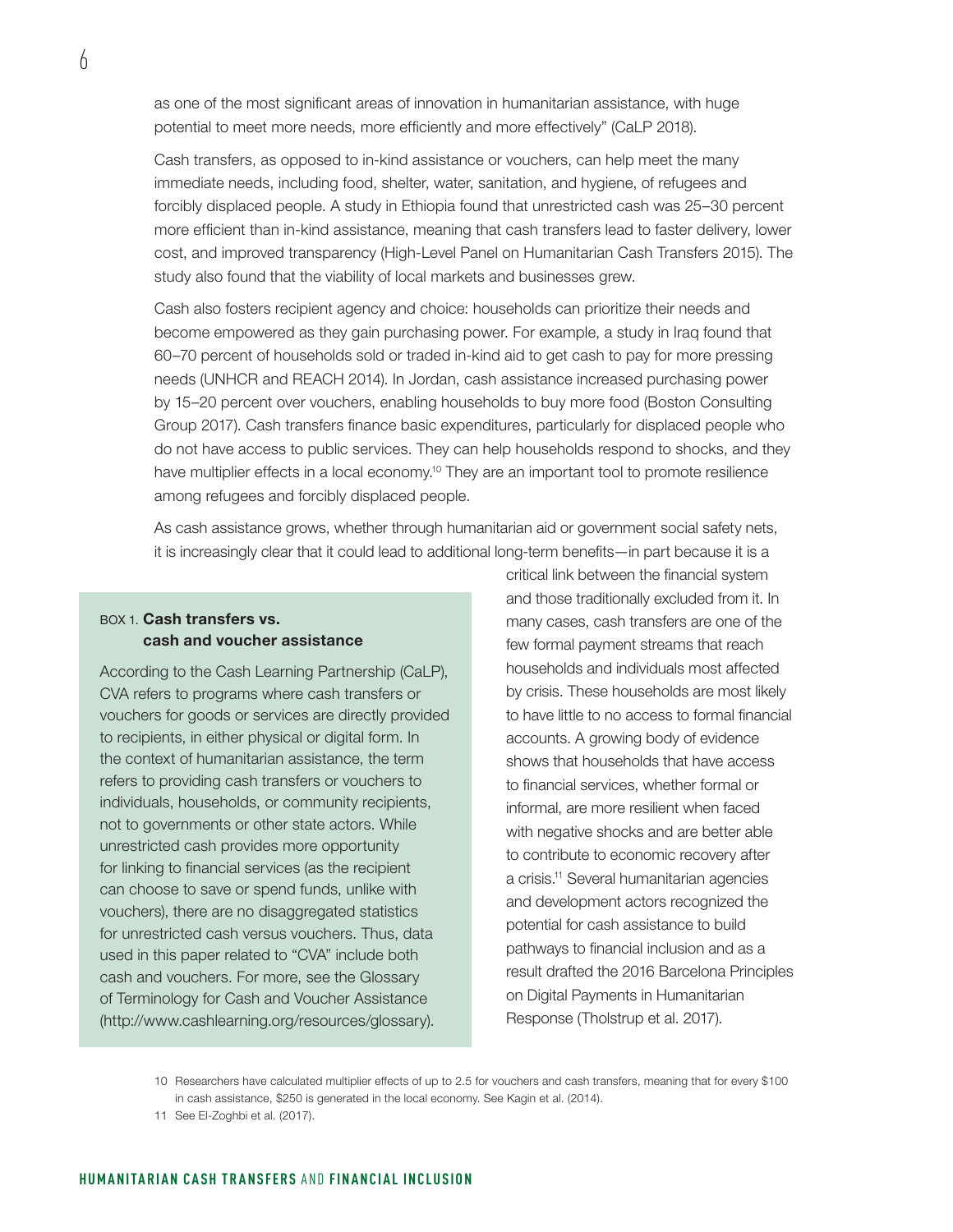as one of the most significant areas of innovation in humanitarian assistance, with huge potential to meet more needs, more efficiently and more effectively" (CaLP 2018).

Cash transfers, as opposed to in-kind assistance or vouchers, can help meet the many immediate needs, including food, shelter, water, sanitation, and hygiene, of refugees and forcibly displaced people. A study in Ethiopia found that unrestricted cash was 25–30 percent more efficient than in-kind assistance, meaning that cash transfers lead to faster delivery, lower cost, and improved transparency (High-Level Panel on Humanitarian Cash Transfers 2015). The study also found that the viability of local markets and businesses grew.

Cash also fosters recipient agency and choice: households can prioritize their needs and become empowered as they gain purchasing power. For example, a study in Iraq found that 60–70 percent of households sold or traded in-kind aid to get cash to pay for more pressing needs (UNHCR and REACH 2014). In Jordan, cash assistance increased purchasing power by 15–20 percent over vouchers, enabling households to buy more food (Boston Consulting Group 2017). Cash transfers finance basic expenditures, particularly for displaced people who do not have access to public services. They can help households respond to shocks, and they have multiplier effects in a local economy.<sup>10</sup> They are an important tool to promote resilience among refugees and forcibly displaced people.

As cash assistance grows, whether through humanitarian aid or government social safety nets, it is increasingly clear that it could lead to additional long-term benefits—in part because it is a

### BOX 1. Cash transfers vs. cash and voucher assistance

According to the Cash Learning Partnership (CaLP), CVA refers to programs where cash transfers or vouchers for goods or services are directly provided to recipients, in either physical or digital form. In the context of humanitarian assistance, the term refers to providing cash transfers or vouchers to individuals, households, or community recipients, not to governments or other state actors. While unrestricted cash provides more opportunity for linking to financial services (as the recipient can choose to save or spend funds, unlike with vouchers), there are no disaggregated statistics for unrestricted cash versus vouchers. Thus, data used in this paper related to "CVA" include both cash and vouchers. For more, see the Glossary of Terminology for Cash and Voucher Assistance (<http://www.cashlearning.org/resources/glossary>).

critical link between the financial system and those traditionally excluded from it. In many cases, cash transfers are one of the few formal payment streams that reach households and individuals most affected by crisis. These households are most likely to have little to no access to formal financial accounts. A growing body of evidence shows that households that have access to financial services, whether formal or informal, are more resilient when faced with negative shocks and are better able to contribute to economic recovery after a crisis.11 Several humanitarian agencies and development actors recognized the potential for cash assistance to build pathways to financial inclusion and as a result drafted the 2016 Barcelona Principles on Digital Payments in Humanitarian Response (Tholstrup et al. 2017).

<sup>10</sup> Researchers have calculated multiplier effects of up to 2.5 for vouchers and cash transfers, meaning that for every \$100 in cash assistance, \$250 is generated in the local economy. See Kagin et al. (2014).

<sup>11</sup> See El-Zoghbi et al. (2017).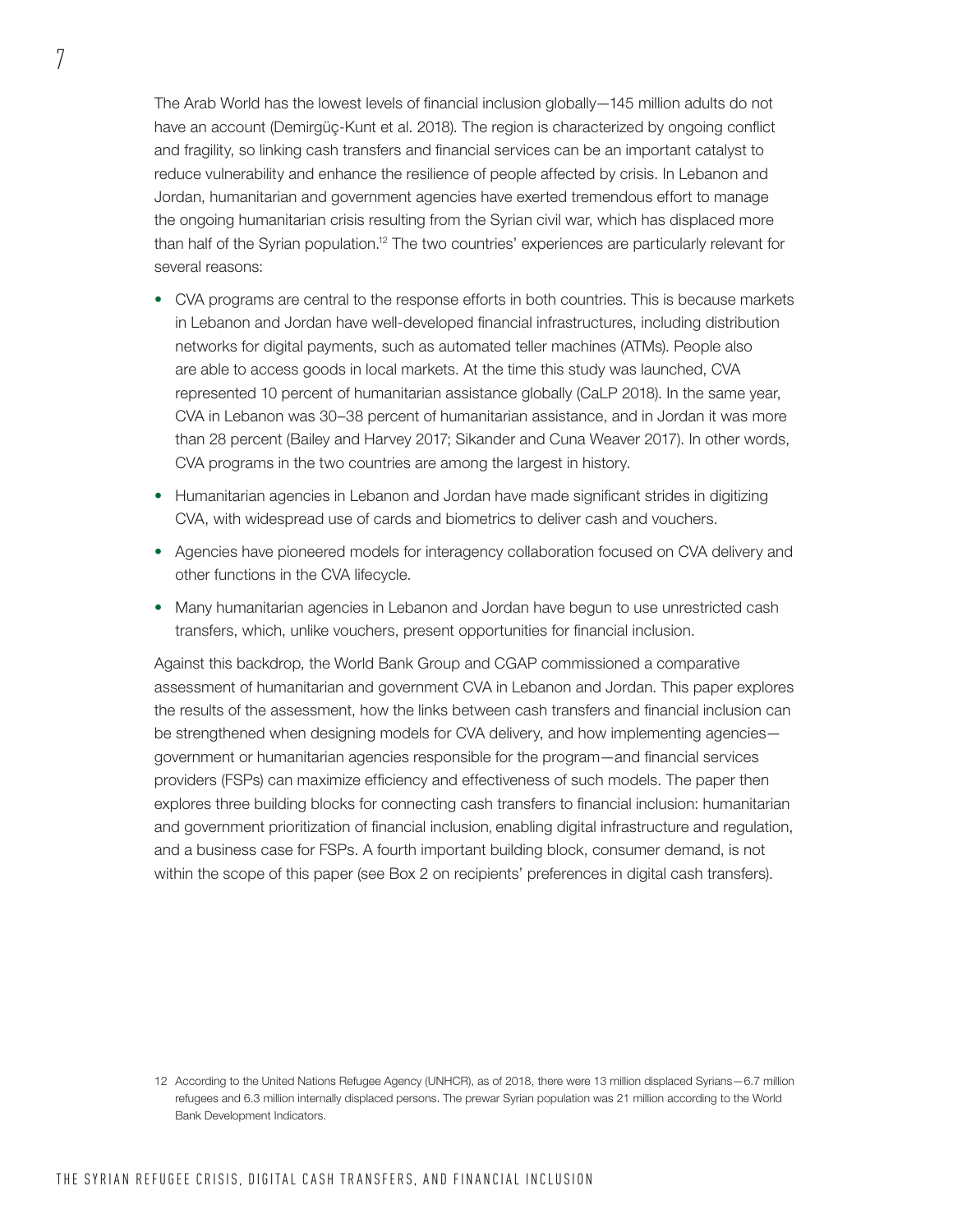The Arab World has the lowest levels of financial inclusion globally—145 million adults do not have an account (Demirgüç-Kunt et al. 2018). The region is characterized by ongoing conflict and fragility, so linking cash transfers and financial services can be an important catalyst to reduce vulnerability and enhance the resilience of people affected by crisis. In Lebanon and Jordan, humanitarian and government agencies have exerted tremendous effort to manage the ongoing humanitarian crisis resulting from the Syrian civil war, which has displaced more than half of the Syrian population.12 The two countries' experiences are particularly relevant for several reasons:

- CVA programs are central to the response efforts in both countries. This is because markets in Lebanon and Jordan have well-developed financial infrastructures, including distribution networks for digital payments, such as automated teller machines (ATMs). People also are able to access goods in local markets. At the time this study was launched, CVA represented 10 percent of humanitarian assistance globally (CaLP 2018). In the same year, CVA in Lebanon was 30–38 percent of humanitarian assistance, and in Jordan it was more than 28 percent (Bailey and Harvey 2017; Sikander and Cuna Weaver 2017). In other words, CVA programs in the two countries are among the largest in history.
- Humanitarian agencies in Lebanon and Jordan have made significant strides in digitizing CVA, with widespread use of cards and biometrics to deliver cash and vouchers.
- Agencies have pioneered models for interagency collaboration focused on CVA delivery and other functions in the CVA lifecycle.
- Many humanitarian agencies in Lebanon and Jordan have begun to use unrestricted cash transfers, which, unlike vouchers, present opportunities for financial inclusion.

Against this backdrop, the World Bank Group and CGAP commissioned a comparative assessment of humanitarian and government CVA in Lebanon and Jordan. This paper explores the results of the assessment, how the links between cash transfers and financial inclusion can be strengthened when designing models for CVA delivery, and how implementing agencies government or humanitarian agencies responsible for the program—and financial services providers (FSPs) can maximize efficiency and effectiveness of such models. The paper then explores three building blocks for connecting cash transfers to financial inclusion: humanitarian and government prioritization of financial inclusion, enabling digital infrastructure and regulation, and a business case for FSPs. A fourth important building block, consumer demand, is not within the scope of this paper (see Box 2 on recipients' preferences in digital cash transfers).

<sup>12</sup> According to the United Nations Refugee Agency (UNHCR), as of 2018, there were 13 million displaced Syrians—6.7 million refugees and 6.3 million internally displaced persons. The prewar Syrian population was 21 million according to the World Bank Development Indicators.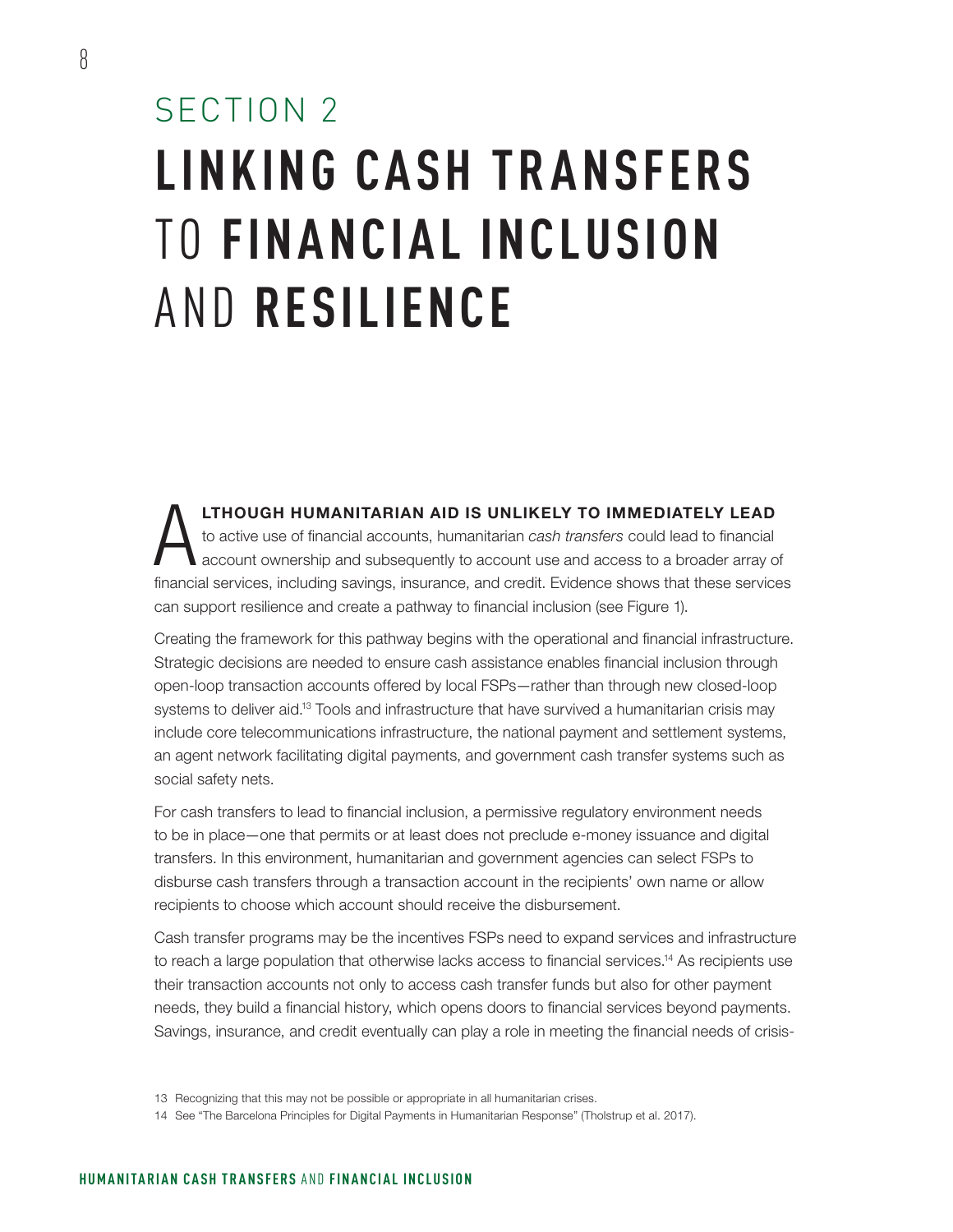## SECTION 2 **LINKING CASH TR ANSFERS**  TO **FINANCIAL INCLUSION**  AND **RESILIENCE**

**LTHOUGH HUMANITARIAN AID IS UNLIKELY TO IMMEDIATELY LEAD**<br>to active use of financial accounts, humanitarian *cash transfers* could lead to financial<br>account ownership and subsequently to account use and access to a broade to active use of financial accounts, humanitarian *cash transfers* could lead to financial account ownership and subsequently to account use and access to a broader array of financial services, including savings, insurance, and credit. Evidence shows that these services can support resilience and create a pathway to financial inclusion (see Figure 1).

Creating the framework for this pathway begins with the operational and financial infrastructure. Strategic decisions are needed to ensure cash assistance enables financial inclusion through open-loop transaction accounts offered by local FSPs—rather than through new closed-loop systems to deliver aid.<sup>13</sup> Tools and infrastructure that have survived a humanitarian crisis may include core telecommunications infrastructure, the national payment and settlement systems, an agent network facilitating digital payments, and government cash transfer systems such as social safety nets.

For cash transfers to lead to financial inclusion, a permissive regulatory environment needs to be in place—one that permits or at least does not preclude e-money issuance and digital transfers. In this environment, humanitarian and government agencies can select FSPs to disburse cash transfers through a transaction account in the recipients' own name or allow recipients to choose which account should receive the disbursement.

Cash transfer programs may be the incentives FSPs need to expand services and infrastructure to reach a large population that otherwise lacks access to financial services.<sup>14</sup> As recipients use their transaction accounts not only to access cash transfer funds but also for other payment needs, they build a financial history, which opens doors to financial services beyond payments. Savings, insurance, and credit eventually can play a role in meeting the financial needs of crisis-

<sup>13</sup> Recognizing that this may not be possible or appropriate in all humanitarian crises.

<sup>14</sup> See "The Barcelona Principles for Digital Payments in Humanitarian Response" (Tholstrup et al. 2017).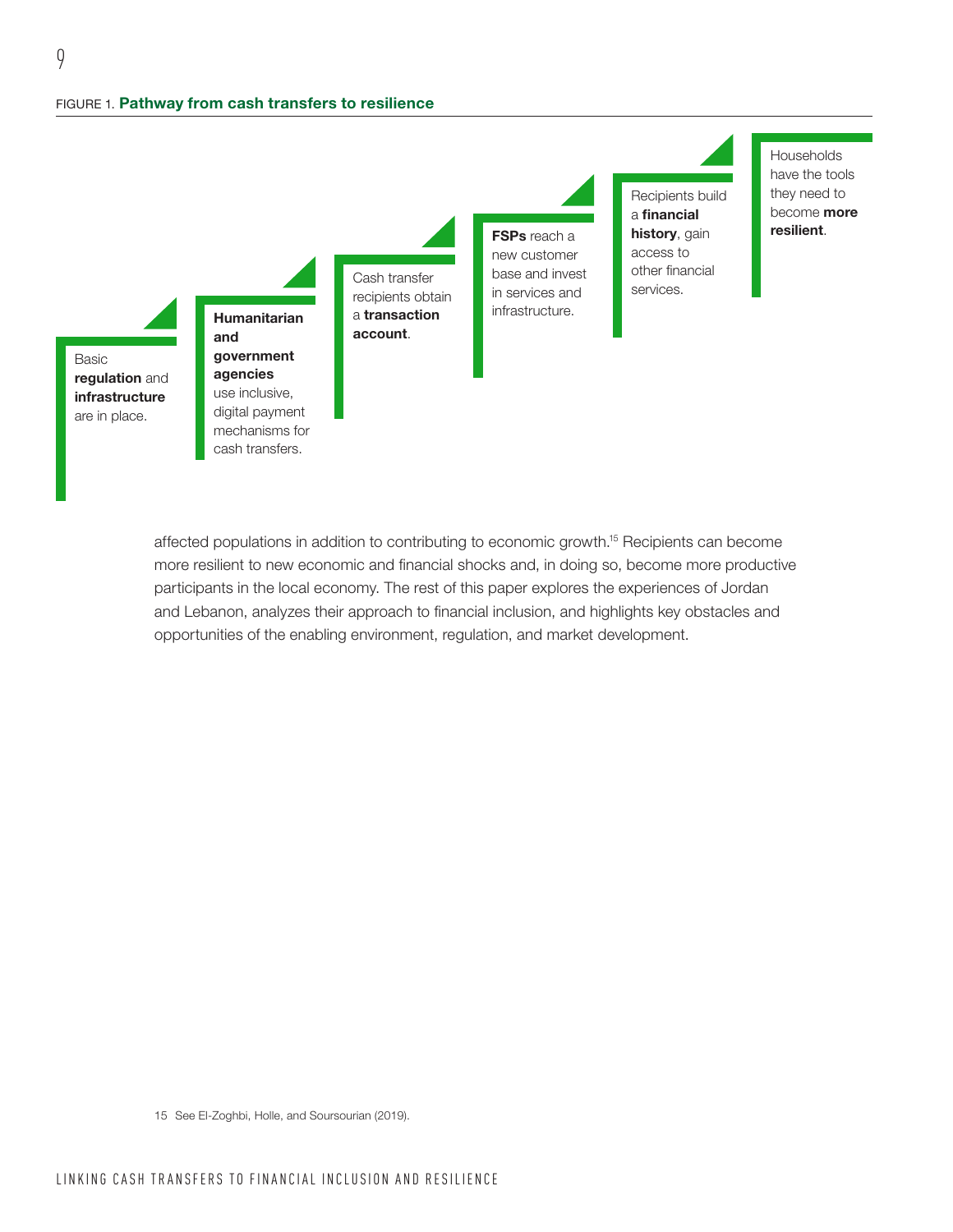

affected populations in addition to contributing to economic growth.15 Recipients can become more resilient to new economic and financial shocks and, in doing so, become more productive participants in the local economy. The rest of this paper explores the experiences of Jordan and Lebanon, analyzes their approach to financial inclusion, and highlights key obstacles and opportunities of the enabling environment, regulation, and market development.

15 See El-Zoghbi, Holle, and Soursourian (2019).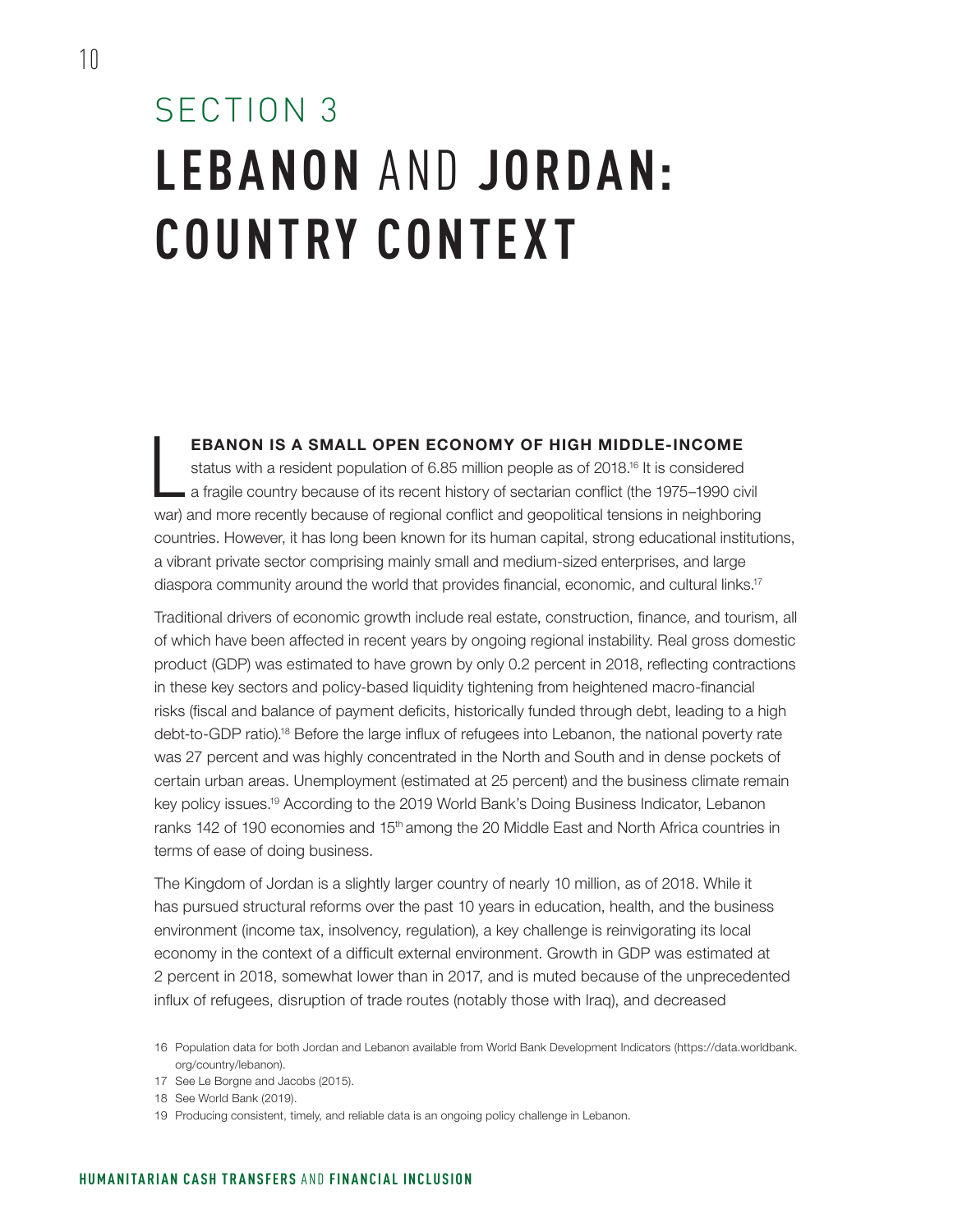### SECTION 3 **LEBANON** AND **JORDA N: COUNTRY CONTEXT**

#### EBANON IS A SMALL OPEN ECONOMY OF HIGH MIDDLE-INCOME

 $\overline{\phantom{a}}$ status with a resident population of 6.85 million people as of 2018.<sup>16</sup> It is considered a fragile country because of its recent history of sectarian conflict (the 1975–1990 civil war) and more recently because of regional conflict and geopolitical tensions in neighboring countries. However, it has long been known for its human capital, strong educational institutions, a vibrant private sector comprising mainly small and medium-sized enterprises, and large diaspora community around the world that provides financial, economic, and cultural links.17

Traditional drivers of economic growth include real estate, construction, finance, and tourism, all of which have been affected in recent years by ongoing regional instability. Real gross domestic product (GDP) was estimated to have grown by only 0.2 percent in 2018, reflecting contractions in these key sectors and policy-based liquidity tightening from heightened macro-financial risks (fiscal and balance of payment deficits, historically funded through debt, leading to a high debt-to-GDP ratio).18 Before the large influx of refugees into Lebanon, the national poverty rate was 27 percent and was highly concentrated in the North and South and in dense pockets of certain urban areas. Unemployment (estimated at 25 percent) and the business climate remain key policy issues.19 According to the 2019 World Bank's Doing Business Indicator, Lebanon ranks 142 of 190 economies and 15<sup>th</sup> among the 20 Middle East and North Africa countries in terms of ease of doing business.

The Kingdom of Jordan is a slightly larger country of nearly 10 million, as of 2018. While it has pursued structural reforms over the past 10 years in education, health, and the business environment (income tax, insolvency, regulation), a key challenge is reinvigorating its local economy in the context of a difficult external environment. Growth in GDP was estimated at 2 percent in 2018, somewhat lower than in 2017, and is muted because of the unprecedented influx of refugees, disruption of trade routes (notably those with Iraq), and decreased

<sup>16</sup> Population data for both Jordan and Lebanon available from World Bank Development Indicators [\(https://data.worldbank.](https://data.worldbank.org/country/lebanon) [org/country/lebanon\)](https://data.worldbank.org/country/lebanon).

<sup>17</sup> See Le Borgne and Jacobs (2015).

<sup>18</sup> See World Bank (2019).

<sup>19</sup> Producing consistent, timely, and reliable data is an ongoing policy challenge in Lebanon.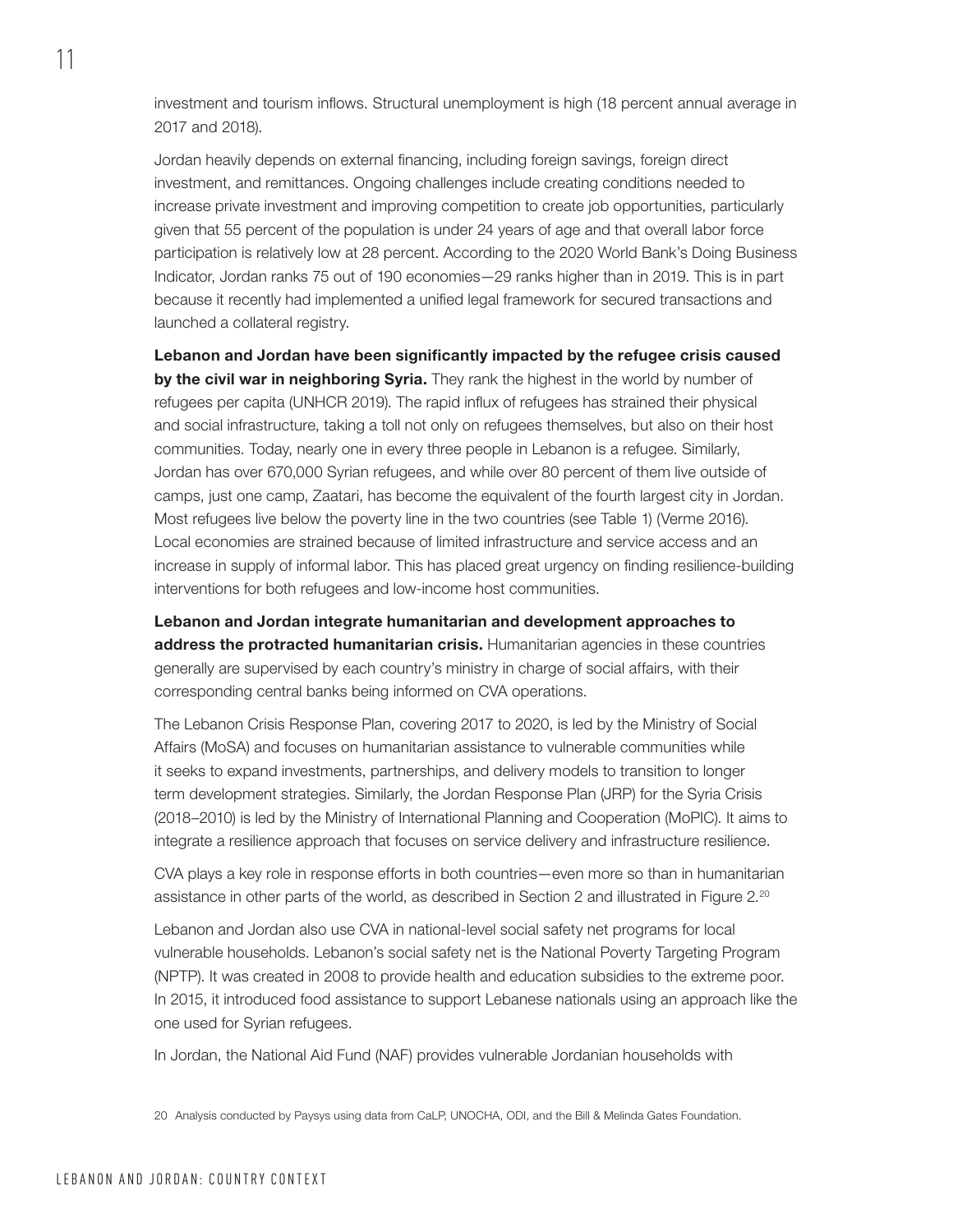investment and tourism inflows. Structural unemployment is high (18 percent annual average in 2017 and 2018).

Jordan heavily depends on external financing, including foreign savings, foreign direct investment, and remittances. Ongoing challenges include creating conditions needed to increase private investment and improving competition to create job opportunities, particularly given that 55 percent of the population is under 24 years of age and that overall labor force participation is relatively low at 28 percent. According to the 2020 World Bank's Doing Business Indicator, Jordan ranks 75 out of 190 economies—29 ranks higher than in 2019. This is in part because it recently had implemented a unified legal framework for secured transactions and launched a collateral registry.

Lebanon and Jordan have been significantly impacted by the refugee crisis caused by the civil war in neighboring Syria. They rank the highest in the world by number of refugees per capita (UNHCR 2019). The rapid influx of refugees has strained their physical and social infrastructure, taking a toll not only on refugees themselves, but also on their host communities. Today, nearly one in every three people in Lebanon is a refugee. Similarly, Jordan has over 670,000 Syrian refugees, and while over 80 percent of them live outside of camps, just one camp, Zaatari, has become the equivalent of the fourth largest city in Jordan. Most refugees live below the poverty line in the two countries (see [Table 1\)](#page-16-0) (Verme 2016). Local economies are strained because of limited infrastructure and service access and an increase in supply of informal labor. This has placed great urgency on finding resilience-building interventions for both refugees and low-income host communities.

<span id="page-16-0"></span>Lebanon and Jordan integrate humanitarian and development approaches to address the protracted humanitarian crisis. Humanitarian agencies in these countries generally are supervised by each country's ministry in charge of social affairs, with their corresponding central banks being informed on CVA operations.

The Lebanon Crisis Response Plan, covering 2017 to 2020, is led by the Ministry of Social Affairs (MoSA) and focuses on humanitarian assistance to vulnerable communities while it seeks to expand investments, partnerships, and delivery models to transition to longer term development strategies. Similarly, the Jordan Response Plan (JRP) for the Syria Crisis (2018–2010) is led by the Ministry of International Planning and Cooperation (MoPIC). It aims to integrate a resilience approach that focuses on service delivery and infrastructure resilience.

CVA plays a key role in response efforts in both countries—even more so than in humanitarian assistance in other parts of the world, as described in Section 2 and illustrated in Figure 2. $^{20}$ 

Lebanon and Jordan also use CVA in national-level social safety net programs for local vulnerable households. Lebanon's social safety net is the National Poverty Targeting Program (NPTP). It was created in 2008 to provide health and education subsidies to the extreme poor. In 2015, it introduced food assistance to support Lebanese nationals using an approach like the one used for Syrian refugees.

In Jordan, the National Aid Fund (NAF) provides vulnerable Jordanian households with

20 Analysis conducted by Paysys using data from CaLP, UNOCHA, ODI, and the Bill & Melinda Gates Foundation.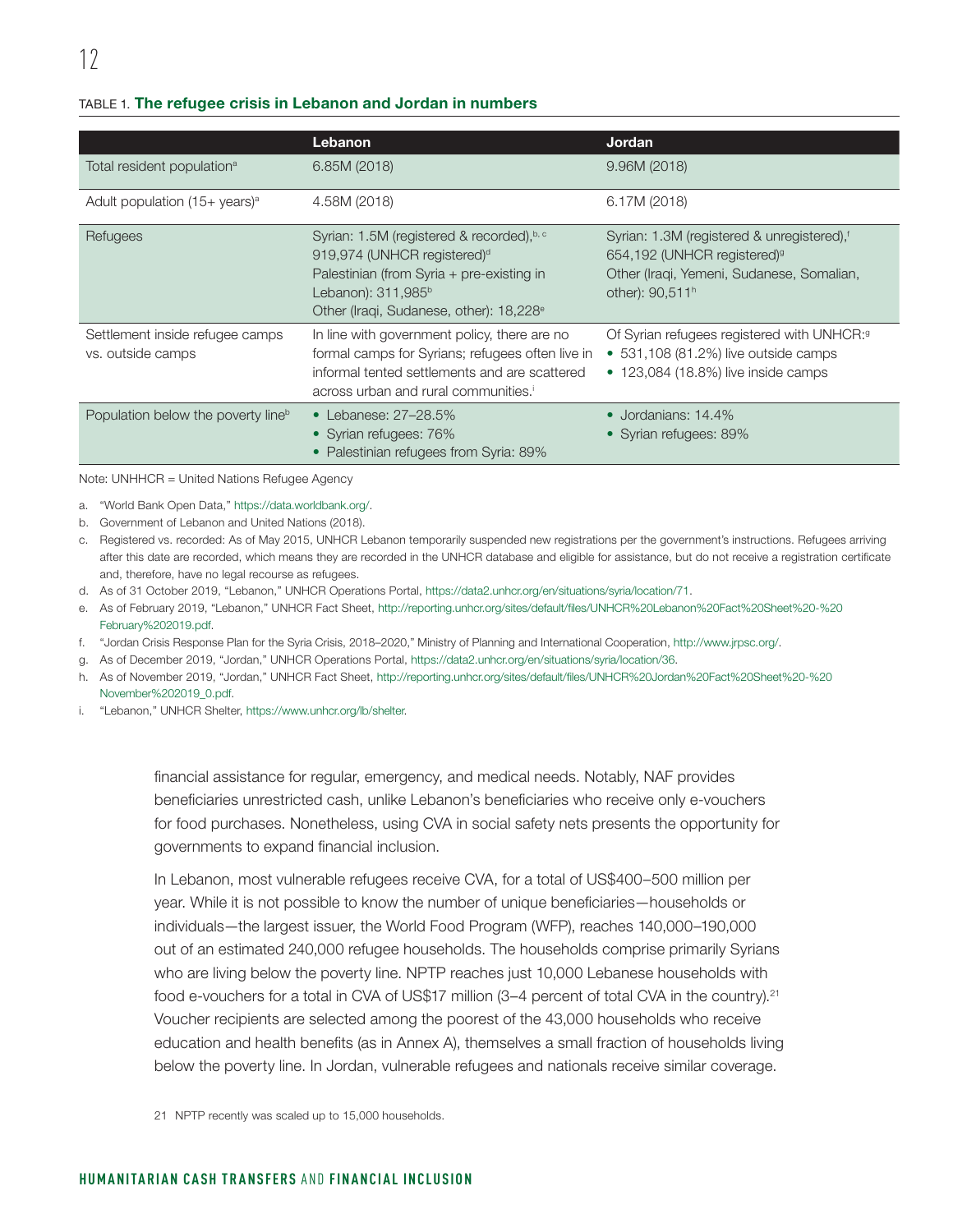#### TABLE 1. The refugee crisis in Lebanon and Jordan in numbers

|                                                      | Lebanon                                                                                                                                                                                                            | <b>Jordan</b>                                                                                                                                                                 |
|------------------------------------------------------|--------------------------------------------------------------------------------------------------------------------------------------------------------------------------------------------------------------------|-------------------------------------------------------------------------------------------------------------------------------------------------------------------------------|
| Total resident population <sup>a</sup>               | 6.85M (2018)                                                                                                                                                                                                       | 9.96M(2018)                                                                                                                                                                   |
| Adult population $(15 + \text{ years})^{\text{a}}$   | 4.58M (2018)                                                                                                                                                                                                       | 6.17M (2018)                                                                                                                                                                  |
| Refugees                                             | Syrian: 1.5M (registered & recorded), b, c<br>919,974 (UNHCR registered) <sup>d</sup><br>Palestinian (from Syria + pre-existing in<br>Lebanon): $311,985^b$<br>Other (Iraqi, Sudanese, other): 18,228 <sup>e</sup> | Syrian: 1.3M (registered & unregistered), <sup>f</sup><br>654,192 (UNHCR registered) <sup>9</sup><br>Other (Iraqi, Yemeni, Sudanese, Somalian,<br>other): 90,511 <sup>h</sup> |
| Settlement inside refugee camps<br>vs. outside camps | In line with government policy, there are no<br>formal camps for Syrians; refugees often live in<br>informal tented settlements and are scattered<br>across urban and rural communities. <sup>1</sup>              | Of Syrian refugees registered with UNHCR: <sup>9</sup><br>$\bullet$ 531,108 (81.2%) live outside camps<br>• 123,084 (18.8%) live inside camps                                 |
| Population below the poverty line <sup>b</sup>       | • Lebanese: $27-28.5\%$<br>• Syrian refugees: 76%<br>• Palestinian refugees from Syria: 89%                                                                                                                        | $\bullet$ Jordanians: 14.4%<br>• Syrian refugees: 89%                                                                                                                         |

Note: UNHHCR = United Nations Refugee Agency

a. "World Bank Open Data," <https://data.worldbank.org/>.

b. Government of Lebanon and United Nations (2018).

c. Registered vs. recorded: As of May 2015, UNHCR Lebanon temporarily suspended new registrations per the government's instructions. Refugees arriving after this date are recorded, which means they are recorded in the UNHCR database and eligible for assistance, but do not receive a registration certificate and, therefore, have no legal recourse as refugees.

d. As of 31 October 2019, "Lebanon," UNHCR Operations Portal, <https://data2.unhcr.org/en/situations/syria/location/71>.

e. As of February 2019, "Lebanon," UNHCR Fact Sheet, [http://reporting.unhcr.org/sites/default/files/UNHCR%20Lebanon%20Fact%20Sheet%20-%20](http://reporting.unhcr.org/sites/default/files/UNHCR%20Lebanon%20Fact%20Sheet%20-%20February%202019.pdf) [February%202019.pdf](http://reporting.unhcr.org/sites/default/files/UNHCR%20Lebanon%20Fact%20Sheet%20-%20February%202019.pdf).

f. "Jordan Crisis Response Plan for the Syria Crisis, 2018–2020," Ministry of Planning and International Cooperation, <http://www.jrpsc.org/>.

g. As of December 2019, "Jordan," UNHCR Operations Portal, [https://data2.unhcr.org/en/situations/syria/location/36.](https://data2.unhcr.org/en/situations/syria/location/36)

h. As of November 2019, "Jordan," UNHCR Fact Sheet, [http://reporting.unhcr.org/sites/default/files/UNHCR%20Jordan%20Fact%20Sheet%20-%20](http://reporting.unhcr.org/sites/default/files/UNHCR%20Jordan%20Fact%20Sheet%20-%20November%202019_0.pdf) [November%202019\\_0.pdf.](http://reporting.unhcr.org/sites/default/files/UNHCR%20Jordan%20Fact%20Sheet%20-%20November%202019_0.pdf)

i. "Lebanon," UNHCR Shelter, [https://www.unhcr.org/lb/shelter.](https://www.unhcr.org/lb/shelter)

financial assistance for regular, emergency, and medical needs. Notably, NAF provides beneficiaries unrestricted cash, unlike Lebanon's beneficiaries who receive only e-vouchers for food purchases. Nonetheless, using CVA in social safety nets presents the opportunity for governments to expand financial inclusion.

In Lebanon, most vulnerable refugees receive CVA, for a total of US\$400–500 million per year. While it is not possible to know the number of unique beneficiaries—households or individuals—the largest issuer, the World Food Program (WFP), reaches 140,000–190,000 out of an estimated 240,000 refugee households. The households comprise primarily Syrians who are living below the poverty line. NPTP reaches just 10,000 Lebanese households with food e-vouchers for a total in CVA of US\$17 million (3–4 percent of total CVA in the country).<sup>21</sup> Voucher recipients are selected among the poorest of the 43,000 households who receive education and health benefits (as in Annex A), themselves a small fraction of households living below the poverty line. In Jordan, vulnerable refugees and nationals receive similar coverage.

21 NPTP recently was scaled up to 15,000 households.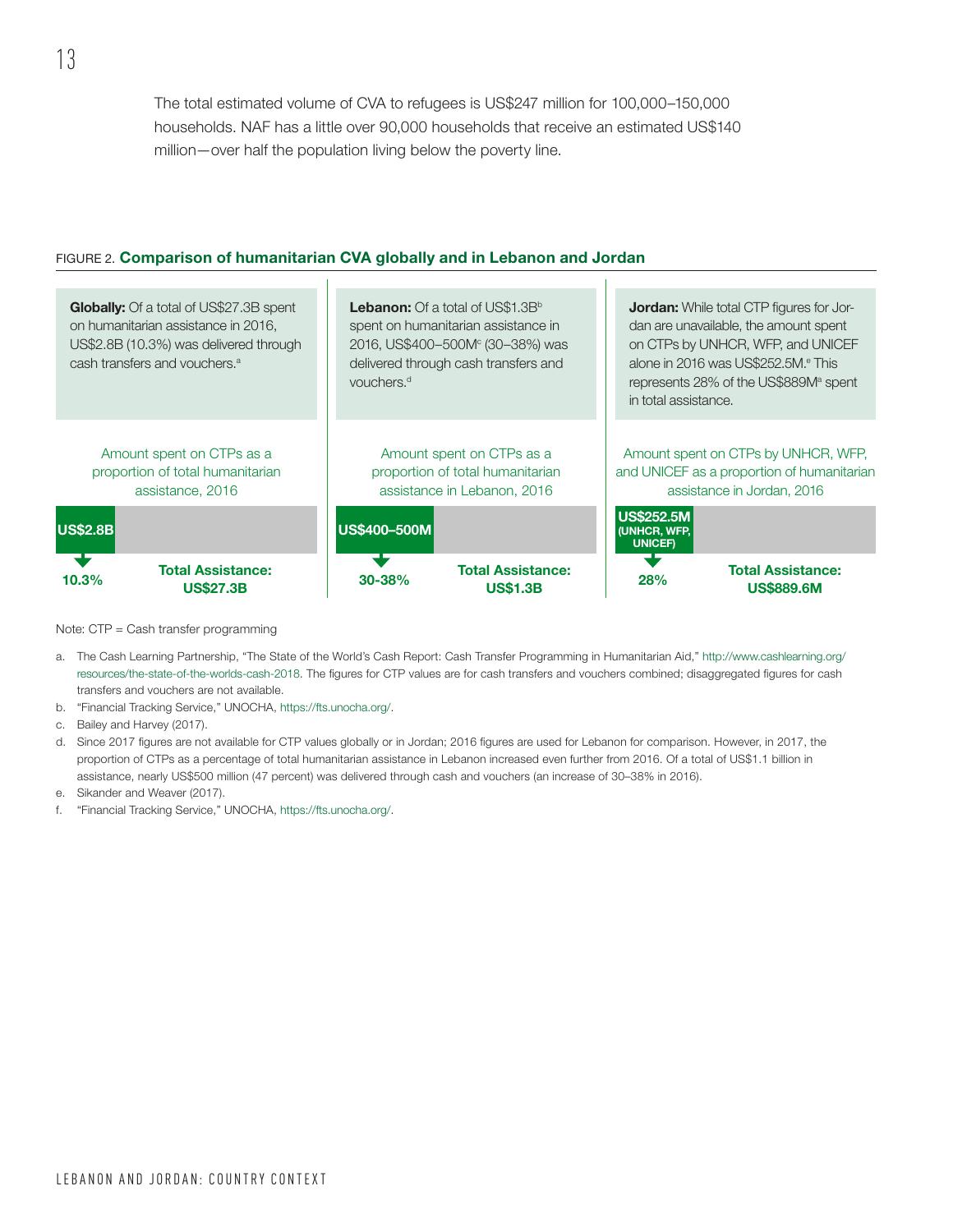The total estimated volume of CVA to refugees is US\$247 million for 100,000–150,000 households. NAF has a little over 90,000 households that receive an estimated US\$140 million—over half the population living below the poverty line.

#### FIGURE 2. Comparison of humanitarian CVA globally and in Lebanon and Jordan

 $\mathbf{u}$ 

| <b>Globally:</b> Of a total of US\$27.3B spent<br>on humanitarian assistance in 2016,<br>US\$2.8B (10.3%) was delivered through<br>cash transfers and vouchers. <sup>a</sup> | <b>Lebanon:</b> Of a total of US\$1.3B <sup>b</sup><br>spent on humanitarian assistance in<br>2016, US\$400-500M <sup>c</sup> (30-38%) was<br>delivered through cash transfers and<br>vouchers. <sup>d</sup> | <b>Jordan:</b> While total CTP figures for Jor-<br>dan are unavailable, the amount spent<br>on CTPs by UNHCR, WFP, and UNICEF<br>alone in 2016 was US\$252.5M. <sup>e</sup> This<br>represents 28% of the US\$889M <sup>a</sup> spent<br>in total assistance. |
|------------------------------------------------------------------------------------------------------------------------------------------------------------------------------|--------------------------------------------------------------------------------------------------------------------------------------------------------------------------------------------------------------|---------------------------------------------------------------------------------------------------------------------------------------------------------------------------------------------------------------------------------------------------------------|
| Amount spent on CTPs as a                                                                                                                                                    | Amount spent on CTPs as a                                                                                                                                                                                    | Amount spent on CTPs by UNHCR, WFP,                                                                                                                                                                                                                           |
| proportion of total humanitarian                                                                                                                                             | proportion of total humanitarian                                                                                                                                                                             | and UNICEF as a proportion of humanitarian                                                                                                                                                                                                                    |
| assistance, 2016                                                                                                                                                             | assistance in Lebanon, 2016                                                                                                                                                                                  | assistance in Jordan, 2016                                                                                                                                                                                                                                    |
| <b>US\$2.8B</b>                                                                                                                                                              | <b>US\$400-500M</b>                                                                                                                                                                                          | <b>US\$252.5M</b><br>(UNHCR, WFP,<br><b>UNICEF)</b>                                                                                                                                                                                                           |
| <b>Total Assistance:</b>                                                                                                                                                     | <b>Total Assistance:</b>                                                                                                                                                                                     | <b>Total Assistance:</b>                                                                                                                                                                                                                                      |
| 10.3%                                                                                                                                                                        | 30-38%                                                                                                                                                                                                       | 28%                                                                                                                                                                                                                                                           |
| <b>US\$27.3B</b>                                                                                                                                                             | <b>US\$1.3B</b>                                                                                                                                                                                              | <b>US\$889,6M</b>                                                                                                                                                                                                                                             |

Note: CTP = Cash transfer programming

- a. The Cash Learning Partnership, "The State of the World's Cash Report: Cash Transfer Programming in Humanitarian Aid," [http://www.cashlearning.org/](http://www.cashlearning.org/resources/the-state-of-the-worlds-cash-2018) [resources/the-state-of-the-worlds-cash-2018.](http://www.cashlearning.org/resources/the-state-of-the-worlds-cash-2018) The figures for CTP values are for cash transfers and vouchers combined; disaggregated figures for cash transfers and vouchers are not available.
- b. "Financial Tracking Service," UNOCHA,<https://fts.unocha.org/>.
- c. Bailey and Harvey (2017).
- d. Since 2017 figures are not available for CTP values globally or in Jordan; 2016 figures are used for Lebanon for comparison. However, in 2017, the proportion of CTPs as a percentage of total humanitarian assistance in Lebanon increased even further from 2016. Of a total of US\$1.1 billion in assistance, nearly US\$500 million (47 percent) was delivered through cash and vouchers (an increase of 30–38% in 2016).
- e. Sikander and Weaver (2017).
- f. "Financial Tracking Service," UNOCHA,<https://fts.unocha.org/>.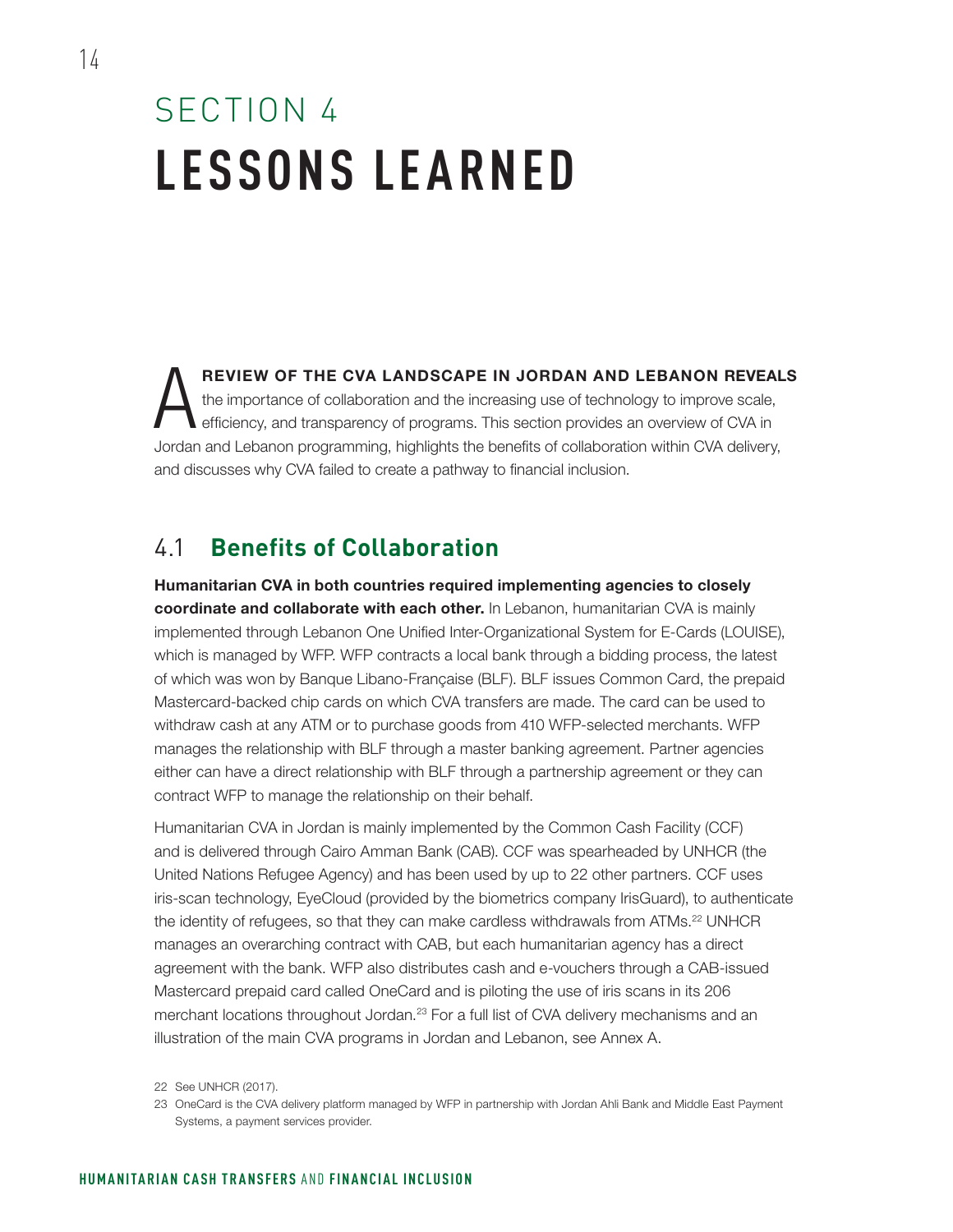### SECTION 4 **LESSONS LEARNED**

REVIEW OF THE CVA LANDSCAPE IN JORDAN AND LEBANON REVEALS<br>the importance of collaboration and the increasing use of technology to improve scale,<br>efficiency, and transparency of programs. This section provides an overview o the importance of collaboration and the increasing use of technology to improve scale, efficiency, and transparency of programs. This section provides an overview of CVA in Jordan and Lebanon programming, highlights the benefits of collaboration within CVA delivery, and discusses why CVA failed to create a pathway to financial inclusion.

### 4.1 **Benefits of Collaboration**

Humanitarian CVA in both countries required implementing agencies to closely coordinate and collaborate with each other. In Lebanon, humanitarian CVA is mainly implemented through Lebanon One Unified Inter-Organizational System for E-Cards (LOUISE), which is managed by WFP. WFP contracts a local bank through a bidding process, the latest of which was won by Banque Libano-Française (BLF). BLF issues Common Card, the prepaid Mastercard-backed chip cards on which CVA transfers are made. The card can be used to withdraw cash at any ATM or to purchase goods from 410 WFP-selected merchants. WFP manages the relationship with BLF through a master banking agreement. Partner agencies either can have a direct relationship with BLF through a partnership agreement or they can contract WFP to manage the relationship on their behalf.

Humanitarian CVA in Jordan is mainly implemented by the Common Cash Facility (CCF) and is delivered through Cairo Amman Bank (CAB). CCF was spearheaded by UNHCR (the United Nations Refugee Agency) and has been used by up to 22 other partners. CCF uses iris-scan technology, EyeCloud (provided by the biometrics company IrisGuard), to authenticate the identity of refugees, so that they can make cardless withdrawals from ATMs.<sup>22</sup> UNHCR manages an overarching contract with CAB, but each humanitarian agency has a direct agreement with the bank. WFP also distributes cash and e-vouchers through a CAB-issued Mastercard prepaid card called OneCard and is piloting the use of iris scans in its 206 merchant locations throughout Jordan.23 For a full list of CVA delivery mechanisms and an illustration of the main CVA programs in Jordan and Lebanon, see Annex A.

22 See UNHCR (2017).

23 OneCard is the CVA delivery platform managed by WFP in partnership with Jordan Ahli Bank and Middle East Payment Systems, a payment services provider.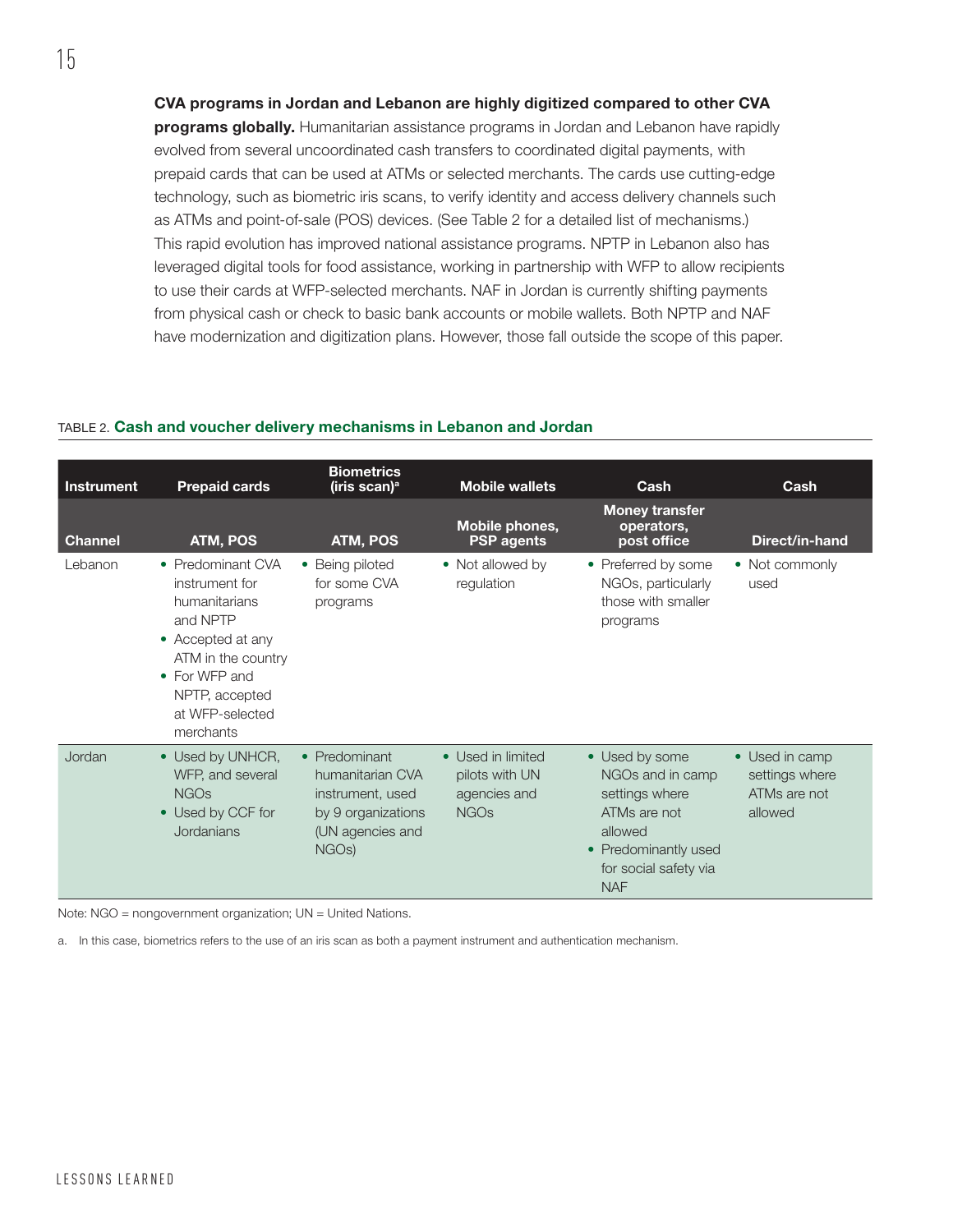CVA programs in Jordan and Lebanon are highly digitized compared to other CVA programs globally. Humanitarian assistance programs in Jordan and Lebanon have rapidly evolved from several uncoordinated cash transfers to coordinated digital payments, with prepaid cards that can be used at ATMs or selected merchants. The cards use cutting-edge technology, such as biometric iris scans, to verify identity and access delivery channels such as ATMs and point-of-sale (POS) devices. (See [Table 2](#page-20-0) for a detailed list of mechanisms.) This rapid evolution has improved national assistance programs. NPTP in Lebanon also has leveraged digital tools for food assistance, working in partnership with WFP to allow recipients to use their cards at WFP-selected merchants. NAF in Jordan is currently shifting payments from physical cash or check to basic bank accounts or mobile wallets. Both NPTP and NAF have modernization and digitization plans. However, those fall outside the scope of this paper.

#### <span id="page-20-0"></span>TABLE 2. Cash and voucher delivery mechanisms in Lebanon and Jordan

| <b>Instrument</b> | <b>Prepaid cards</b>                                                                                                                                                           | <b>Biometrics</b><br>(iris scan) <sup>a</sup>                                                                         | <b>Mobile wallets</b>                                              | Cash                                                                                                                                           | Cash                                                        |
|-------------------|--------------------------------------------------------------------------------------------------------------------------------------------------------------------------------|-----------------------------------------------------------------------------------------------------------------------|--------------------------------------------------------------------|------------------------------------------------------------------------------------------------------------------------------------------------|-------------------------------------------------------------|
| <b>Channel</b>    | <b>ATM, POS</b>                                                                                                                                                                | ATM, POS                                                                                                              | Mobile phones,<br><b>PSP</b> agents                                | <b>Money transfer</b><br>operators,<br>post office                                                                                             | Direct/in-hand                                              |
| Lebanon           | • Predominant CVA<br>instrument for<br>humanitarians<br>and NPTP<br>• Accepted at any<br>ATM in the country<br>• For WFP and<br>NPTP, accepted<br>at WFP-selected<br>merchants | • Being piloted<br>for some CVA<br>programs                                                                           | • Not allowed by<br>regulation                                     | • Preferred by some<br>NGOs, particularly<br>those with smaller<br>programs                                                                    | • Not commonly<br>used                                      |
| Jordan            | • Used by UNHCR,<br>WFP, and several<br><b>NGOs</b><br>• Used by CCF for<br>Jordanians                                                                                         | • Predominant<br>humanitarian CVA<br>instrument, used<br>by 9 organizations<br>(UN agencies and<br>NGO <sub>s</sub> ) | • Used in limited<br>pilots with UN<br>agencies and<br><b>NGOs</b> | • Used by some<br>NGOs and in camp<br>settings where<br>ATMs are not<br>allowed<br>• Predominantly used<br>for social safety via<br><b>NAF</b> | • Used in camp<br>settings where<br>ATMs are not<br>allowed |

Note: NGO = nongovernment organization; UN = United Nations.

a. In this case, biometrics refers to the use of an iris scan as both a payment instrument and authentication mechanism.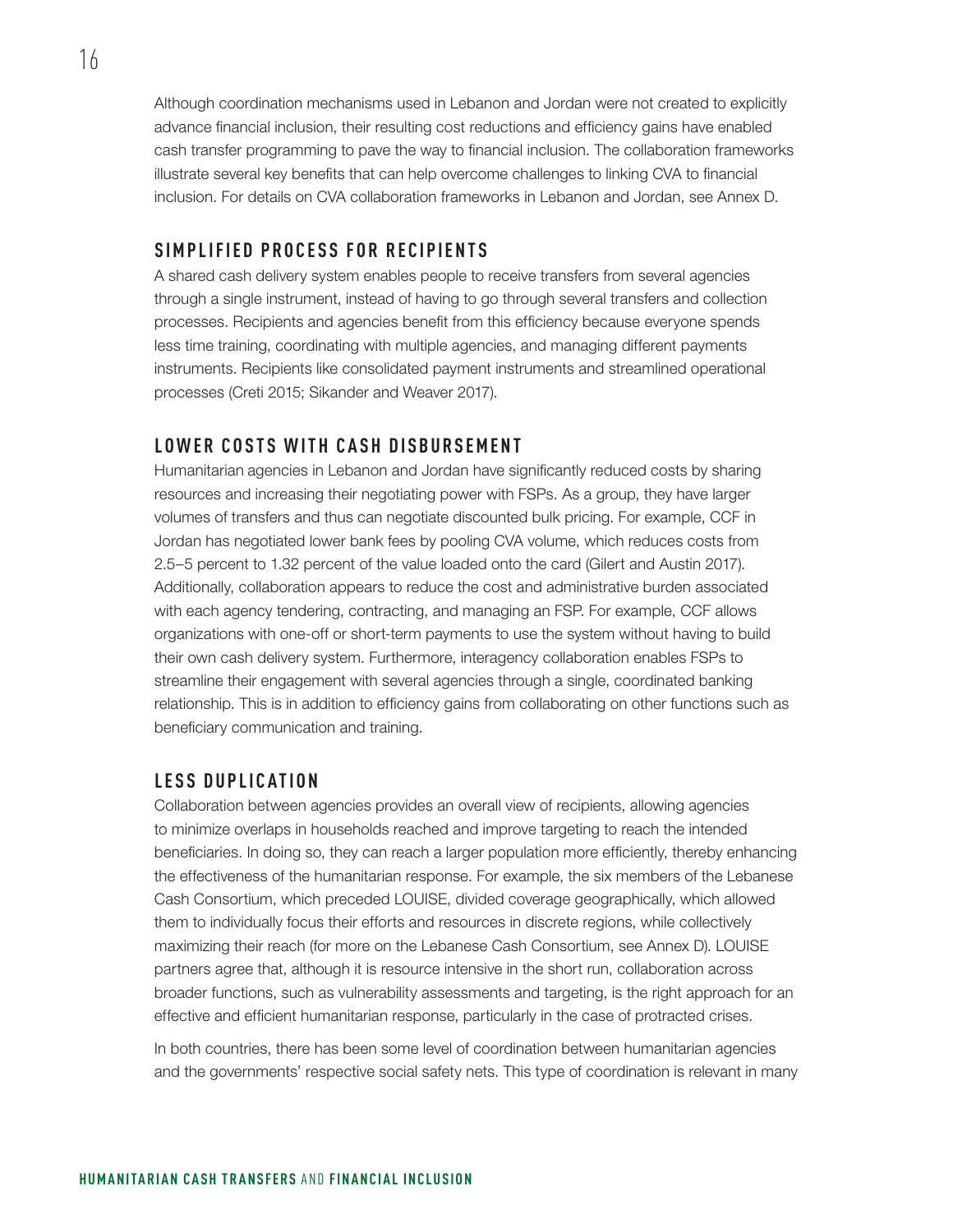Although coordination mechanisms used in Lebanon and Jordan were not created to explicitly advance financial inclusion, their resulting cost reductions and efficiency gains have enabled cash transfer programming to pave the way to financial inclusion. The collaboration frameworks illustrate several key benefits that can help overcome challenges to linking CVA to financial inclusion. For details on CVA collaboration frameworks in Lebanon and Jordan, see Annex D.

### **SIMPLIFIED PROCESS FOR RECIPIENTS**

A shared cash delivery system enables people to receive transfers from several agencies through a single instrument, instead of having to go through several transfers and collection processes. Recipients and agencies benefit from this efficiency because everyone spends less time training, coordinating with multiple agencies, and managing different payments instruments. Recipients like consolidated payment instruments and streamlined operational processes (Creti 2015; Sikander and Weaver 2017).

### **LOWER COSTS WITH CASH DISBURSEMENT**

Humanitarian agencies in Lebanon and Jordan have significantly reduced costs by sharing resources and increasing their negotiating power with FSPs. As a group, they have larger volumes of transfers and thus can negotiate discounted bulk pricing. For example, CCF in Jordan has negotiated lower bank fees by pooling CVA volume, which reduces costs from 2.5–5 percent to 1.32 percent of the value loaded onto the card (Gilert and Austin 2017). Additionally, collaboration appears to reduce the cost and administrative burden associated with each agency tendering, contracting, and managing an FSP. For example, CCF allows organizations with one-off or short-term payments to use the system without having to build their own cash delivery system. Furthermore, interagency collaboration enables FSPs to streamline their engagement with several agencies through a single, coordinated banking relationship. This is in addition to efficiency gains from collaborating on other functions such as beneficiary communication and training.

### **LESS DUPLICATION**

Collaboration between agencies provides an overall view of recipients, allowing agencies to minimize overlaps in households reached and improve targeting to reach the intended beneficiaries. In doing so, they can reach a larger population more efficiently, thereby enhancing the effectiveness of the humanitarian response. For example, the six members of the Lebanese Cash Consortium, which preceded LOUISE, divided coverage geographically, which allowed them to individually focus their efforts and resources in discrete regions, while collectively maximizing their reach (for more on the Lebanese Cash Consortium, see Annex D). LOUISE partners agree that, although it is resource intensive in the short run, collaboration across broader functions, such as vulnerability assessments and targeting, is the right approach for an effective and efficient humanitarian response, particularly in the case of protracted crises.

In both countries, there has been some level of coordination between humanitarian agencies and the governments' respective social safety nets. This type of coordination is relevant in many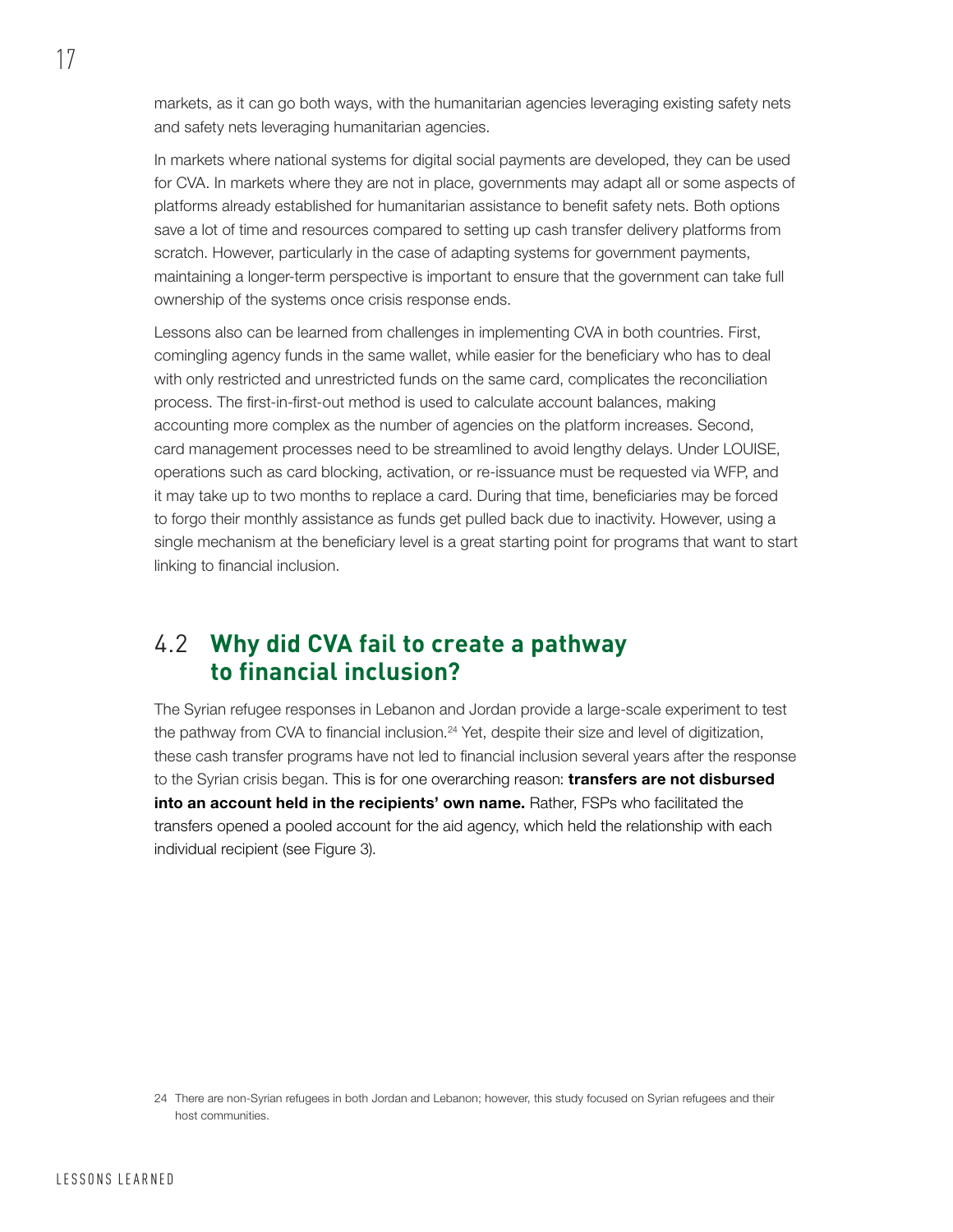markets, as it can go both ways, with the humanitarian agencies leveraging existing safety nets and safety nets leveraging humanitarian agencies.

In markets where national systems for digital social payments are developed, they can be used for CVA. In markets where they are not in place, governments may adapt all or some aspects of platforms already established for humanitarian assistance to benefit safety nets. Both options save a lot of time and resources compared to setting up cash transfer delivery platforms from scratch. However, particularly in the case of adapting systems for government payments, maintaining a longer-term perspective is important to ensure that the government can take full ownership of the systems once crisis response ends.

Lessons also can be learned from challenges in implementing CVA in both countries. First, comingling agency funds in the same wallet, while easier for the beneficiary who has to deal with only restricted and unrestricted funds on the same card, complicates the reconciliation process. The first-in-first-out method is used to calculate account balances, making accounting more complex as the number of agencies on the platform increases. Second, card management processes need to be streamlined to avoid lengthy delays. Under LOUISE, operations such as card blocking, activation, or re-issuance must be requested via WFP, and it may take up to two months to replace a card. During that time, beneficiaries may be forced to forgo their monthly assistance as funds get pulled back due to inactivity. However, using a single mechanism at the beneficiary level is a great starting point for programs that want to start linking to financial inclusion.

### 4.2 **Why did CVA fail to create a pathway to financial inclusion?**

The Syrian refugee responses in Lebanon and Jordan provide a large-scale experiment to test the pathway from CVA to financial inclusion.<sup>24</sup> Yet, despite their size and level of digitization, these cash transfer programs have not led to financial inclusion several years after the response to the Syrian crisis began. This is for one overarching reason: **transfers are not disbursed** into an account held in the recipients' own name. Rather, FSPs who facilitated the transfers opened a pooled account for the aid agency, which held the relationship with each individual recipient (see Figure 3).

<sup>24</sup> There are non-Syrian refugees in both Jordan and Lebanon; however, this study focused on Syrian refugees and their host communities.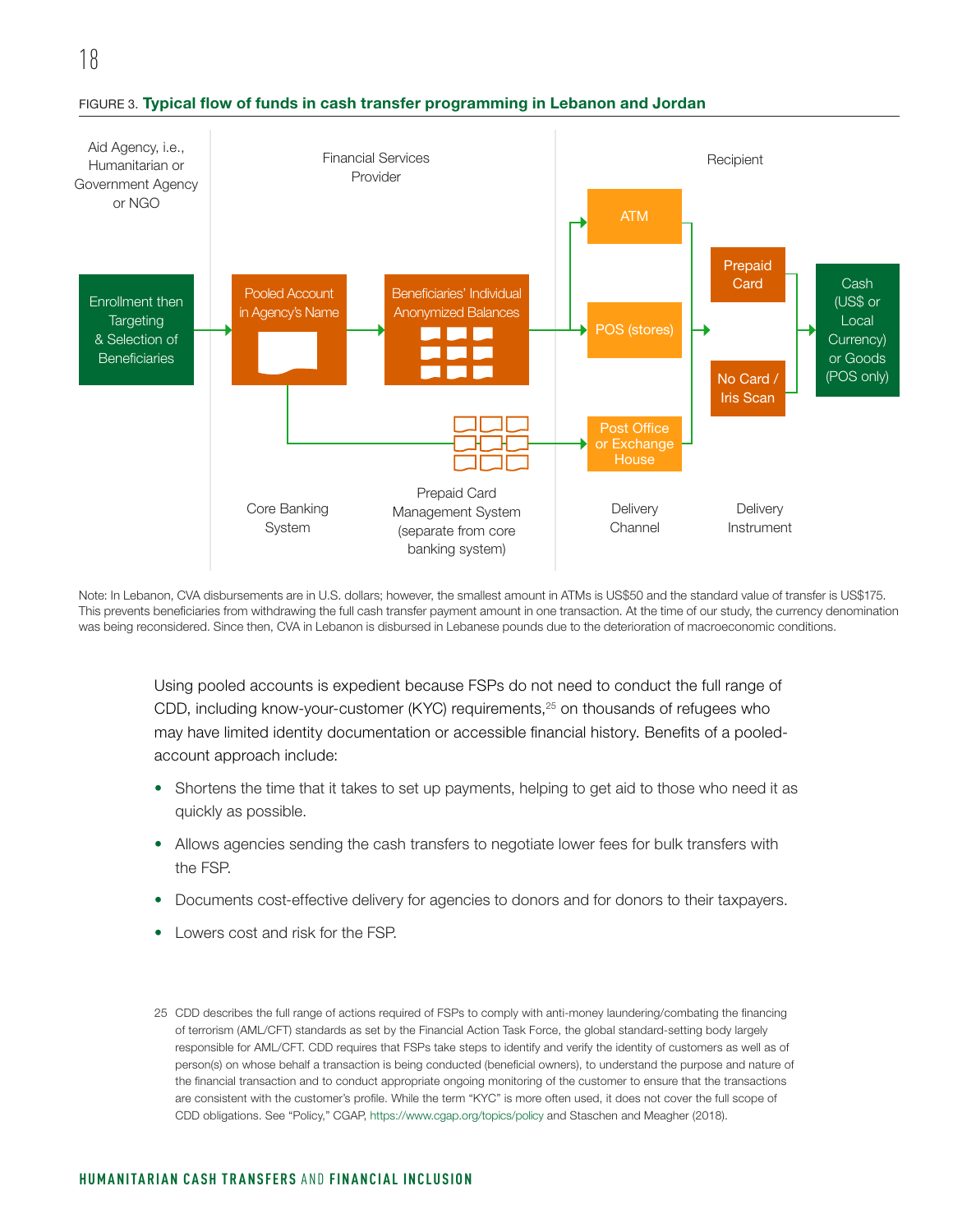

#### FIGURE 3. Typical flow of funds in cash transfer programming in Lebanon and Jordan

Note: In Lebanon, CVA disbursements are in U.S. dollars; however, the smallest amount in ATMs is US\$50 and the standard value of transfer is US\$175. This prevents beneficiaries from withdrawing the full cash transfer payment amount in one transaction. At the time of our study, the currency denomination was being reconsidered. Since then, CVA in Lebanon is disbursed in Lebanese pounds due to the deterioration of macroeconomic conditions.

Using pooled accounts is expedient because FSPs do not need to conduct the full range of CDD, including know-your-customer (KYC) requirements,<sup>25</sup> on thousands of refugees who may have limited identity documentation or accessible financial history. Benefits of a pooledaccount approach include:

- Shortens the time that it takes to set up payments, helping to get aid to those who need it as quickly as possible.
- Allows agencies sending the cash transfers to negotiate lower fees for bulk transfers with the FSP.
- Documents cost-effective delivery for agencies to donors and for donors to their taxpayers.
- Lowers cost and risk for the FSP.

<sup>25</sup> CDD describes the full range of actions required of FSPs to comply with anti-money laundering/combating the financing of terrorism (AML/CFT) standards as set by the Financial Action Task Force, the global standard-setting body largely responsible for AML/CFT. CDD requires that FSPs take steps to identify and verify the identity of customers as well as of person(s) on whose behalf a transaction is being conducted (beneficial owners), to understand the purpose and nature of the financial transaction and to conduct appropriate ongoing monitoring of the customer to ensure that the transactions are consistent with the customer's profile. While the term "KYC" is more often used, it does not cover the full scope of CDD obligations. See "Policy," CGAP, <https://www.cgap.org/topics/policy> and Staschen and Meagher (2018).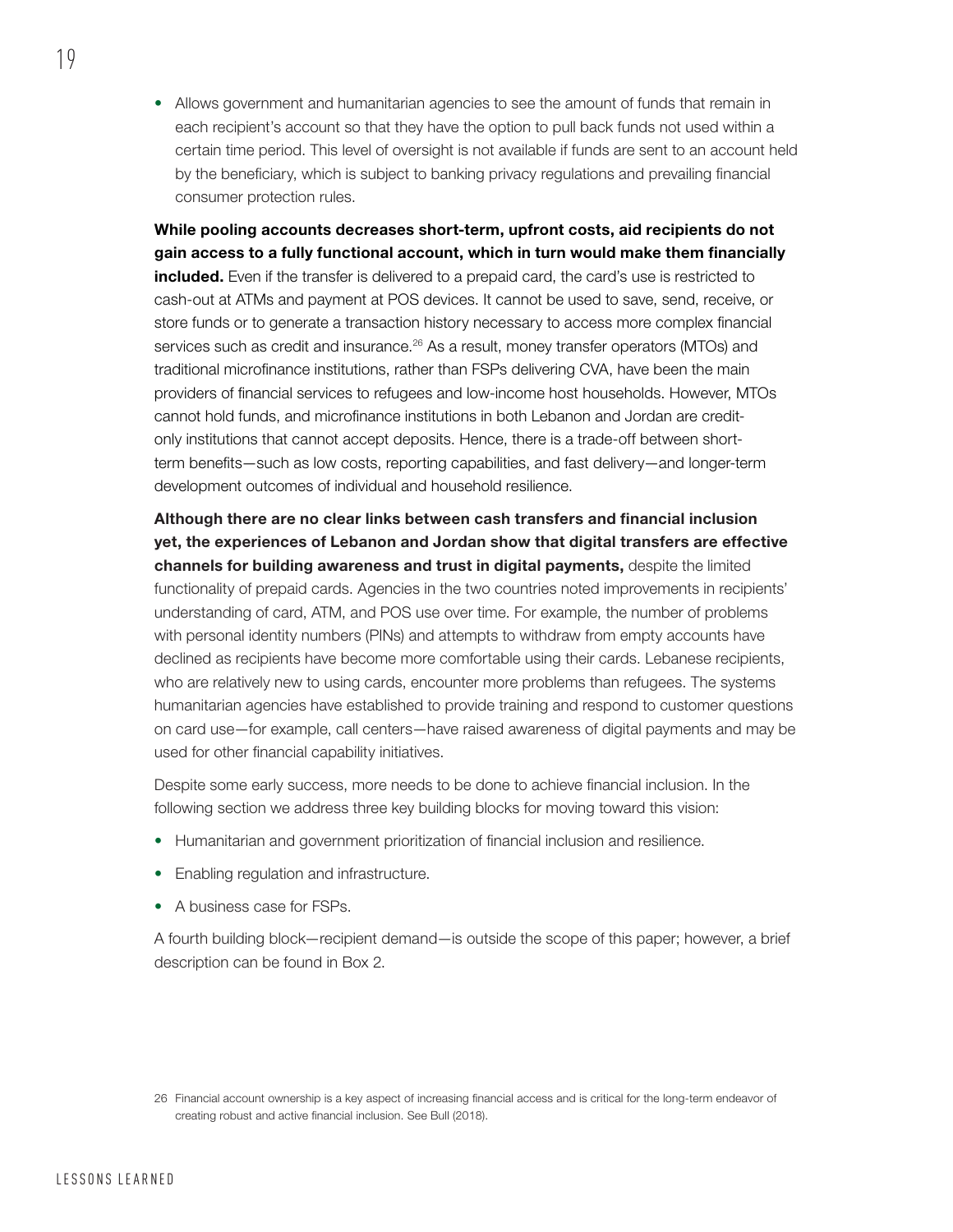• Allows government and humanitarian agencies to see the amount of funds that remain in each recipient's account so that they have the option to pull back funds not used within a certain time period. This level of oversight is not available if funds are sent to an account held by the beneficiary, which is subject to banking privacy regulations and prevailing financial consumer protection rules.

While pooling accounts decreases short-term, upfront costs, aid recipients do not gain access to a fully functional account, which in turn would make them financially included. Even if the transfer is delivered to a prepaid card, the card's use is restricted to cash-out at ATMs and payment at POS devices. It cannot be used to save, send, receive, or store funds or to generate a transaction history necessary to access more complex financial services such as credit and insurance.<sup>26</sup> As a result, money transfer operators (MTOs) and traditional microfinance institutions, rather than FSPs delivering CVA, have been the main providers of financial services to refugees and low-income host households. However, MTOs cannot hold funds, and microfinance institutions in both Lebanon and Jordan are creditonly institutions that cannot accept deposits. Hence, there is a trade-off between shortterm benefits—such as low costs, reporting capabilities, and fast delivery—and longer-term development outcomes of individual and household resilience.

Although there are no clear links between cash transfers and financial inclusion yet, the experiences of Lebanon and Jordan show that digital transfers are effective channels for building awareness and trust in digital payments, despite the limited functionality of prepaid cards. Agencies in the two countries noted improvements in recipients' understanding of card, ATM, and POS use over time. For example, the number of problems with personal identity numbers (PINs) and attempts to withdraw from empty accounts have declined as recipients have become more comfortable using their cards. Lebanese recipients, who are relatively new to using cards, encounter more problems than refugees. The systems humanitarian agencies have established to provide training and respond to customer questions on card use—for example, call centers—have raised awareness of digital payments and may be used for other financial capability initiatives.

Despite some early success, more needs to be done to achieve financial inclusion. In the following section we address three key building blocks for moving toward this vision:

- Humanitarian and government prioritization of financial inclusion and resilience.
- Enabling regulation and infrastructure.
- A business case for FSPs.

A fourth building block—recipient demand—is outside the scope of this paper; however, a brief description can be found in Box 2.

<sup>26</sup> Financial account ownership is a key aspect of increasing financial access and is critical for the long-term endeavor of creating robust and active financial inclusion. See Bull (2018).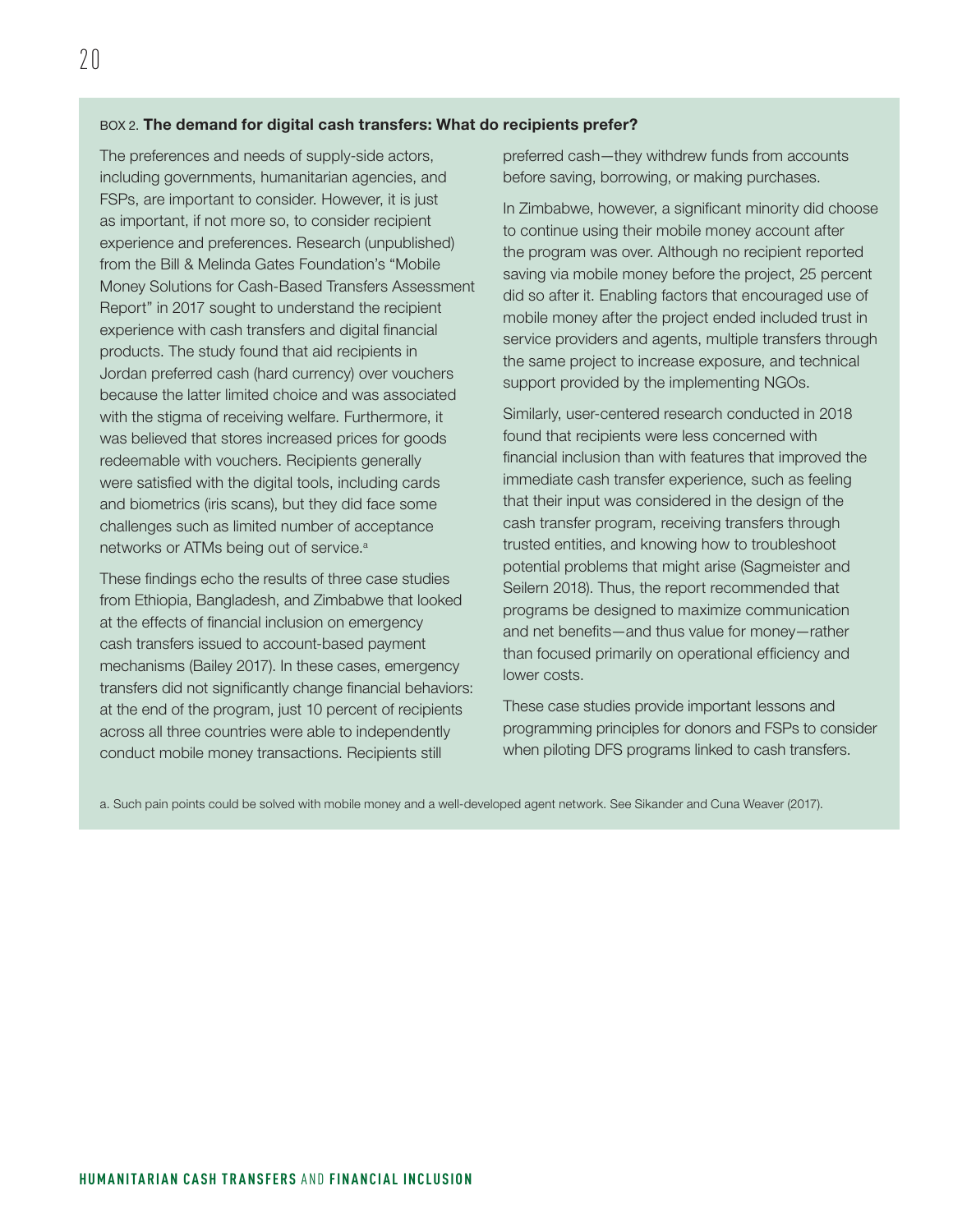#### BOX 2. The demand for digital cash transfers: What do recipients prefer?

The preferences and needs of supply-side actors, including governments, humanitarian agencies, and FSPs, are important to consider. However, it is just as important, if not more so, to consider recipient experience and preferences. Research (unpublished) from the Bill & Melinda Gates Foundation's "Mobile Money Solutions for Cash-Based Transfers Assessment Report" in 2017 sought to understand the recipient experience with cash transfers and digital financial products. The study found that aid recipients in Jordan preferred cash (hard currency) over vouchers because the latter limited choice and was associated with the stigma of receiving welfare. Furthermore, it was believed that stores increased prices for goods redeemable with vouchers. Recipients generally were satisfied with the digital tools, including cards and biometrics (iris scans), but they did face some challenges such as limited number of acceptance networks or ATMs being out of service.<sup>a</sup>

These findings echo the results of three case studies from Ethiopia, Bangladesh, and Zimbabwe that looked at the effects of financial inclusion on emergency cash transfers issued to account-based payment mechanisms (Bailey 2017). In these cases, emergency transfers did not significantly change financial behaviors: at the end of the program, just 10 percent of recipients across all three countries were able to independently conduct mobile money transactions. Recipients still

preferred cash—they withdrew funds from accounts before saving, borrowing, or making purchases.

In Zimbabwe, however, a significant minority did choose to continue using their mobile money account after the program was over. Although no recipient reported saving via mobile money before the project, 25 percent did so after it. Enabling factors that encouraged use of mobile money after the project ended included trust in service providers and agents, multiple transfers through the same project to increase exposure, and technical support provided by the implementing NGOs.

Similarly, user-centered research conducted in 2018 found that recipients were less concerned with financial inclusion than with features that improved the immediate cash transfer experience, such as feeling that their input was considered in the design of the cash transfer program, receiving transfers through trusted entities, and knowing how to troubleshoot potential problems that might arise (Sagmeister and Seilern 2018). Thus, the report recommended that programs be designed to maximize communication and net benefits—and thus value for money—rather than focused primarily on operational efficiency and lower costs.

These case studies provide important lessons and programming principles for donors and FSPs to consider when piloting DFS programs linked to cash transfers.

a. Such pain points could be solved with mobile money and a well-developed agent network. See Sikander and Cuna Weaver (2017).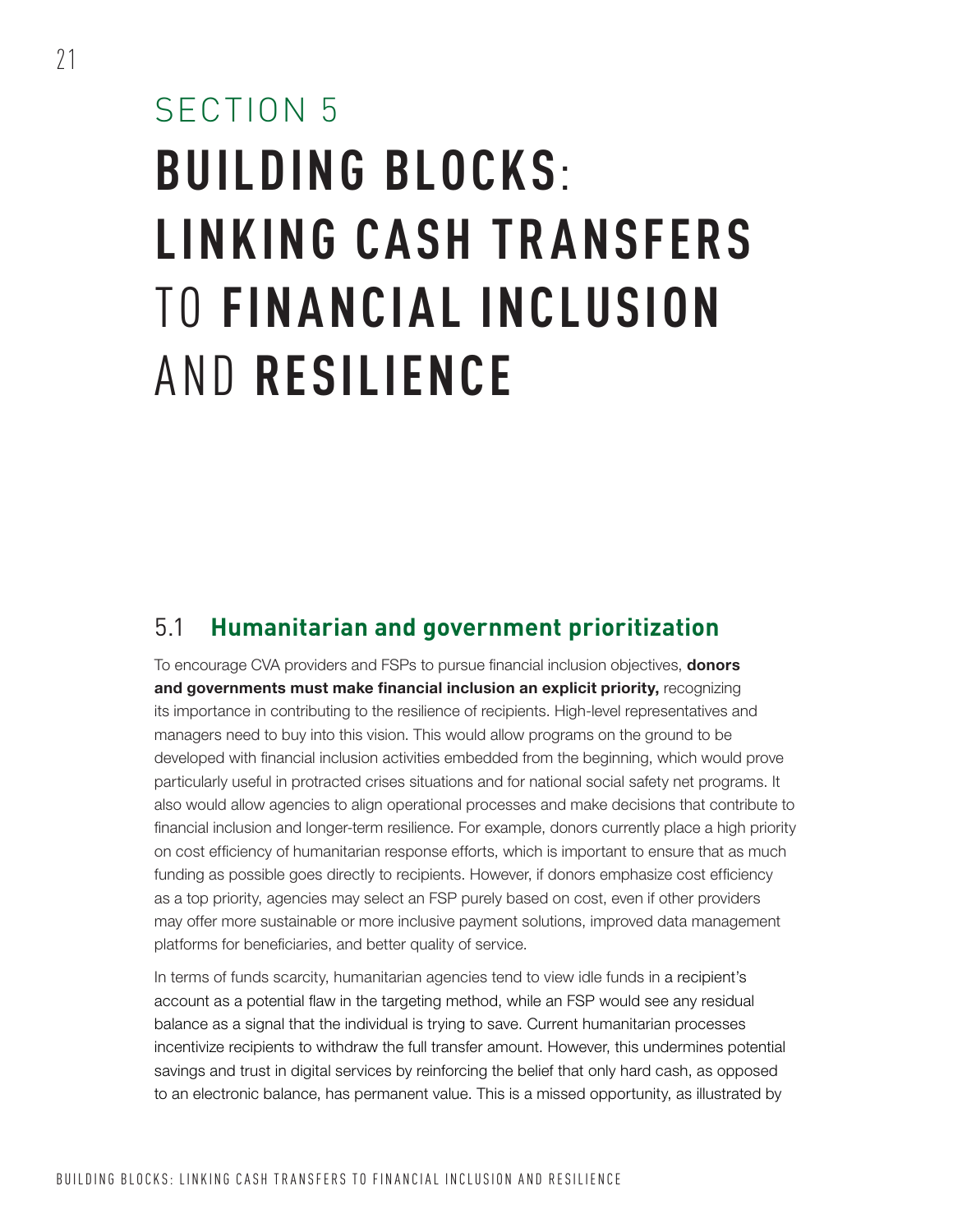# SECTION 5 **BUILDING BLOCKS**: **LINKING CASH TR ANSFERS**  TO **FINANCIAL INCLUSION**  AND **RESILIENCE**

### 5.1 **Humanitarian and government prioritization**

To encourage CVA providers and FSPs to pursue financial inclusion objectives, **donors** and governments must make financial inclusion an explicit priority, recognizing its importance in contributing to the resilience of recipients. High-level representatives and managers need to buy into this vision. This would allow programs on the ground to be developed with financial inclusion activities embedded from the beginning, which would prove particularly useful in protracted crises situations and for national social safety net programs. It also would allow agencies to align operational processes and make decisions that contribute to financial inclusion and longer-term resilience. For example, donors currently place a high priority on cost efficiency of humanitarian response efforts, which is important to ensure that as much funding as possible goes directly to recipients. However, if donors emphasize cost efficiency as a top priority, agencies may select an FSP purely based on cost, even if other providers may offer more sustainable or more inclusive payment solutions, improved data management platforms for beneficiaries, and better quality of service.

In terms of funds scarcity, humanitarian agencies tend to view idle funds in a recipient's account as a potential flaw in the targeting method, while an FSP would see any residual balance as a signal that the individual is trying to save. Current humanitarian processes incentivize recipients to withdraw the full transfer amount. However, this undermines potential savings and trust in digital services by reinforcing the belief that only hard cash, as opposed to an electronic balance, has permanent value. This is a missed opportunity, as illustrated by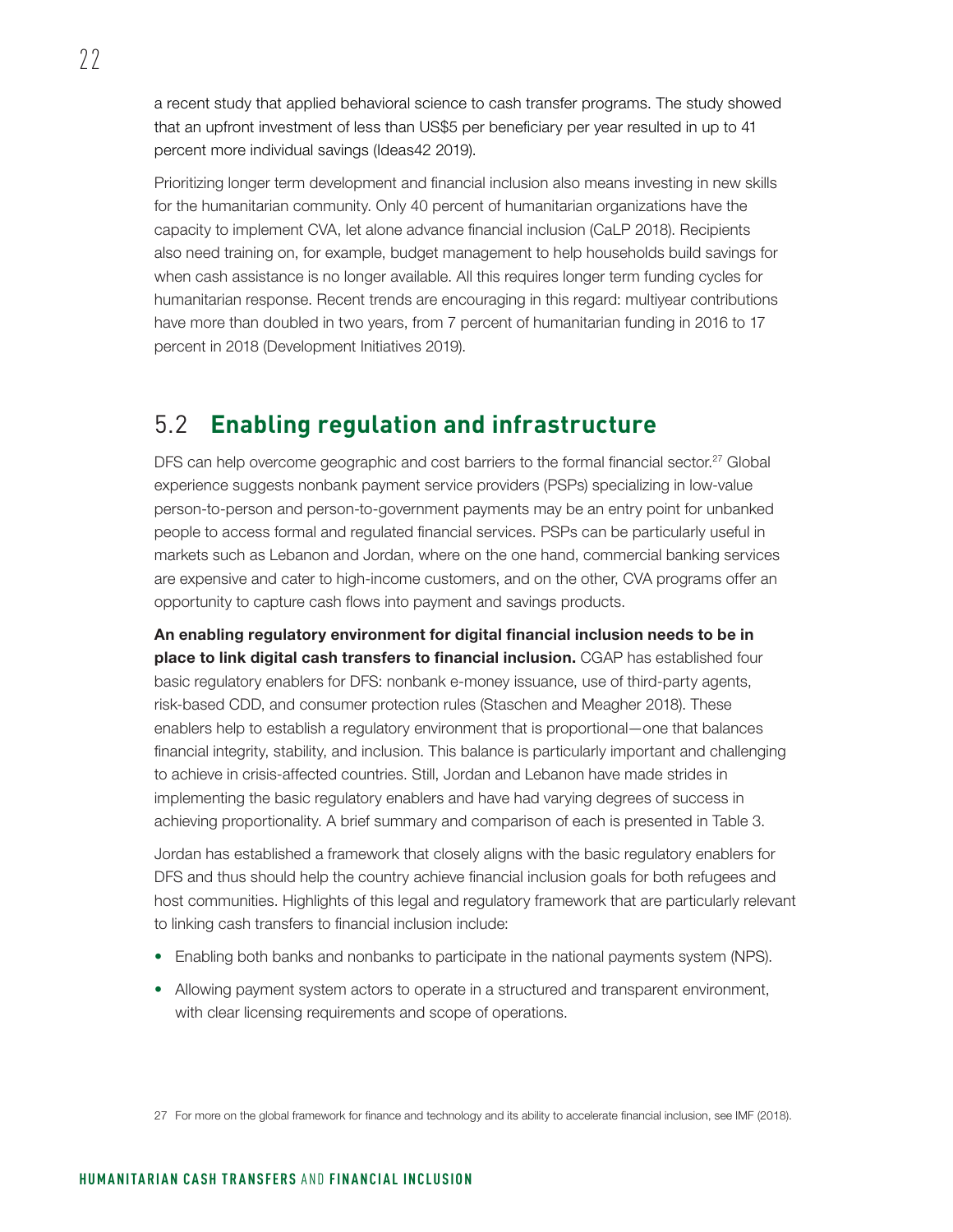a recent study that applied behavioral science to cash transfer programs. The study showed that an upfront investment of less than US\$5 per beneficiary per year resulted in up to 41 percent more individual savings (Ideas42 2019).

Prioritizing longer term development and financial inclusion also means investing in new skills for the humanitarian community. Only 40 percent of humanitarian organizations have the capacity to implement CVA, let alone advance financial inclusion (CaLP 2018). Recipients also need training on, for example, budget management to help households build savings for when cash assistance is no longer available. All this requires longer term funding cycles for humanitarian response. Recent trends are encouraging in this regard: multiyear contributions have more than doubled in two years, from 7 percent of humanitarian funding in 2016 to 17 percent in 2018 (Development Initiatives 2019).

### 5.2 **Enabling regulation and infrastructure**

DFS can help overcome geographic and cost barriers to the formal financial sector.<sup>27</sup> Global experience suggests nonbank payment service providers (PSPs) specializing in low-value person-to-person and person-to-government payments may be an entry point for unbanked people to access formal and regulated financial services. PSPs can be particularly useful in markets such as Lebanon and Jordan, where on the one hand, commercial banking services are expensive and cater to high-income customers, and on the other, CVA programs offer an opportunity to capture cash flows into payment and savings products.

An enabling regulatory environment for digital financial inclusion needs to be in place to link digital cash transfers to financial inclusion. CGAP has established four basic regulatory enablers for DFS: nonbank e-money issuance, use of third-party agents, risk-based CDD, and consumer protection rules (Staschen and Meagher 2018). These enablers help to establish a regulatory environment that is proportional—one that balances financial integrity, stability, and inclusion. This balance is particularly important and challenging to achieve in crisis-affected countries. Still, Jordan and Lebanon have made strides in implementing the basic regulatory enablers and have had varying degrees of success in achieving proportionality. A brief summary and comparison of each is presented in [Table 3](#page-28-0).

Jordan has established a framework that closely aligns with the basic regulatory enablers for DFS and thus should help the country achieve financial inclusion goals for both refugees and host communities. Highlights of this legal and regulatory framework that are particularly relevant to linking cash transfers to financial inclusion include:

- Enabling both banks and nonbanks to participate in the national payments system (NPS).
- Allowing payment system actors to operate in a structured and transparent environment, with clear licensing requirements and scope of operations.

27 For more on the global framework for finance and technology and its ability to accelerate financial inclusion, see IMF (2018).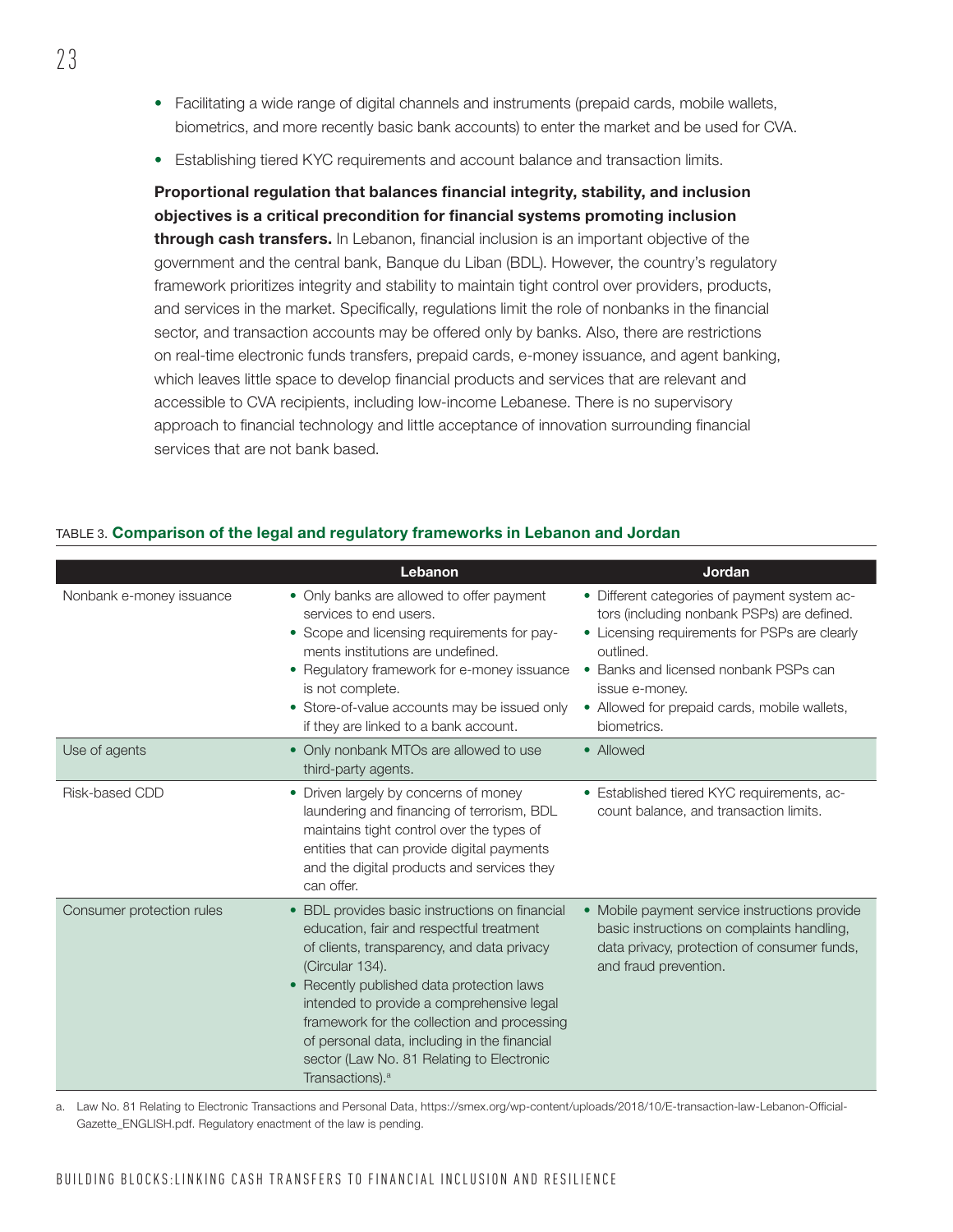- Facilitating a wide range of digital channels and instruments (prepaid cards, mobile wallets, biometrics, and more recently basic bank accounts) to enter the market and be used for CVA.
- Establishing tiered KYC requirements and account balance and transaction limits.

Proportional regulation that balances financial integrity, stability, and inclusion objectives is a critical precondition for financial systems promoting inclusion through cash transfers. In Lebanon, financial inclusion is an important objective of the government and the central bank, Banque du Liban (BDL). However, the country's regulatory framework prioritizes integrity and stability to maintain tight control over providers, products, and services in the market. Specifically, regulations limit the role of nonbanks in the financial sector, and transaction accounts may be offered only by banks. Also, there are restrictions on real-time electronic funds transfers, prepaid cards, e-money issuance, and agent banking, which leaves little space to develop financial products and services that are relevant and accessible to CVA recipients, including low-income Lebanese. There is no supervisory approach to financial technology and little acceptance of innovation surrounding financial services that are not bank based.

|                           | Lebanon                                                                                                                                                                                                                                                                                                                                                                                                                                     | Jordan                                                                                                                                                                                                                                                                             |
|---------------------------|---------------------------------------------------------------------------------------------------------------------------------------------------------------------------------------------------------------------------------------------------------------------------------------------------------------------------------------------------------------------------------------------------------------------------------------------|------------------------------------------------------------------------------------------------------------------------------------------------------------------------------------------------------------------------------------------------------------------------------------|
| Nonbank e-money issuance  | • Only banks are allowed to offer payment<br>services to end users.<br>• Scope and licensing requirements for pay-<br>ments institutions are undefined.<br>• Regulatory framework for e-money issuance<br>is not complete.<br>• Store-of-value accounts may be issued only<br>if they are linked to a bank account.                                                                                                                         | • Different categories of payment system ac-<br>tors (including nonbank PSPs) are defined.<br>• Licensing requirements for PSPs are clearly<br>outlined.<br>• Banks and licensed nonbank PSPs can<br>issue e-money.<br>• Allowed for prepaid cards, mobile wallets,<br>biometrics. |
| Use of agents             | • Only nonbank MTOs are allowed to use<br>third-party agents.                                                                                                                                                                                                                                                                                                                                                                               | • Allowed                                                                                                                                                                                                                                                                          |
| Risk-based CDD            | • Driven largely by concerns of money<br>laundering and financing of terrorism, BDL<br>maintains tight control over the types of<br>entities that can provide digital payments<br>and the digital products and services they<br>can offer.                                                                                                                                                                                                  | • Established tiered KYC requirements, ac-<br>count balance, and transaction limits.                                                                                                                                                                                               |
| Consumer protection rules | BDL provides basic instructions on financial<br>$\bullet$<br>education, fair and respectful treatment<br>of clients, transparency, and data privacy<br>(Circular 134).<br>• Recently published data protection laws<br>intended to provide a comprehensive legal<br>framework for the collection and processing<br>of personal data, including in the financial<br>sector (Law No. 81 Relating to Electronic<br>Transactions). <sup>a</sup> | • Mobile payment service instructions provide<br>basic instructions on complaints handling,<br>data privacy, protection of consumer funds,<br>and fraud prevention.                                                                                                                |

#### <span id="page-28-0"></span>TABLE 3. Comparison of the legal and regulatory frameworks in Lebanon and Jordan

a. Law No. 81 Relating to Electronic Transactions and Personal Data, [https://smex.org/wp-content/uploads/2018/10/E-transaction-law-Lebanon-Official-](https://smex.org/wp-content/uploads/2018/10/E-transaction-law-Lebanon-Official-Gazette_ENGLISH.pdf)[Gazette\\_ENGLISH.pdf](https://smex.org/wp-content/uploads/2018/10/E-transaction-law-Lebanon-Official-Gazette_ENGLISH.pdf). Regulatory enactment of the law is pending.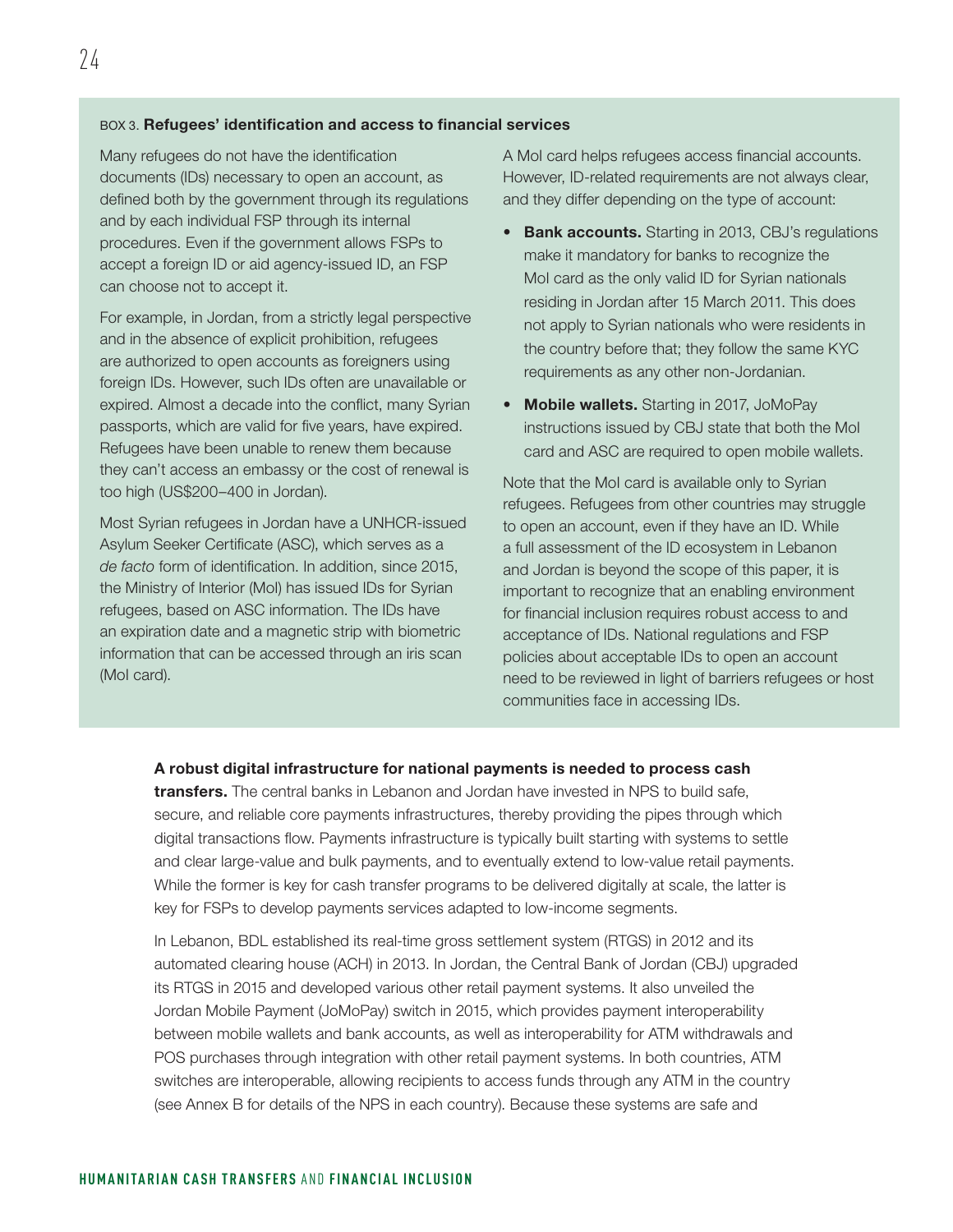#### BOX 3. Refugees' identification and access to financial services

Many refugees do not have the identification documents (IDs) necessary to open an account, as defined both by the government through its regulations and by each individual FSP through its internal procedures. Even if the government allows FSPs to accept a foreign ID or aid agency-issued ID, an FSP can choose not to accept it.

For example, in Jordan, from a strictly legal perspective and in the absence of explicit prohibition, refugees are authorized to open accounts as foreigners using foreign IDs. However, such IDs often are unavailable or expired. Almost a decade into the conflict, many Syrian passports, which are valid for five years, have expired. Refugees have been unable to renew them because they can't access an embassy or the cost of renewal is too high (US\$200–400 in Jordan).

Most Syrian refugees in Jordan have a UNHCR-issued Asylum Seeker Certificate (ASC), which serves as a *de facto* form of identification. In addition, since 2015, the Ministry of Interior (MoI) has issued IDs for Syrian refugees, based on ASC information. The IDs have an expiration date and a magnetic strip with biometric information that can be accessed through an iris scan (MoI card).

A MoI card helps refugees access financial accounts. However, ID-related requirements are not always clear, and they differ depending on the type of account:

- **Bank accounts.** Starting in 2013, CBJ's regulations make it mandatory for banks to recognize the MoI card as the only valid ID for Syrian nationals residing in Jordan after 15 March 2011. This does not apply to Syrian nationals who were residents in the country before that; they follow the same KYC requirements as any other non-Jordanian.
- Mobile wallets. Starting in 2017, JoMoPay instructions issued by CBJ state that both the MoI card and ASC are required to open mobile wallets.

Note that the MoI card is available only to Syrian refugees. Refugees from other countries may struggle to open an account, even if they have an ID. While a full assessment of the ID ecosystem in Lebanon and Jordan is beyond the scope of this paper, it is important to recognize that an enabling environment for financial inclusion requires robust access to and acceptance of IDs. National regulations and FSP policies about acceptable IDs to open an account need to be reviewed in light of barriers refugees or host communities face in accessing IDs.

#### A robust digital infrastructure for national payments is needed to process cash

**transfers.** The central banks in Lebanon and Jordan have invested in NPS to build safe. secure, and reliable core payments infrastructures, thereby providing the pipes through which digital transactions flow. Payments infrastructure is typically built starting with systems to settle and clear large-value and bulk payments, and to eventually extend to low-value retail payments. While the former is key for cash transfer programs to be delivered digitally at scale, the latter is key for FSPs to develop payments services adapted to low-income segments.

In Lebanon, BDL established its real-time gross settlement system (RTGS) in 2012 and its automated clearing house (ACH) in 2013. In Jordan, the Central Bank of Jordan (CBJ) upgraded its RTGS in 2015 and developed various other retail payment systems. It also unveiled the Jordan Mobile Payment (JoMoPay) switch in 2015, which provides payment interoperability between mobile wallets and bank accounts, as well as interoperability for ATM withdrawals and POS purchases through integration with other retail payment systems. In both countries, ATM switches are interoperable, allowing recipients to access funds through any ATM in the country (see Annex B for details of the NPS in each country). Because these systems are safe and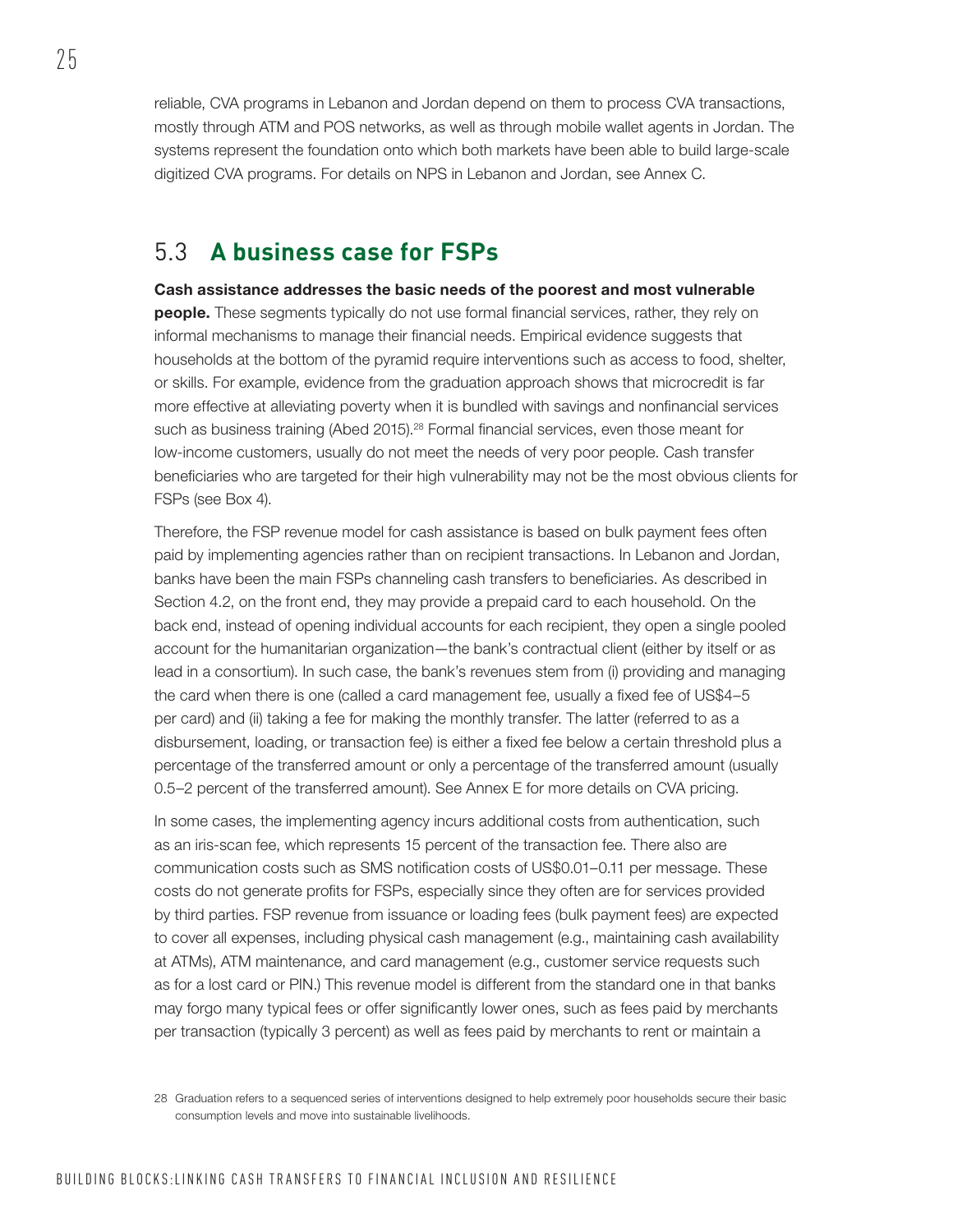reliable, CVA programs in Lebanon and Jordan depend on them to process CVA transactions, mostly through ATM and POS networks, as well as through mobile wallet agents in Jordan. The systems represent the foundation onto which both markets have been able to build large-scale digitized CVA programs. For details on NPS in Lebanon and Jordan, see Annex C.

### 5.3 **A business case for FSPs**

Cash assistance addresses the basic needs of the poorest and most vulnerable people. These segments typically do not use formal financial services, rather, they rely on informal mechanisms to manage their financial needs. Empirical evidence suggests that households at the bottom of the pyramid require interventions such as access to food, shelter, or skills. For example, evidence from the graduation approach shows that microcredit is far more effective at alleviating poverty when it is bundled with savings and nonfinancial services such as business training (Abed 2015).<sup>28</sup> Formal financial services, even those meant for low-income customers, usually do not meet the needs of very poor people. Cash transfer beneficiaries who are targeted for their high vulnerability may not be the most obvious clients for FSPs (see Box 4).

Therefore, the FSP revenue model for cash assistance is based on bulk payment fees often paid by implementing agencies rather than on recipient transactions. In Lebanon and Jordan, banks have been the main FSPs channeling cash transfers to beneficiaries. As described in Section 4.2, on the front end, they may provide a prepaid card to each household. On the back end, instead of opening individual accounts for each recipient, they open a single pooled account for the humanitarian organization—the bank's contractual client (either by itself or as lead in a consortium). In such case, the bank's revenues stem from (i) providing and managing the card when there is one (called a card management fee, usually a fixed fee of US\$4–5 per card) and (ii) taking a fee for making the monthly transfer. The latter (referred to as a disbursement, loading, or transaction fee) is either a fixed fee below a certain threshold plus a percentage of the transferred amount or only a percentage of the transferred amount (usually 0.5–2 percent of the transferred amount). See Annex E for more details on CVA pricing.

In some cases, the implementing agency incurs additional costs from authentication, such as an iris-scan fee, which represents 15 percent of the transaction fee. There also are communication costs such as SMS notification costs of US\$0.01–0.11 per message. These costs do not generate profits for FSPs, especially since they often are for services provided by third parties. FSP revenue from issuance or loading fees (bulk payment fees) are expected to cover all expenses, including physical cash management (e.g., maintaining cash availability at ATMs), ATM maintenance, and card management (e.g., customer service requests such as for a lost card or PIN.) This revenue model is different from the standard one in that banks may forgo many typical fees or offer significantly lower ones, such as fees paid by merchants per transaction (typically 3 percent) as well as fees paid by merchants to rent or maintain a

<sup>28</sup> Graduation refers to a sequenced series of interventions designed to help extremely poor households secure their basic consumption levels and move into sustainable livelihoods.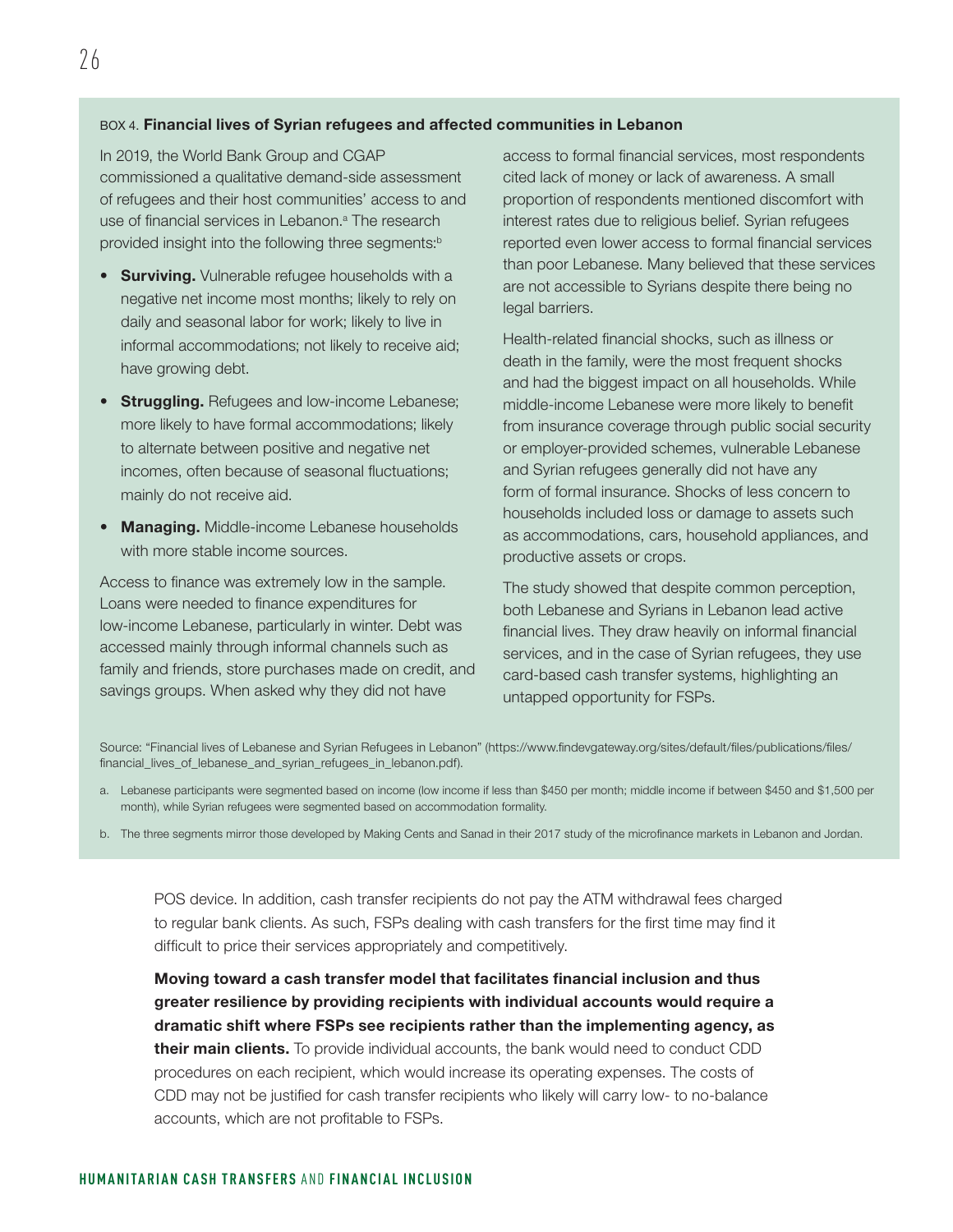#### BOX 4. Financial lives of Syrian refugees and affected communities in Lebanon

In 2019, the World Bank Group and CGAP commissioned a qualitative demand-side assessment of refugees and their host communities' access to and use of financial services in Lebanon.<sup>a</sup> The research provided insight into the following three segments:<sup>b</sup>

- **Surviving.** Vulnerable refugee households with a negative net income most months; likely to rely on daily and seasonal labor for work; likely to live in informal accommodations; not likely to receive aid; have growing debt.
- **Struggling.** Refugees and low-income Lebanese; more likely to have formal accommodations; likely to alternate between positive and negative net incomes, often because of seasonal fluctuations; mainly do not receive aid.
- Managing. Middle-income Lebanese households with more stable income sources.

Access to finance was extremely low in the sample. Loans were needed to finance expenditures for low-income Lebanese, particularly in winter. Debt was accessed mainly through informal channels such as family and friends, store purchases made on credit, and savings groups. When asked why they did not have

access to formal financial services, most respondents cited lack of money or lack of awareness. A small proportion of respondents mentioned discomfort with interest rates due to religious belief. Syrian refugees reported even lower access to formal financial services than poor Lebanese. Many believed that these services are not accessible to Syrians despite there being no legal barriers.

Health-related financial shocks, such as illness or death in the family, were the most frequent shocks and had the biggest impact on all households. While middle-income Lebanese were more likely to benefit from insurance coverage through public social security or employer-provided schemes, vulnerable Lebanese and Syrian refugees generally did not have any form of formal insurance. Shocks of less concern to households included loss or damage to assets such as accommodations, cars, household appliances, and productive assets or crops.

The study showed that despite common perception, both Lebanese and Syrians in Lebanon lead active financial lives. They draw heavily on informal financial services, and in the case of Syrian refugees, they use card-based cash transfer systems, highlighting an untapped opportunity for FSPs.

Source: "Financial lives of Lebanese and Syrian Refugees in Lebanon" (https://www.findevgateway.org/sites/default/files/publications/files/ financial\_lives\_of\_lebanese\_and\_syrian\_refugees\_in\_lebanon.pdf).

- a. Lebanese participants were segmented based on income (low income if less than \$450 per month; middle income if between \$450 and \$1,500 per month), while Syrian refugees were segmented based on accommodation formality.
- b. The three segments mirror those developed by Making Cents and Sanad in their 2017 study of the microfinance markets in Lebanon and Jordan.

POS device. In addition, cash transfer recipients do not pay the ATM withdrawal fees charged to regular bank clients. As such, FSPs dealing with cash transfers for the first time may find it difficult to price their services appropriately and competitively.

Moving toward a cash transfer model that facilitates financial inclusion and thus greater resilience by providing recipients with individual accounts would require a dramatic shift where FSPs see recipients rather than the implementing agency, as **their main clients.** To provide individual accounts, the bank would need to conduct CDD procedures on each recipient, which would increase its operating expenses. The costs of CDD may not be justified for cash transfer recipients who likely will carry low- to no-balance accounts, which are not profitable to FSPs.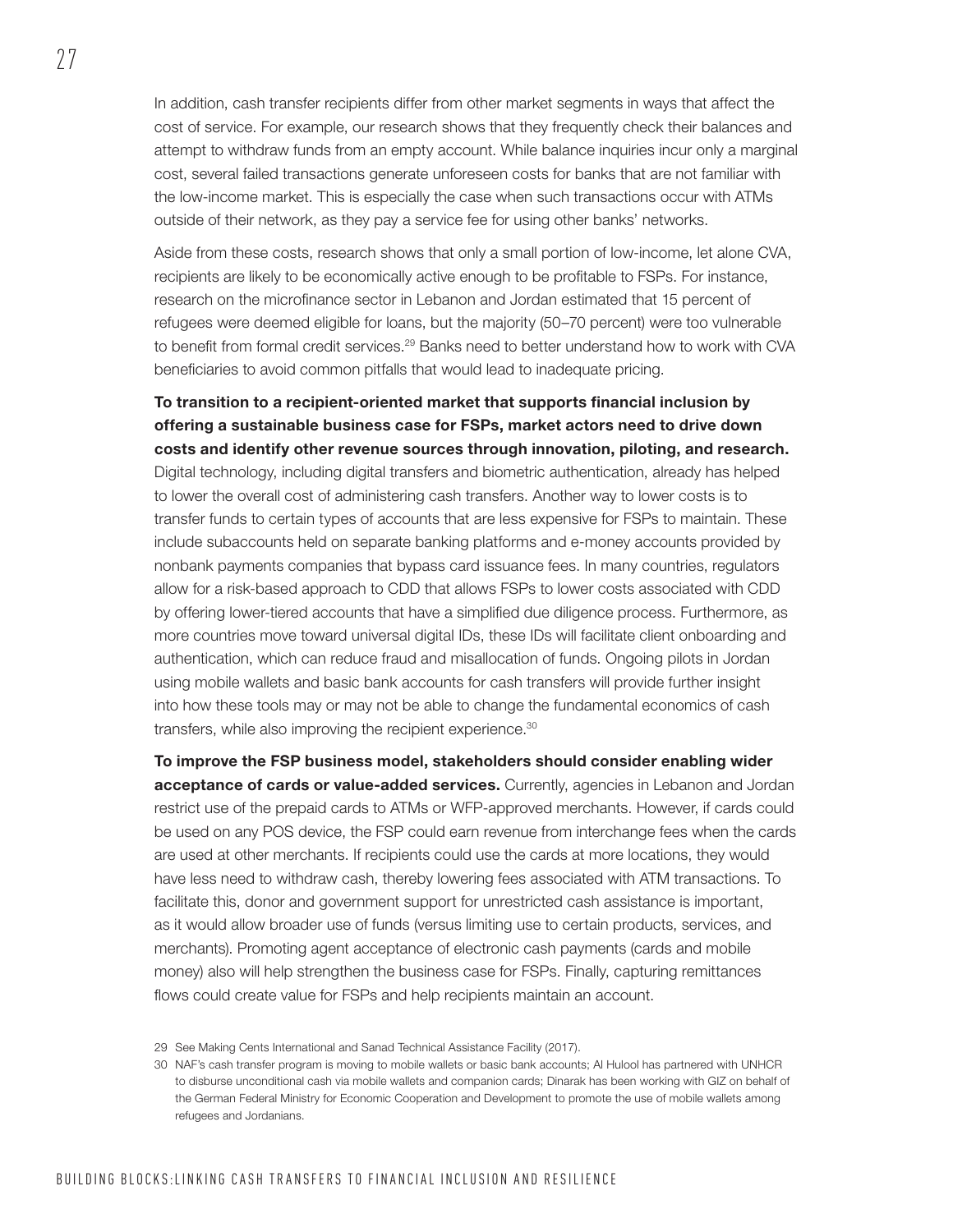In addition, cash transfer recipients differ from other market segments in ways that affect the cost of service. For example, our research shows that they frequently check their balances and attempt to withdraw funds from an empty account. While balance inquiries incur only a marginal cost, several failed transactions generate unforeseen costs for banks that are not familiar with the low-income market. This is especially the case when such transactions occur with ATMs outside of their network, as they pay a service fee for using other banks' networks.

Aside from these costs, research shows that only a small portion of low-income, let alone CVA, recipients are likely to be economically active enough to be profitable to FSPs. For instance, research on the microfinance sector in Lebanon and Jordan estimated that 15 percent of refugees were deemed eligible for loans, but the majority (50–70 percent) were too vulnerable to benefit from formal credit services.<sup>29</sup> Banks need to better understand how to work with CVA beneficiaries to avoid common pitfalls that would lead to inadequate pricing.

To transition to a recipient-oriented market that supports financial inclusion by offering a sustainable business case for FSPs, market actors need to drive down costs and identify other revenue sources through innovation, piloting, and research. Digital technology, including digital transfers and biometric authentication, already has helped to lower the overall cost of administering cash transfers. Another way to lower costs is to transfer funds to certain types of accounts that are less expensive for FSPs to maintain. These include subaccounts held on separate banking platforms and e-money accounts provided by nonbank payments companies that bypass card issuance fees. In many countries, regulators allow for a risk-based approach to CDD that allows FSPs to lower costs associated with CDD by offering lower-tiered accounts that have a simplified due diligence process. Furthermore, as more countries move toward universal digital IDs, these IDs will facilitate client onboarding and authentication, which can reduce fraud and misallocation of funds. Ongoing pilots in Jordan using mobile wallets and basic bank accounts for cash transfers will provide further insight into how these tools may or may not be able to change the fundamental economics of cash transfers, while also improving the recipient experience.30

To improve the FSP business model, stakeholders should consider enabling wider acceptance of cards or value-added services. Currently, agencies in Lebanon and Jordan restrict use of the prepaid cards to ATMs or WFP-approved merchants. However, if cards could be used on any POS device, the FSP could earn revenue from interchange fees when the cards are used at other merchants. If recipients could use the cards at more locations, they would have less need to withdraw cash, thereby lowering fees associated with ATM transactions. To facilitate this, donor and government support for unrestricted cash assistance is important, as it would allow broader use of funds (versus limiting use to certain products, services, and merchants). Promoting agent acceptance of electronic cash payments (cards and mobile money) also will help strengthen the business case for FSPs. Finally, capturing remittances flows could create value for FSPs and help recipients maintain an account.

<sup>29</sup> See Making Cents International and Sanad Technical Assistance Facility (2017).

<sup>30</sup> NAF's cash transfer program is moving to mobile wallets or basic bank accounts; Al Hulool has partnered with UNHCR to disburse unconditional cash via mobile wallets and companion cards; Dinarak has been working with GIZ on behalf of the German Federal Ministry for Economic Cooperation and Development to promote the use of mobile wallets among refugees and Jordanians.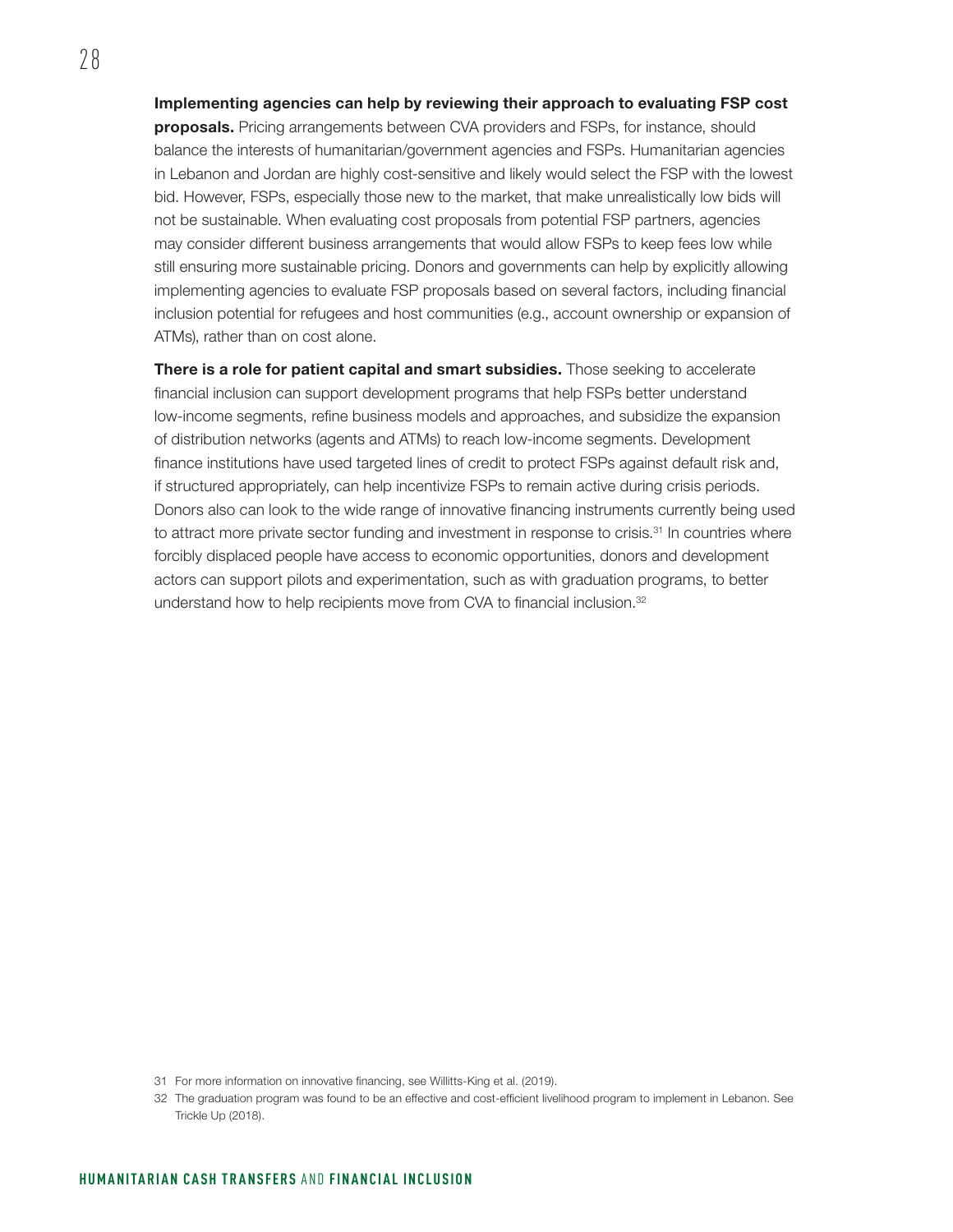Implementing agencies can help by reviewing their approach to evaluating FSP cost proposals. Pricing arrangements between CVA providers and FSPs, for instance, should balance the interests of humanitarian/government agencies and FSPs. Humanitarian agencies in Lebanon and Jordan are highly cost-sensitive and likely would select the FSP with the lowest bid. However, FSPs, especially those new to the market, that make unrealistically low bids will not be sustainable. When evaluating cost proposals from potential FSP partners, agencies may consider different business arrangements that would allow FSPs to keep fees low while still ensuring more sustainable pricing. Donors and governments can help by explicitly allowing implementing agencies to evaluate FSP proposals based on several factors, including financial inclusion potential for refugees and host communities (e.g., account ownership or expansion of ATMs), rather than on cost alone.

There is a role for patient capital and smart subsidies. Those seeking to accelerate financial inclusion can support development programs that help FSPs better understand low-income segments, refine business models and approaches, and subsidize the expansion of distribution networks (agents and ATMs) to reach low-income segments. Development finance institutions have used targeted lines of credit to protect FSPs against default risk and, if structured appropriately, can help incentivize FSPs to remain active during crisis periods. Donors also can look to the wide range of innovative financing instruments currently being used to attract more private sector funding and investment in response to crisis.<sup>31</sup> In countries where forcibly displaced people have access to economic opportunities, donors and development actors can support pilots and experimentation, such as with graduation programs, to better understand how to help recipients move from CVA to financial inclusion.32

<sup>31</sup> For more information on innovative financing, see Willitts-King et al. (2019).

<sup>32</sup> The graduation program was found to be an effective and cost-efficient livelihood program to implement in Lebanon. See Trickle Up (2018).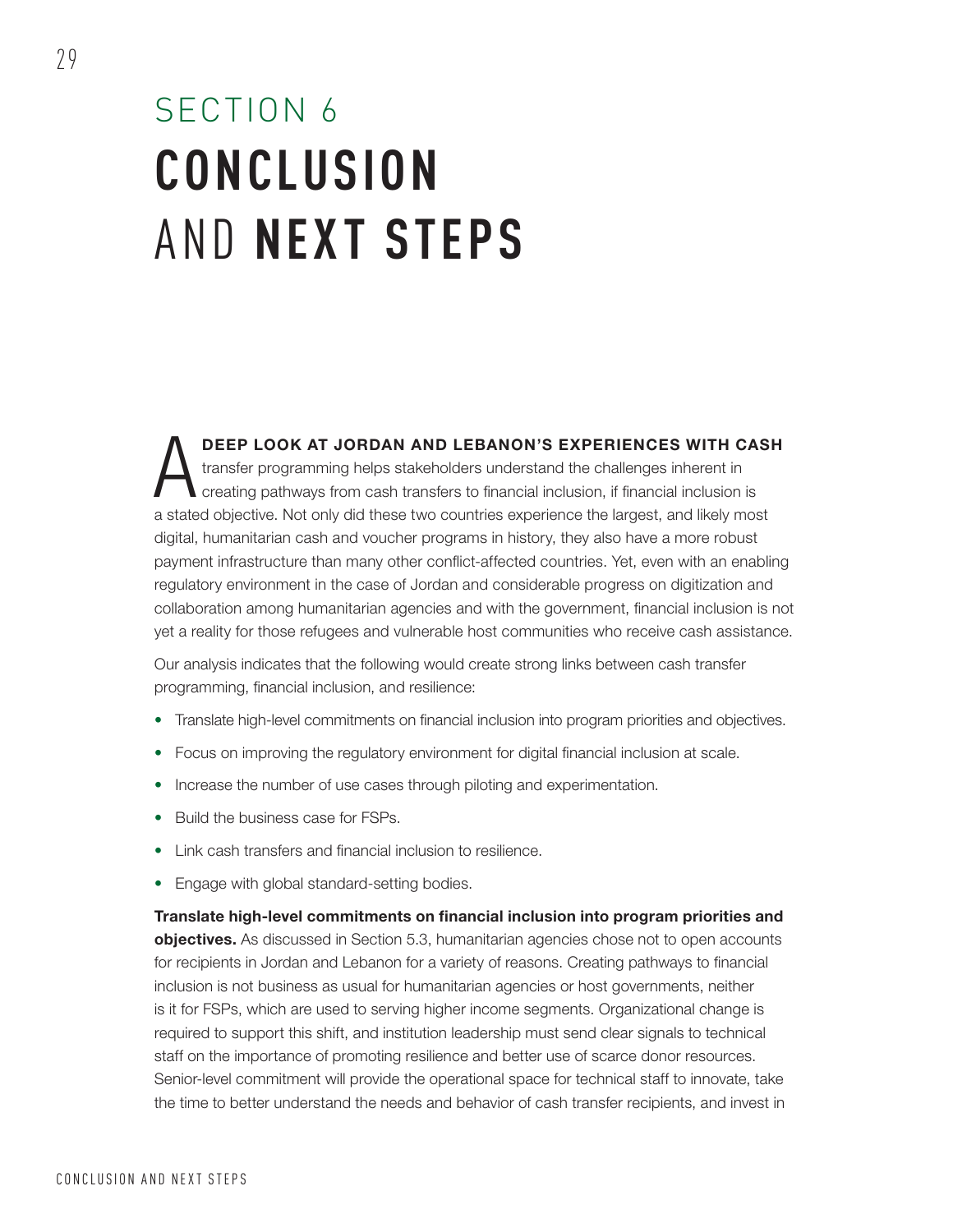## SECTION 6 **CONCLUSION** AND **NEXT STEPS**

DEEP LOOK AT JORDAN AND LEBANON'S EXPERIENCES WITH CASH transfer programming helps stakeholders understand the challenges inherent in creating pathways from cash transfers to financial inclusion, if financial inclusion is a stated objective. Not only did these two countries experience the largest, and likely most digital, humanitarian cash and voucher programs in history, they also have a more robust payment infrastructure than many other conflict-affected countries. Yet, even with an enabling regulatory environment in the case of Jordan and considerable progress on digitization and collaboration among humanitarian agencies and with the government, financial inclusion is not yet a reality for those refugees and vulnerable host communities who receive cash assistance.

Our analysis indicates that the following would create strong links between cash transfer programming, financial inclusion, and resilience:

- Translate high-level commitments on financial inclusion into program priorities and objectives.
- Focus on improving the regulatory environment for digital financial inclusion at scale.
- Increase the number of use cases through piloting and experimentation.
- Build the business case for FSPs.
- Link cash transfers and financial inclusion to resilience.
- Engage with global standard-setting bodies.

Translate high-level commitments on financial inclusion into program priorities and objectives. As discussed in Section 5.3, humanitarian agencies chose not to open accounts for recipients in Jordan and Lebanon for a variety of reasons. Creating pathways to financial inclusion is not business as usual for humanitarian agencies or host governments, neither is it for FSPs, which are used to serving higher income segments. Organizational change is required to support this shift, and institution leadership must send clear signals to technical staff on the importance of promoting resilience and better use of scarce donor resources. Senior-level commitment will provide the operational space for technical staff to innovate, take the time to better understand the needs and behavior of cash transfer recipients, and invest in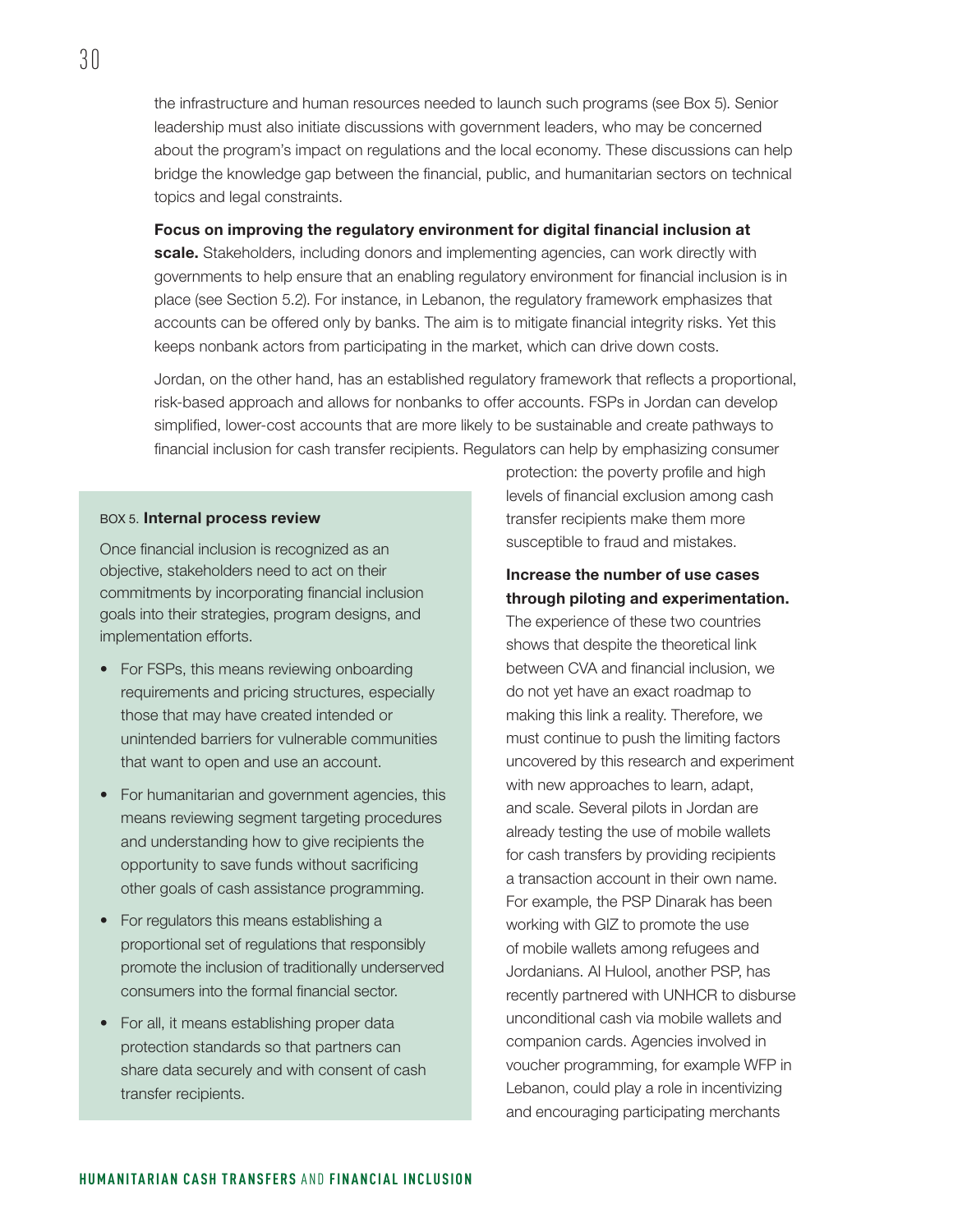the infrastructure and human resources needed to launch such programs (see Box 5). Senior leadership must also initiate discussions with government leaders, who may be concerned about the program's impact on regulations and the local economy. These discussions can help bridge the knowledge gap between the financial, public, and humanitarian sectors on technical topics and legal constraints.

Focus on improving the regulatory environment for digital financial inclusion at scale. Stakeholders, including donors and implementing agencies, can work directly with governments to help ensure that an enabling regulatory environment for financial inclusion is in place (see Section 5.2). For instance, in Lebanon, the regulatory framework emphasizes that accounts can be offered only by banks. The aim is to mitigate financial integrity risks. Yet this keeps nonbank actors from participating in the market, which can drive down costs.

Jordan, on the other hand, has an established regulatory framework that reflects a proportional, risk-based approach and allows for nonbanks to offer accounts. FSPs in Jordan can develop simplified, lower-cost accounts that are more likely to be sustainable and create pathways to financial inclusion for cash transfer recipients. Regulators can help by emphasizing consumer

#### BOX 5. Internal process review

Once financial inclusion is recognized as an objective, stakeholders need to act on their commitments by incorporating financial inclusion goals into their strategies, program designs, and implementation efforts.

- For FSPs, this means reviewing onboarding requirements and pricing structures, especially those that may have created intended or unintended barriers for vulnerable communities that want to open and use an account.
- For humanitarian and government agencies, this means reviewing segment targeting procedures and understanding how to give recipients the opportunity to save funds without sacrificing other goals of cash assistance programming.
- For regulators this means establishing a proportional set of regulations that responsibly promote the inclusion of traditionally underserved consumers into the formal financial sector.
- For all, it means establishing proper data protection standards so that partners can share data securely and with consent of cash transfer recipients.

protection: the poverty profile and high levels of financial exclusion among cash transfer recipients make them more susceptible to fraud and mistakes.

### Increase the number of use cases through piloting and experimentation.

The experience of these two countries shows that despite the theoretical link between CVA and financial inclusion, we do not yet have an exact roadmap to making this link a reality. Therefore, we must continue to push the limiting factors uncovered by this research and experiment with new approaches to learn, adapt, and scale. Several pilots in Jordan are already testing the use of mobile wallets for cash transfers by providing recipients a transaction account in their own name. For example, the PSP Dinarak has been working with GIZ to promote the use of mobile wallets among refugees and Jordanians. Al Hulool, another PSP, has recently partnered with UNHCR to disburse unconditional cash via mobile wallets and companion cards. Agencies involved in voucher programming, for example WFP in Lebanon, could play a role in incentivizing and encouraging participating merchants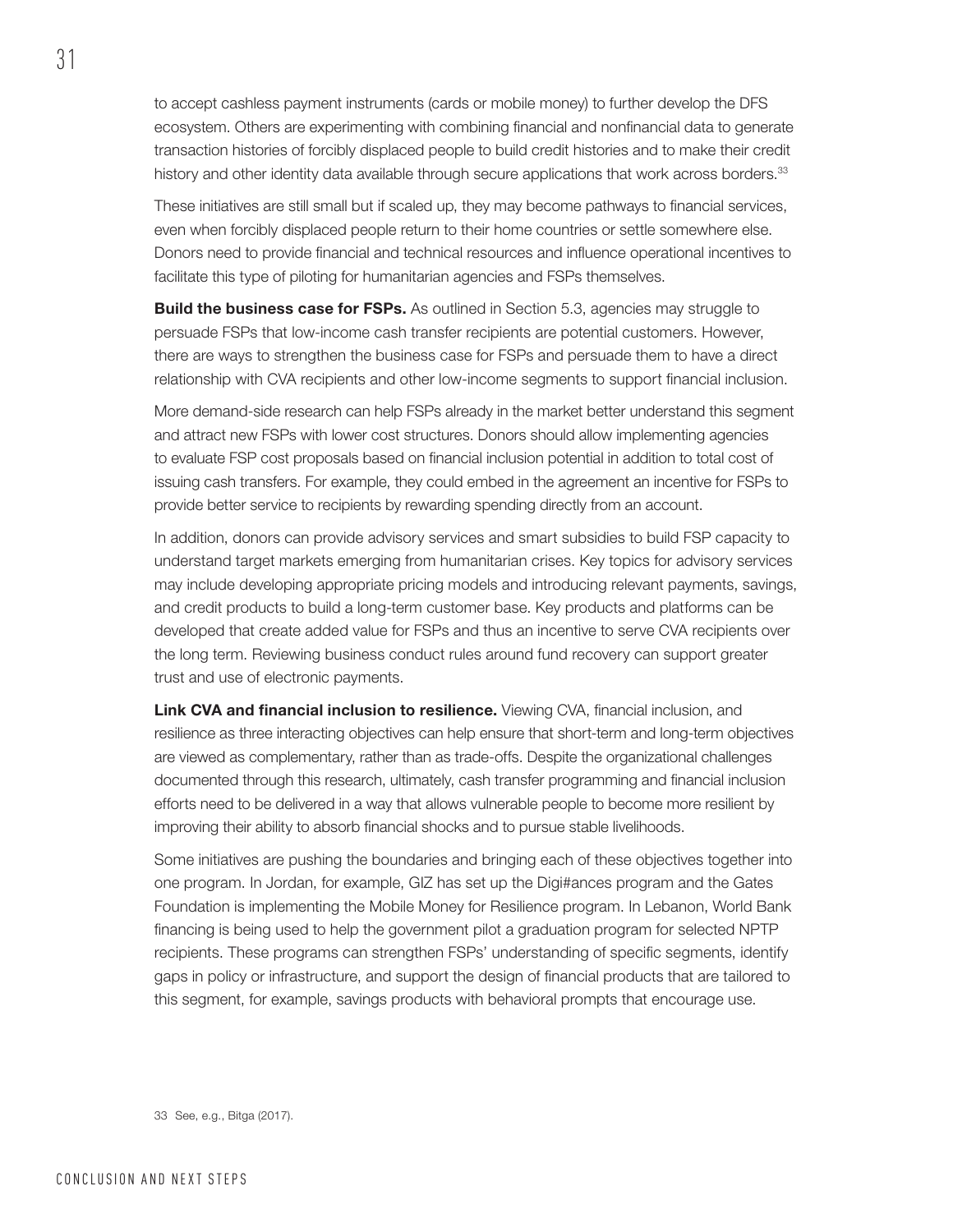to accept cashless payment instruments (cards or mobile money) to further develop the DFS ecosystem. Others are experimenting with combining financial and nonfinancial data to generate transaction histories of forcibly displaced people to build credit histories and to make their credit history and other identity data available through secure applications that work across borders.<sup>33</sup>

These initiatives are still small but if scaled up, they may become pathways to financial services, even when forcibly displaced people return to their home countries or settle somewhere else. Donors need to provide financial and technical resources and influence operational incentives to facilitate this type of piloting for humanitarian agencies and FSPs themselves.

**Build the business case for FSPs.** As outlined in Section 5.3, agencies may struggle to persuade FSPs that low-income cash transfer recipients are potential customers. However, there are ways to strengthen the business case for FSPs and persuade them to have a direct relationship with CVA recipients and other low-income segments to support financial inclusion.

More demand-side research can help FSPs already in the market better understand this segment and attract new FSPs with lower cost structures. Donors should allow implementing agencies to evaluate FSP cost proposals based on financial inclusion potential in addition to total cost of issuing cash transfers. For example, they could embed in the agreement an incentive for FSPs to provide better service to recipients by rewarding spending directly from an account.

In addition, donors can provide advisory services and smart subsidies to build FSP capacity to understand target markets emerging from humanitarian crises. Key topics for advisory services may include developing appropriate pricing models and introducing relevant payments, savings, and credit products to build a long-term customer base. Key products and platforms can be developed that create added value for FSPs and thus an incentive to serve CVA recipients over the long term. Reviewing business conduct rules around fund recovery can support greater trust and use of electronic payments.

Link CVA and financial inclusion to resilience. Viewing CVA, financial inclusion, and resilience as three interacting objectives can help ensure that short-term and long-term objectives are viewed as complementary, rather than as trade-offs. Despite the organizational challenges documented through this research, ultimately, cash transfer programming and financial inclusion efforts need to be delivered in a way that allows vulnerable people to become more resilient by improving their ability to absorb financial shocks and to pursue stable livelihoods.

Some initiatives are pushing the boundaries and bringing each of these objectives together into one program. In Jordan, for example, GIZ has set up the Digi#ances program and the Gates Foundation is implementing the Mobile Money for Resilience program. In Lebanon, World Bank financing is being used to help the government pilot a graduation program for selected NPTP recipients. These programs can strengthen FSPs' understanding of specific segments, identify gaps in policy or infrastructure, and support the design of financial products that are tailored to this segment, for example, savings products with behavioral prompts that encourage use.

33 See, e.g., Bitga (2017).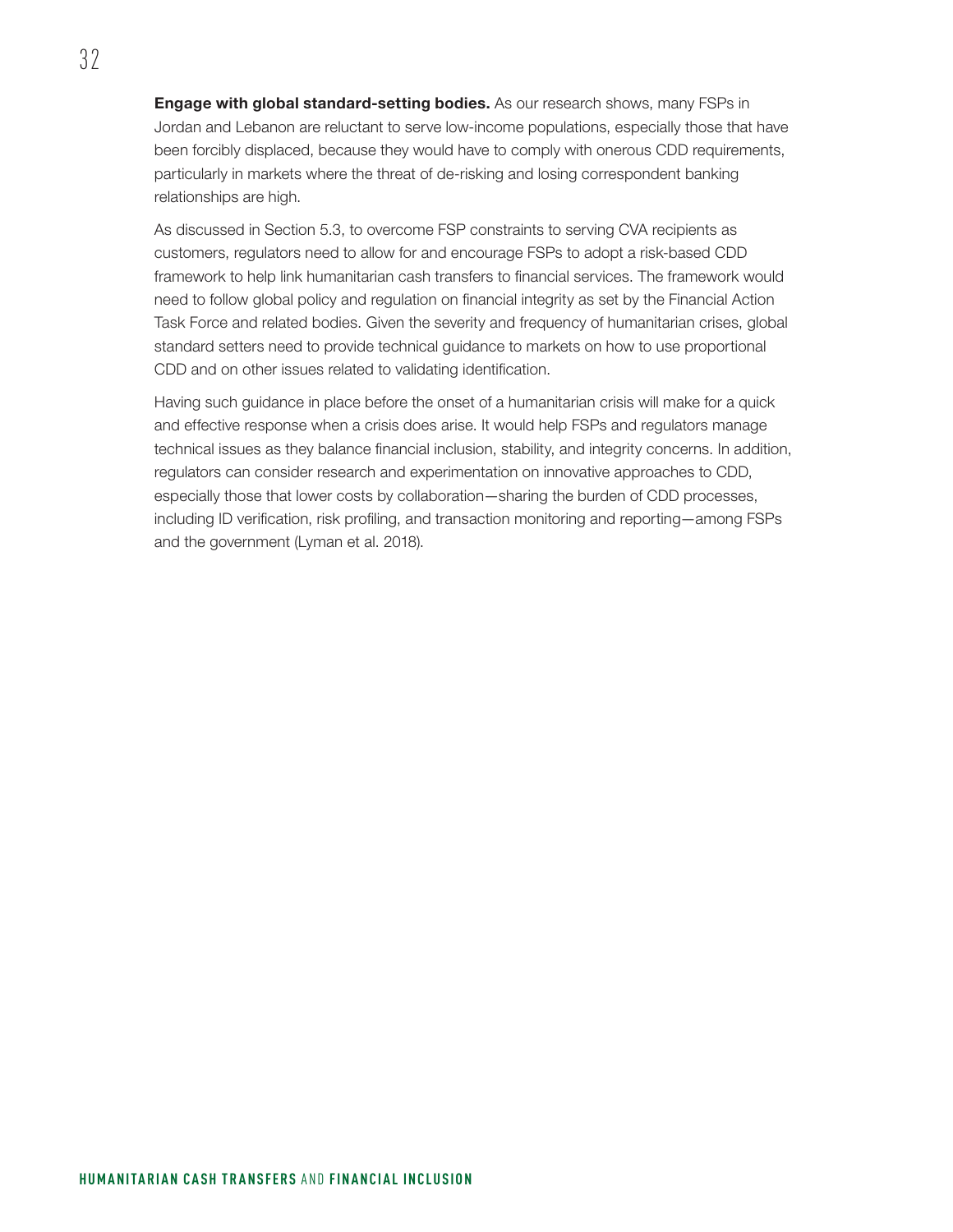Engage with global standard-setting bodies. As our research shows, many FSPs in Jordan and Lebanon are reluctant to serve low-income populations, especially those that have been forcibly displaced, because they would have to comply with onerous CDD requirements, particularly in markets where the threat of de-risking and losing correspondent banking relationships are high.

As discussed in Section 5.3, to overcome FSP constraints to serving CVA recipients as customers, regulators need to allow for and encourage FSPs to adopt a risk-based CDD framework to help link humanitarian cash transfers to financial services. The framework would need to follow global policy and regulation on financial integrity as set by the Financial Action Task Force and related bodies. Given the severity and frequency of humanitarian crises, global standard setters need to provide technical guidance to markets on how to use proportional CDD and on other issues related to validating identification.

Having such guidance in place before the onset of a humanitarian crisis will make for a quick and effective response when a crisis does arise. It would help FSPs and regulators manage technical issues as they balance financial inclusion, stability, and integrity concerns. In addition, regulators can consider research and experimentation on innovative approaches to CDD, especially those that lower costs by collaboration—sharing the burden of CDD processes, including ID verification, risk profiling, and transaction monitoring and reporting—among FSPs and the government (Lyman et al. 2018).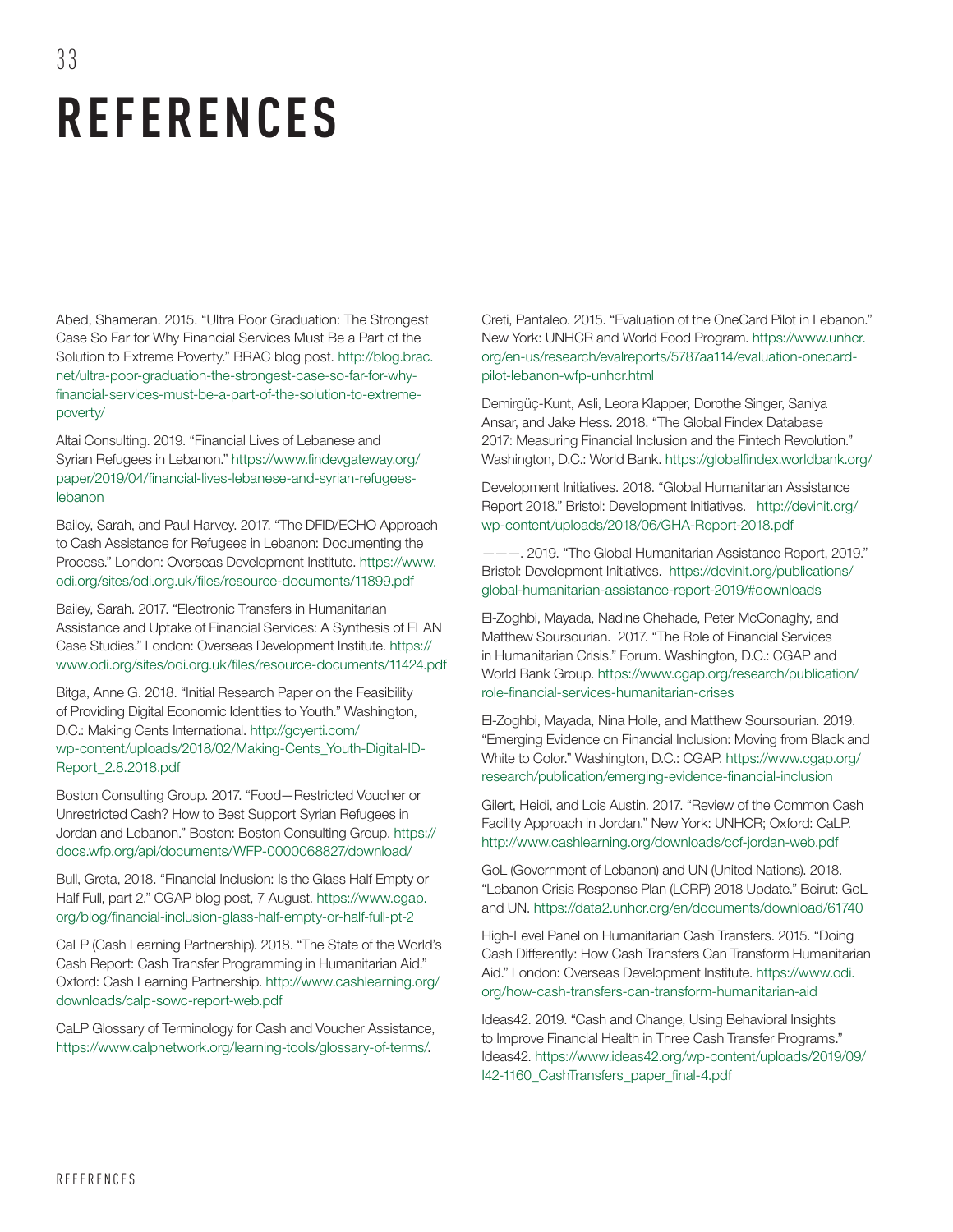# **REFERENCES**

33

Abed, Shameran. 2015. "Ultra Poor Graduation: The Strongest Case So Far for Why Financial Services Must Be a Part of the Solution to Extreme Poverty." BRAC blog post. [http://blog.brac.](http://blog.brac.net/ultra-poor-graduation-the-strongest-case-so-far-for-why-financial-services-must-be-a-part-of-the-solution-to-extreme-poverty/) [net/ultra-poor-graduation-the-strongest-case-so-far-for-why](http://blog.brac.net/ultra-poor-graduation-the-strongest-case-so-far-for-why-financial-services-must-be-a-part-of-the-solution-to-extreme-poverty/)[financial-services-must-be-a-part-of-the-solution-to-extreme](http://blog.brac.net/ultra-poor-graduation-the-strongest-case-so-far-for-why-financial-services-must-be-a-part-of-the-solution-to-extreme-poverty/)[poverty/](http://blog.brac.net/ultra-poor-graduation-the-strongest-case-so-far-for-why-financial-services-must-be-a-part-of-the-solution-to-extreme-poverty/)

Altai Consulting. 2019. "Financial Lives of Lebanese and Syrian Refugees in Lebanon." [https://www.findevgateway.org/](https://www.findevgateway.org/paper/2019/04/financial-lives-lebanese-and-syrian-refugees-lebanon) [paper/2019/04/financial-lives-lebanese-and-syrian-refugees](https://www.findevgateway.org/paper/2019/04/financial-lives-lebanese-and-syrian-refugees-lebanon)[lebanon](https://www.findevgateway.org/paper/2019/04/financial-lives-lebanese-and-syrian-refugees-lebanon)

Bailey, Sarah, and Paul Harvey. 2017. "The DFID/ECHO Approach to Cash Assistance for Refugees in Lebanon: Documenting the Process." London: Overseas Development Institute. [https://www.](https://www.odi.org/sites/odi.org.uk/files/resource-documents/11899.pdf) [odi.org/sites/odi.org.uk/files/resource-documents/11899.pdf](https://www.odi.org/sites/odi.org.uk/files/resource-documents/11899.pdf)

Bailey, Sarah. 2017. "Electronic Transfers in Humanitarian Assistance and Uptake of Financial Services: A Synthesis of ELAN Case Studies." London: Overseas Development Institute. [https://](https://www.odi.org/sites/odi.org.uk/files/resource-documents/11424.pdf) [www.odi.org/sites/odi.org.uk/files/resource-documents/11424.pdf](https://www.odi.org/sites/odi.org.uk/files/resource-documents/11424.pdf)

Bitga, Anne G. 2018. "Initial Research Paper on the Feasibility of Providing Digital Economic Identities to Youth." Washington, D.C.: Making Cents International. [http://gcyerti.com/](http://gcyerti.com/wp-content/uploads/2018/02/Making-Cents_Youth-Digital-ID-Report_2.8.2018.pdf) [wp-content/uploads/2018/02/Making-Cents\\_Youth-Digital-ID-](http://gcyerti.com/wp-content/uploads/2018/02/Making-Cents_Youth-Digital-ID-Report_2.8.2018.pdf)[Report\\_2.8.2018.pdf](http://gcyerti.com/wp-content/uploads/2018/02/Making-Cents_Youth-Digital-ID-Report_2.8.2018.pdf)

Boston Consulting Group. 2017. "Food—Restricted Voucher or Unrestricted Cash? How to Best Support Syrian Refugees in Jordan and Lebanon." Boston: Boston Consulting Group. [https://](https://docs.wfp.org/api/documents/WFP-0000068827/download/) [docs.wfp.org/api/documents/WFP-0000068827/download/](https://docs.wfp.org/api/documents/WFP-0000068827/download/)

Bull, Greta, 2018. "Financial Inclusion: Is the Glass Half Empty or Half Full, part 2." CGAP blog post, 7 August. [https://www.cgap.](https://www.cgap.org/blog/financial-inclusion-glass-half-empty-or-half-full-pt-2) [org/blog/financial-inclusion-glass-half-empty-or-half-full-pt-2](https://www.cgap.org/blog/financial-inclusion-glass-half-empty-or-half-full-pt-2)

CaLP (Cash Learning Partnership). 2018. "The State of the World's Cash Report: Cash Transfer Programming in Humanitarian Aid." Oxford: Cash Learning Partnership. [http://www.cashlearning.org/](http://www.cashlearning.org/downloads/calp-sowc-report-web.pdf) [downloads/calp-sowc-report-web.pdf](http://www.cashlearning.org/downloads/calp-sowc-report-web.pdf)

CaLP Glossary of Terminology for Cash and Voucher Assistance, [https://www.calpnetwork.org/learning-tools/glossary-of-terms/.](https://www.calpnetwork.org/learning-tools/glossary-of-terms/)

Creti, Pantaleo. 2015. "Evaluation of the OneCard Pilot in Lebanon." New York: UNHCR and World Food Program. [https://www.unhcr.](https://www.unhcr.org/en-us/research/evalreports/5787aa114/evaluation-onecard-pilot-lebanon-wfp-unhcr.html) [org/en-us/research/evalreports/5787aa114/evaluation-onecard](https://www.unhcr.org/en-us/research/evalreports/5787aa114/evaluation-onecard-pilot-lebanon-wfp-unhcr.html)[pilot-lebanon-wfp-unhcr.html](https://www.unhcr.org/en-us/research/evalreports/5787aa114/evaluation-onecard-pilot-lebanon-wfp-unhcr.html)

Demirgüç-Kunt, Asli, Leora Klapper, Dorothe Singer, Saniya Ansar, and Jake Hess. 2018. "The Global Findex Database 2017: Measuring Financial Inclusion and the Fintech Revolution." Washington, D.C.: World Bank. <https://globalfindex.worldbank.org/>

Development Initiatives. 2018. "Global Humanitarian Assistance Report 2018." Bristol: Development Initiatives. [http://devinit.org/](http://devinit.org/wp-content/uploads/2018/06/GHA-Report-2018.pdf) [wp-content/uploads/2018/06/GHA-Report-2018.pdf](http://devinit.org/wp-content/uploads/2018/06/GHA-Report-2018.pdf)

———. 2019. "The Global Humanitarian Assistance Report, 2019." Bristol: Development Initiatives. https://devinit.org/publications/ global-humanitarian-assistance-report-2019/#downloads

El-Zoghbi, Mayada, Nadine Chehade, Peter McConaghy, and Matthew Soursourian. 2017. "The Role of Financial Services in Humanitarian Crisis." Forum. Washington, D.C.: CGAP and World Bank Group. [https://www.cgap.org/research/publication/](https://www.cgap.org/research/publication/role-financial-services-humanitarian-crises) [role-financial-services-humanitarian-crises](https://www.cgap.org/research/publication/role-financial-services-humanitarian-crises)

El-Zoghbi, Mayada, Nina Holle, and Matthew Soursourian. 2019. "Emerging Evidence on Financial Inclusion: Moving from Black and White to Color." Washington, D.C.: CGAP. [https://www.cgap.org/](https://www.cgap.org/research/publication/emerging-evidence-financial-inclusion) [research/publication/emerging-evidence-financial-inclusion](https://www.cgap.org/research/publication/emerging-evidence-financial-inclusion)

Gilert, Heidi, and Lois Austin. 2017. "Review of the Common Cash Facility Approach in Jordan." New York: UNHCR; Oxford: CaLP. <http://www.cashlearning.org/downloads/ccf-jordan-web.pdf>

GoL (Government of Lebanon) and UN (United Nations). 2018. "Lebanon Crisis Response Plan (LCRP) 2018 Update." Beirut: GoL and UN.<https://data2.unhcr.org/en/documents/download/61740>

High-Level Panel on Humanitarian Cash Transfers. 2015. "Doing Cash Differently: How Cash Transfers Can Transform Humanitarian Aid." London: Overseas Development Institute. [https://www.odi.](https://www.odi.org/how-cash-transfers-can-transform-humanitarian-aid) [org/how-cash-transfers-can-transform-humanitarian-aid](https://www.odi.org/how-cash-transfers-can-transform-humanitarian-aid)

Ideas42. 2019. "Cash and Change, Using Behavioral Insights to Improve Financial Health in Three Cash Transfer Programs." Ideas42. [https://www.ideas42.org/wp-content/uploads/2019/09/](https://www.ideas42.org/wp-content/uploads/2019/09/I42-1160_CashTransfers_paper_final-4.pdf) [I42-1160\\_CashTransfers\\_paper\\_final-4.pdf](https://www.ideas42.org/wp-content/uploads/2019/09/I42-1160_CashTransfers_paper_final-4.pdf)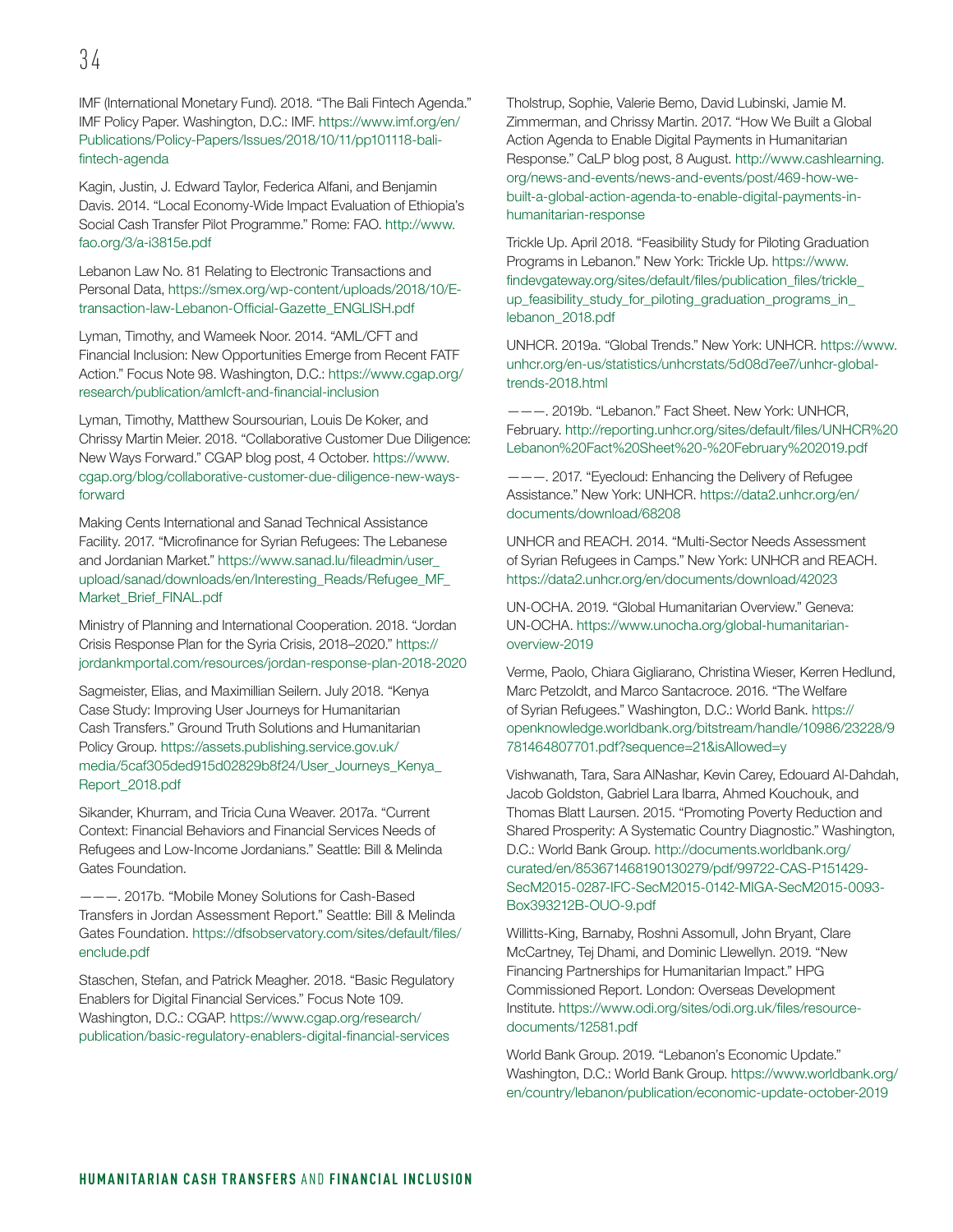IMF (International Monetary Fund). 2018. "The Bali Fintech Agenda." IMF Policy Paper. Washington, D.C.: IMF. [https://www.imf.org/en/](https://www.imf.org/en/Publications/Policy-Papers/Issues/2018/10/11/pp101118-bali-fintech-agenda) [Publications/Policy-Papers/Issues/2018/10/11/pp101118-bali](https://www.imf.org/en/Publications/Policy-Papers/Issues/2018/10/11/pp101118-bali-fintech-agenda)[fintech-agenda](https://www.imf.org/en/Publications/Policy-Papers/Issues/2018/10/11/pp101118-bali-fintech-agenda)

Kagin, Justin, J. Edward Taylor, Federica Alfani, and Benjamin Davis. 2014. "Local Economy-Wide Impact Evaluation of Ethiopia's Social Cash Transfer Pilot Programme." Rome: FAO. [http://www.](http://www.fao.org/3/a-i3815e.pdf) [fao.org/3/a-i3815e.pdf](http://www.fao.org/3/a-i3815e.pdf)

Lebanon Law No. 81 Relating to Electronic Transactions and Personal Data, [https://smex.org/wp-content/uploads/2018/10/E](https://smex.org/wp-content/uploads/2018/10/E-transaction-law-Lebanon-Official-Gazette_ENGLISH.pdf)[transaction-law-Lebanon-Official-Gazette\\_ENGLISH.pdf](https://smex.org/wp-content/uploads/2018/10/E-transaction-law-Lebanon-Official-Gazette_ENGLISH.pdf)

Lyman, Timothy, and Wameek Noor. 2014. "AML/CFT and Financial Inclusion: New Opportunities Emerge from Recent FATF Action." Focus Note 98. Washington, D.C.: [https://www.cgap.org/](https://www.cgap.org/research/publication/amlcft-and-financial-inclusion) [research/publication/amlcft-and-financial-inclusion](https://www.cgap.org/research/publication/amlcft-and-financial-inclusion)

Lyman, Timothy, Matthew Soursourian, Louis De Koker, and Chrissy Martin Meier. 2018. "Collaborative Customer Due Diligence: New Ways Forward." CGAP blog post, 4 October. [https://www.](https://www.cgap.org/blog/collaborative-customer-due-diligence-new-ways-forward) [cgap.org/blog/collaborative-customer-due-diligence-new-ways](https://www.cgap.org/blog/collaborative-customer-due-diligence-new-ways-forward)[forward](https://www.cgap.org/blog/collaborative-customer-due-diligence-new-ways-forward)

Making Cents International and Sanad Technical Assistance Facility. 2017. "Microfinance for Syrian Refugees: The Lebanese and Jordanian Market." [https://www.sanad.lu/fileadmin/user\\_](https://www.sanad.lu/fileadmin/user_upload/sanad/downloads/en/Interesting_Reads/Refugee_MF_Market_Brief_FINAL.pdf) [upload/sanad/downloads/en/Interesting\\_Reads/Refugee\\_MF\\_](https://www.sanad.lu/fileadmin/user_upload/sanad/downloads/en/Interesting_Reads/Refugee_MF_Market_Brief_FINAL.pdf) [Market\\_Brief\\_FINAL.pdf](https://www.sanad.lu/fileadmin/user_upload/sanad/downloads/en/Interesting_Reads/Refugee_MF_Market_Brief_FINAL.pdf)

Ministry of Planning and International Cooperation. 2018. "Jordan Crisis Response Plan for the Syria Crisis, 2018–2020." [https://](https://jordankmportal.com/resources/jordan-response-plan-2018-2020) [jordankmportal.com/resources/jordan-response-plan-2018-2020](https://jordankmportal.com/resources/jordan-response-plan-2018-2020)

Sagmeister, Elias, and Maximillian Seilern. July 2018. "Kenya Case Study: Improving User Journeys for Humanitarian Cash Transfers." Ground Truth Solutions and Humanitarian Policy Group. [https://assets.publishing.service.gov.uk/](https://assets.publishing.service.gov.uk/media/5caf305ded915d02829b8f24/User_Journeys_Kenya_Report_2018.pdf) [media/5caf305ded915d02829b8f24/User\\_Journeys\\_Kenya\\_](https://assets.publishing.service.gov.uk/media/5caf305ded915d02829b8f24/User_Journeys_Kenya_Report_2018.pdf) [Report\\_2018.pdf](https://assets.publishing.service.gov.uk/media/5caf305ded915d02829b8f24/User_Journeys_Kenya_Report_2018.pdf)

Sikander, Khurram, and Tricia Cuna Weaver. 2017a. "Current Context: Financial Behaviors and Financial Services Needs of Refugees and Low-Income Jordanians." Seattle: Bill & Melinda Gates Foundation.

———. 2017b. "Mobile Money Solutions for Cash-Based Transfers in Jordan Assessment Report." Seattle: Bill & Melinda Gates Foundation. [https://dfsobservatory.com/sites/default/files/](https://dfsobservatory.com/sites/default/files/enclude.pdf) [enclude.pdf](https://dfsobservatory.com/sites/default/files/enclude.pdf)

Staschen, Stefan, and Patrick Meagher. 2018. "Basic Regulatory Enablers for Digital Financial Services." Focus Note 109. Washington, D.C.: CGAP. [https://www.cgap.org/research/](https://www.cgap.org/research/publication/basic-regulatory-enablers-digital-financial-services) [publication/basic-regulatory-enablers-digital-financial-services](https://www.cgap.org/research/publication/basic-regulatory-enablers-digital-financial-services)

Tholstrup, Sophie, Valerie Bemo, David Lubinski, Jamie M. Zimmerman, and Chrissy Martin. 2017. "How We Built a Global Action Agenda to Enable Digital Payments in Humanitarian Response." CaLP blog post, 8 August. [http://www.cashlearning.](http://www.cashlearning.org/news-and-events/news-and-events/post/469-how-we-built-a-global-action-agenda-to-enable-digital-payments-in-humanitarian-response) [org/news-and-events/news-and-events/post/469-how-we](http://www.cashlearning.org/news-and-events/news-and-events/post/469-how-we-built-a-global-action-agenda-to-enable-digital-payments-in-humanitarian-response)[built-a-global-action-agenda-to-enable-digital-payments-in](http://www.cashlearning.org/news-and-events/news-and-events/post/469-how-we-built-a-global-action-agenda-to-enable-digital-payments-in-humanitarian-response)[humanitarian-response](http://www.cashlearning.org/news-and-events/news-and-events/post/469-how-we-built-a-global-action-agenda-to-enable-digital-payments-in-humanitarian-response)

Trickle Up. April 2018. "Feasibility Study for Piloting Graduation Programs in Lebanon." New York: Trickle Up. [https://www.](https://www.findevgateway.org/sites/default/files/publication_files/trickle_up_feasibility_study_for_piloting_graduation_programs_in_lebanon_2018.pdf) [findevgateway.org/sites/default/files/publication\\_files/trickle\\_](https://www.findevgateway.org/sites/default/files/publication_files/trickle_up_feasibility_study_for_piloting_graduation_programs_in_lebanon_2018.pdf) [up\\_feasibility\\_study\\_for\\_piloting\\_graduation\\_programs\\_in\\_](https://www.findevgateway.org/sites/default/files/publication_files/trickle_up_feasibility_study_for_piloting_graduation_programs_in_lebanon_2018.pdf) [lebanon\\_2018.pdf](https://www.findevgateway.org/sites/default/files/publication_files/trickle_up_feasibility_study_for_piloting_graduation_programs_in_lebanon_2018.pdf)

UNHCR. 2019a. "Global Trends." New York: UNHCR. [https://www.](https://www.unhcr.org/en-us/statistics/unhcrstats/5d08d7ee7/unhcr-global-trends-2018.html) [unhcr.org/en-us/statistics/unhcrstats/5d08d7ee7/unhcr-global](https://www.unhcr.org/en-us/statistics/unhcrstats/5d08d7ee7/unhcr-global-trends-2018.html)[trends-2018.html](https://www.unhcr.org/en-us/statistics/unhcrstats/5d08d7ee7/unhcr-global-trends-2018.html)

--. 2019b. "Lebanon." Fact Sheet. New York: UNHCR, February. [http://reporting.unhcr.org/sites/default/files/UNHCR%20](http://reporting.unhcr.org/sites/default/files/UNHCR%20Lebanon%20Fact%20Sheet%20-%20February%202019.pdf) [Lebanon%20Fact%20Sheet%20-%20February%202019.pdf](http://reporting.unhcr.org/sites/default/files/UNHCR%20Lebanon%20Fact%20Sheet%20-%20February%202019.pdf)

———. 2017. "Eyecloud: Enhancing the Delivery of Refugee Assistance." New York: UNHCR. [https://data2.unhcr.org/en/](https://data2.unhcr.org/en/documents/download/68208) [documents/download/68208](https://data2.unhcr.org/en/documents/download/68208)

UNHCR and REACH. 2014. "Multi-Sector Needs Assessment of Syrian Refugees in Camps." New York: UNHCR and REACH. <https://data2.unhcr.org/en/documents/download/42023>

UN-OCHA. 2019. "Global Humanitarian Overview." Geneva: UN-OCHA. [https://www.unocha.org/global-humanitarian](https://www.unocha.org/global-humanitarian-overview-2019)[overview-2019](https://www.unocha.org/global-humanitarian-overview-2019)

Verme, Paolo, Chiara Gigliarano, Christina Wieser, Kerren Hedlund, Marc Petzoldt, and Marco Santacroce. 2016. "The Welfare of Syrian Refugees." Washington, D.C.: World Bank. [https://](https://openknowledge.worldbank.org/bitstream/handle/10986/23228/9781464807701.pdf?sequence=21&isAllowed=y) [openknowledge.worldbank.org/bitstream/handle/10986/23228/9](https://openknowledge.worldbank.org/bitstream/handle/10986/23228/9781464807701.pdf?sequence=21&isAllowed=y) [781464807701.pdf?sequence=21&isAllowed=y](https://openknowledge.worldbank.org/bitstream/handle/10986/23228/9781464807701.pdf?sequence=21&isAllowed=y)

Vishwanath, Tara, Sara AlNashar, Kevin Carey, Edouard Al-Dahdah, Jacob Goldston, Gabriel Lara Ibarra, Ahmed Kouchouk, and Thomas Blatt Laursen. 2015. "Promoting Poverty Reduction and Shared Prosperity: A Systematic Country Diagnostic." Washington, D.C.: World Bank Group. [http://documents.worldbank.org/](http://documents.worldbank.org/curated/en/853671468190130279/pdf/99722-CAS-P151429-SecM2015-0287-IFC-SecM2015-0142-MIGA-SecM2015-0093-Box393212B-OUO-9.pdf) [curated/en/853671468190130279/pdf/99722-CAS-P151429-](http://documents.worldbank.org/curated/en/853671468190130279/pdf/99722-CAS-P151429-SecM2015-0287-IFC-SecM2015-0142-MIGA-SecM2015-0093-Box393212B-OUO-9.pdf) [SecM2015-0287-IFC-SecM2015-0142-MIGA-SecM2015-0093-](http://documents.worldbank.org/curated/en/853671468190130279/pdf/99722-CAS-P151429-SecM2015-0287-IFC-SecM2015-0142-MIGA-SecM2015-0093-Box393212B-OUO-9.pdf) [Box393212B-OUO-9.pdf](http://documents.worldbank.org/curated/en/853671468190130279/pdf/99722-CAS-P151429-SecM2015-0287-IFC-SecM2015-0142-MIGA-SecM2015-0093-Box393212B-OUO-9.pdf)

Willitts-King, Barnaby, Roshni Assomull, John Bryant, Clare McCartney, Tej Dhami, and Dominic Llewellyn. 2019. "New Financing Partnerships for Humanitarian Impact." HPG Commissioned Report. London: Overseas Development Institute. [https://www.odi.org/sites/odi.org.uk/files/resource](https://www.odi.org/sites/odi.org.uk/files/resource-documents/12581.pdf)[documents/12581.pdf](https://www.odi.org/sites/odi.org.uk/files/resource-documents/12581.pdf)

World Bank Group. 2019. "Lebanon's Economic Update." Washington, D.C.: World Bank Group. [https://www.worldbank.org/](https://www.worldbank.org/en/country/lebanon/publication/economic-update-october-2019) [en/country/lebanon/publication/economic-update-october-2019](https://www.worldbank.org/en/country/lebanon/publication/economic-update-october-2019)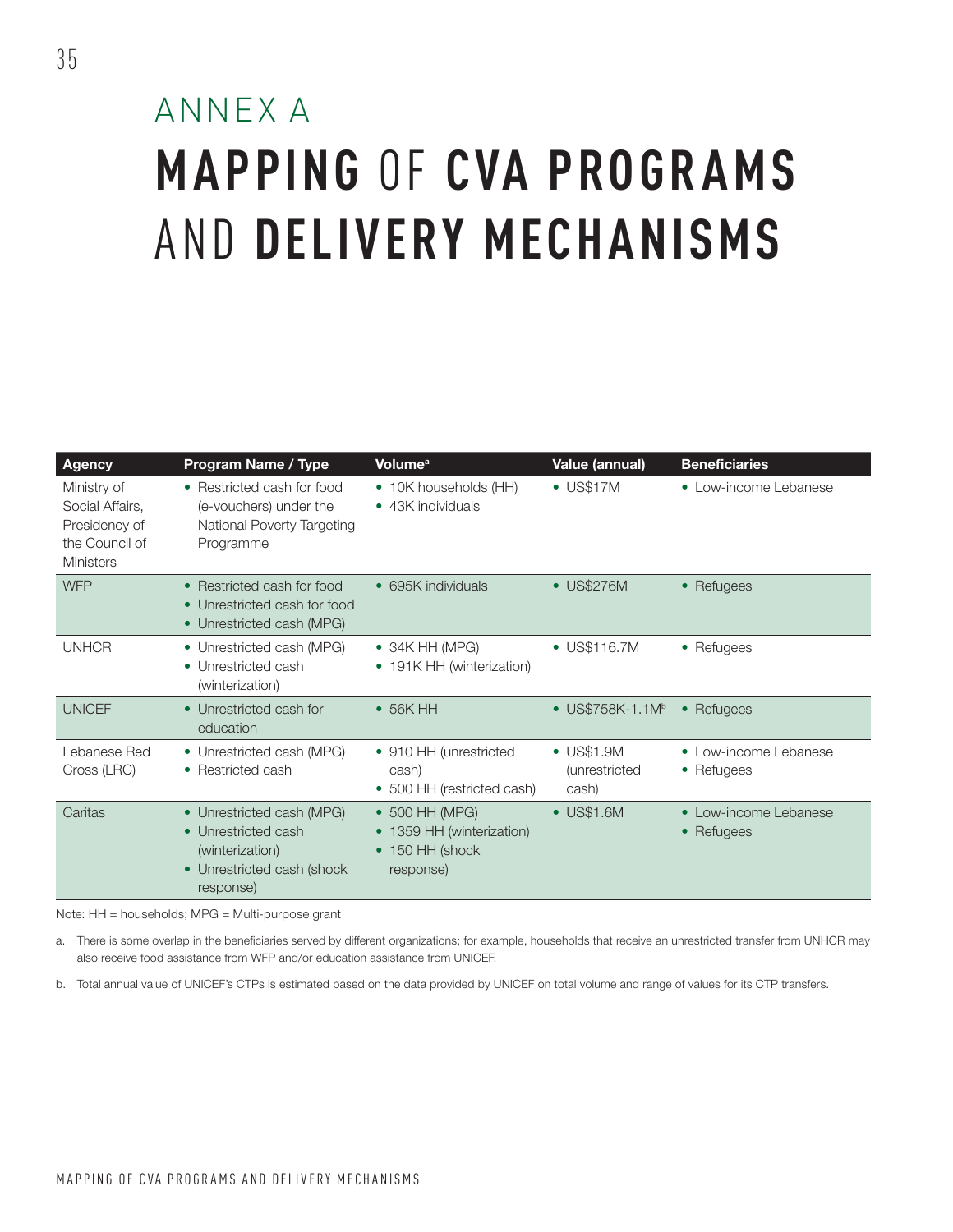### ANNEX A **MAPPING** OF **CVA PROGR AMS**  AND **DELIVERY MECHANISMS**

| <b>Agency</b>                                                                         | <b>Program Name / Type</b>                                                                                     | <b>Volume<sup>a</sup></b>                                                            | Value (annual)                                       | <b>Beneficiaries</b>                |
|---------------------------------------------------------------------------------------|----------------------------------------------------------------------------------------------------------------|--------------------------------------------------------------------------------------|------------------------------------------------------|-------------------------------------|
| Ministry of<br>Social Affairs,<br>Presidency of<br>the Council of<br><b>Ministers</b> | • Restricted cash for food<br>(e-vouchers) under the<br>National Poverty Targeting<br>Programme                | • 10K households (HH)<br>• 43K individuals                                           | $\bullet$ US\$17M                                    | • Low-income Lebanese               |
| <b>WFP</b>                                                                            | • Restricted cash for food<br>• Unrestricted cash for food<br>• Unrestricted cash (MPG)                        | • 695K individuals                                                                   | • US\$276M                                           | • Refugees                          |
| <b>UNHCR</b>                                                                          | • Unrestricted cash (MPG)<br>• Unrestricted cash<br>(winterization)                                            | $\bullet$ 34K HH (MPG)<br>• 191K HH (winterization)                                  | • US\$116.7M                                         | • Refugees                          |
| <b>UNICEF</b>                                                                         | • Unrestricted cash for<br>education                                                                           | $\bullet$ 56K HH                                                                     | • US\$758K-1.1 $M^b$                                 | • Refugees                          |
| Lebanese Red<br>Cross (LRC)                                                           | • Unrestricted cash (MPG)<br>• Restricted cash                                                                 | • 910 HH (unrestricted<br>cash)<br>• 500 HH (restricted cash)                        | $\bullet$ US\$1.9M<br><i>(unrestricted)</i><br>cash) | • Low-income Lebanese<br>• Refugees |
| Caritas                                                                               | • Unrestricted cash (MPG)<br>• Unrestricted cash<br>(winterization)<br>• Unrestricted cash (shock<br>response) | • 500 HH (MPG)<br>1359 HH (winterization)<br>150 HH (shock<br>$\bullet$<br>response) | $\bullet$ US\$1.6M                                   | • Low-income Lebanese<br>• Refugees |

Note: HH = households; MPG = Multi-purpose grant

a. There is some overlap in the beneficiaries served by different organizations; for example, households that receive an unrestricted transfer from UNHCR may also receive food assistance from WFP and/or education assistance from UNICEF.

b. Total annual value of UNICEF's CTPs is estimated based on the data provided by UNICEF on total volume and range of values for its CTP transfers.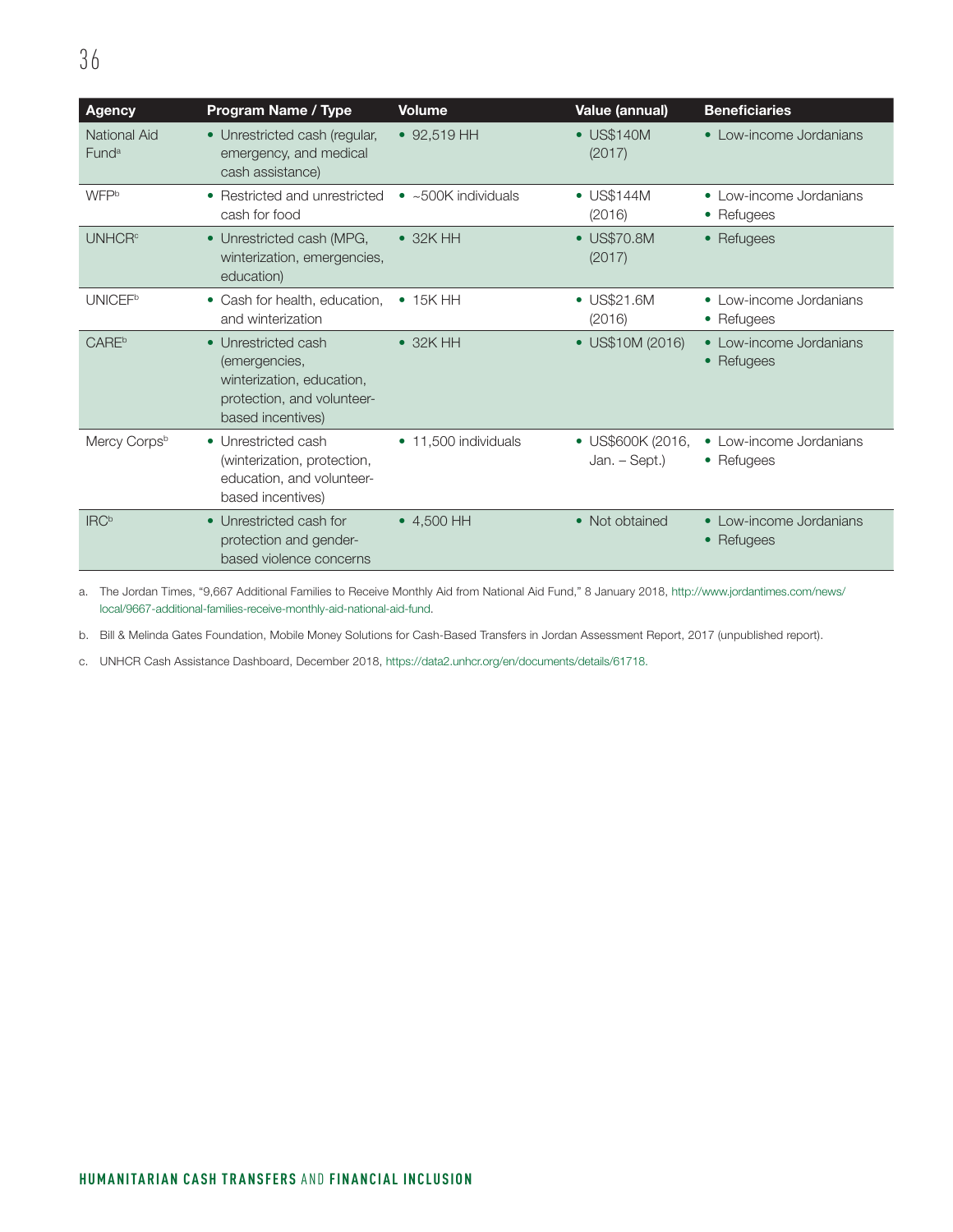| <b>Agency</b>                     | <b>Program Name / Type</b>                                                                                           | <b>Volume</b>               | Value (annual)                     | <b>Beneficiaries</b>                     |
|-----------------------------------|----------------------------------------------------------------------------------------------------------------------|-----------------------------|------------------------------------|------------------------------------------|
| National Aid<br>Fund <sup>a</sup> | • Unrestricted cash (regular,<br>emergency, and medical<br>cash assistance)                                          | $\bullet$ 92,519 HH         | • US\$140M<br>(2017)               | • Low-income Jordanians                  |
| WFPb                              | • Restricted and unrestricted<br>cash for food                                                                       | $\bullet$ ~500K individuals | • US\$144M<br>(2016)               | • Low-income Jordanians<br>• Refugees    |
| <b>UNHCR<sup>c</sup></b>          | • Unrestricted cash (MPG,<br>winterization, emergencies,<br>education)                                               | $\bullet$ 32K HH            | $\bullet$ US\$70.8M<br>(2017)      | • Refugees                               |
| <b>UNICEF</b> <sup>b</sup>        | • Cash for health, education,<br>and winterization                                                                   | $\bullet$ 15K HH            | • US\$21.6M<br>(2016)              | • Low-income Jordanians<br>• Refugees    |
| <b>CARE</b> <sup>b</sup>          | • Unrestricted cash<br>(emergencies,<br>winterization, education,<br>protection, and volunteer-<br>based incentives) | $\bullet$ 32K HH            | • US\$10M (2016)                   | • Low-income Jordanians<br>• Refugees    |
| Mercy Corpsb                      | • Unrestricted cash<br>(winterization, protection,<br>education, and volunteer-<br>based incentives)                 | • 11.500 individuals        | • US\$600K (2016,<br>Jan. – Sept.) | • Low-income Jordanians<br>• Refugees    |
| <b>IRC</b> <sup>b</sup>           | • Unrestricted cash for<br>protection and gender-<br>based violence concerns                                         | $\bullet$ 4.500 HH          | • Not obtained                     | • Low-income Jordanians<br>Refugees<br>٠ |

a. The Jordan Times, "9,667 Additional Families to Receive Monthly Aid from National Aid Fund," 8 January 2018, [http://www.jordantimes.com/news/](http://www.jordantimes.com/news/local/9667-additional-families-receive-monthly-aid-national-aid-fund) [local/9667-additional-families-receive-monthly-aid-national-aid-fund.](http://www.jordantimes.com/news/local/9667-additional-families-receive-monthly-aid-national-aid-fund)

b. Bill & Melinda Gates Foundation, Mobile Money Solutions for Cash-Based Transfers in Jordan Assessment Report, 2017 (unpublished report).

c. UNHCR Cash Assistance Dashboard, December 2018, [https://data2.unhcr.org/en/documents/details/61718.](https://data2.unhcr.org/en/documents/details/61718)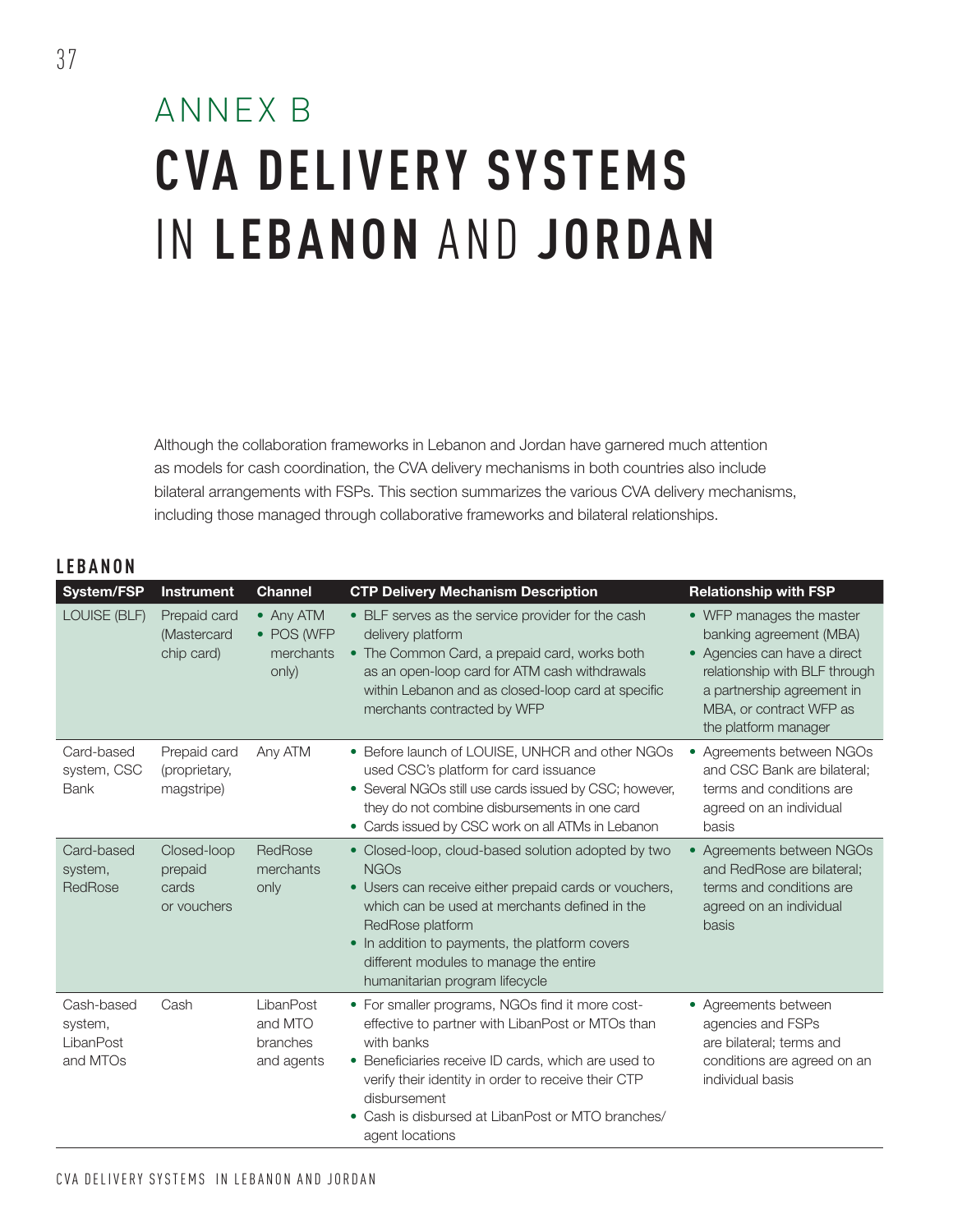## ANNEX B **CVA DELIVERY SYSTEMS**  IN **LEBANON** AND **JORDAN**

Although the collaboration frameworks in Lebanon and Jordan have garnered much attention as models for cash coordination, the CVA delivery mechanisms in both countries also include bilateral arrangements with FSPs. This section summarizes the various CVA delivery mechanisms, including those managed through collaborative frameworks and bilateral relationships.

### **LEBANON**

| System/FSP                                     | <b>Instrument</b>                              | <b>Channel</b>                                 | <b>CTP Delivery Mechanism Description</b>                                                                                                                                                                                                                                                                                     | <b>Relationship with FSP</b>                                                                                                                                                                          |
|------------------------------------------------|------------------------------------------------|------------------------------------------------|-------------------------------------------------------------------------------------------------------------------------------------------------------------------------------------------------------------------------------------------------------------------------------------------------------------------------------|-------------------------------------------------------------------------------------------------------------------------------------------------------------------------------------------------------|
| LOUISE (BLF)                                   | Prepaid card<br>(Mastercard<br>chip card)      | • Any ATM<br>• POS (WFP<br>merchants<br>only)  | • BLF serves as the service provider for the cash<br>delivery platform<br>• The Common Card, a prepaid card, works both<br>as an open-loop card for ATM cash withdrawals<br>within Lebanon and as closed-loop card at specific<br>merchants contracted by WFP                                                                 | • WFP manages the master<br>banking agreement (MBA)<br>• Agencies can have a direct<br>relationship with BLF through<br>a partnership agreement in<br>MBA, or contract WFP as<br>the platform manager |
| Card-based<br>system, CSC<br><b>Bank</b>       | Prepaid card<br>(proprietary,<br>magstripe)    | Any ATM                                        | • Before launch of LOUISE, UNHCR and other NGOs<br>used CSC's platform for card issuance<br>• Several NGOs still use cards issued by CSC; however,<br>they do not combine disbursements in one card<br>• Cards issued by CSC work on all ATMs in Lebanon                                                                      | Agreements between NGOs<br>$\bullet$<br>and CSC Bank are bilateral;<br>terms and conditions are<br>agreed on an individual<br>basis                                                                   |
| Card-based<br>system,<br>RedRose               | Closed-loop<br>prepaid<br>cards<br>or vouchers | RedRose<br>merchants<br>only                   | • Closed-loop, cloud-based solution adopted by two<br><b>NGOs</b><br>• Users can receive either prepaid cards or vouchers,<br>which can be used at merchants defined in the<br>RedRose platform<br>• In addition to payments, the platform covers<br>different modules to manage the entire<br>humanitarian program lifecycle | • Agreements between NGOs<br>and RedRose are bilateral:<br>terms and conditions are<br>agreed on an individual<br>basis                                                                               |
| Cash-based<br>system,<br>LibanPost<br>and MTOs | Cash                                           | LibanPost<br>and MTO<br>branches<br>and agents | • For smaller programs, NGOs find it more cost-<br>effective to partner with LibanPost or MTOs than<br>with banks<br>• Beneficiaries receive ID cards, which are used to<br>verify their identity in order to receive their CTP<br>disbursement<br>• Cash is disbursed at LibanPost or MTO branches/<br>agent locations       | • Agreements between<br>agencies and FSPs<br>are bilateral; terms and<br>conditions are agreed on an<br>individual basis                                                                              |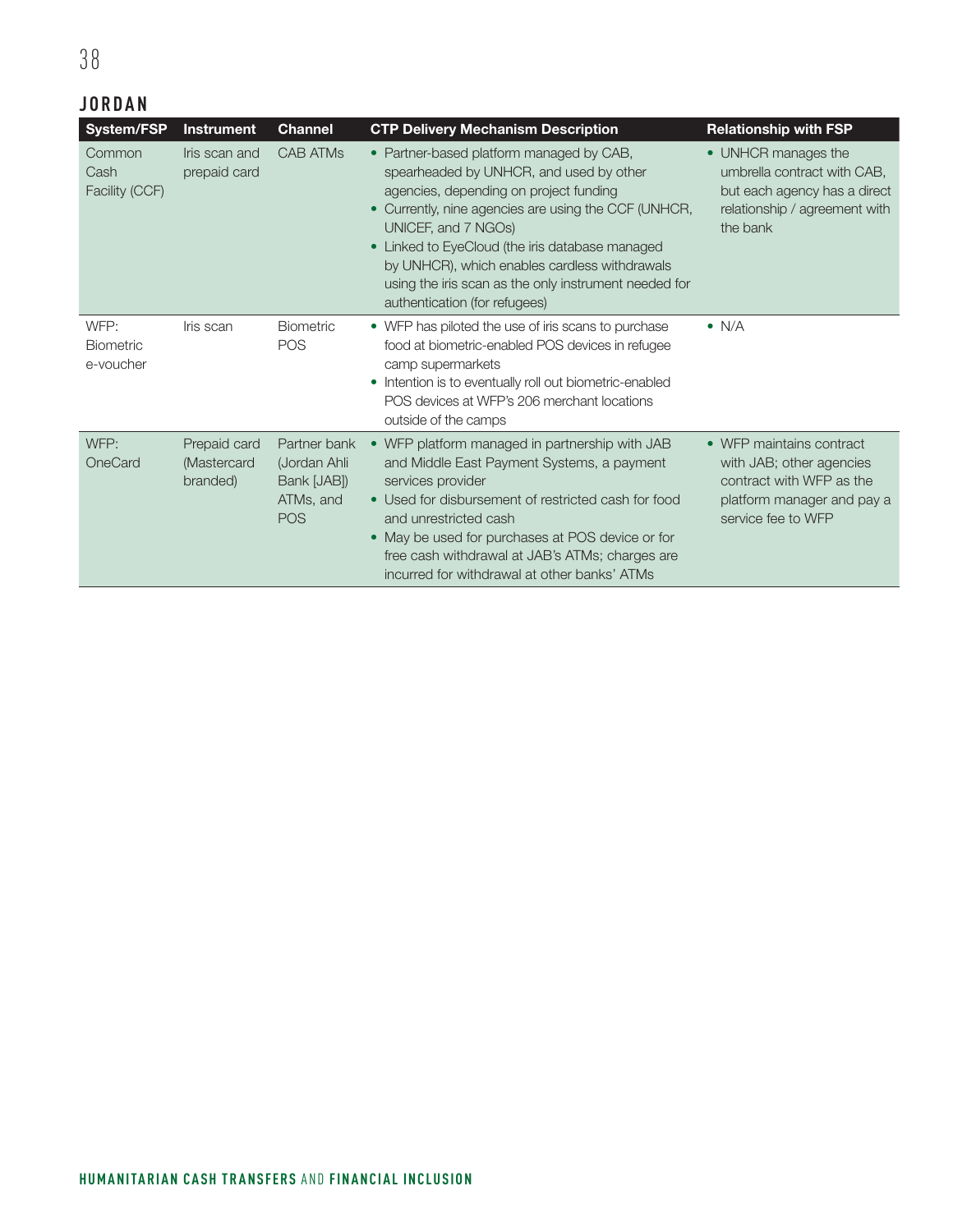### **JORDAN**

| <b>System/FSP</b>                     | <b>Instrument</b>                       | <b>Channel</b>                                                         | <b>CTP Delivery Mechanism Description</b>                                                                                                                                                                                                                                                                                                                                                                  | <b>Relationship with FSP</b>                                                                                                         |
|---------------------------------------|-----------------------------------------|------------------------------------------------------------------------|------------------------------------------------------------------------------------------------------------------------------------------------------------------------------------------------------------------------------------------------------------------------------------------------------------------------------------------------------------------------------------------------------------|--------------------------------------------------------------------------------------------------------------------------------------|
| Common<br>Cash<br>Facility (CCF)      | Iris scan and<br>prepaid card           | <b>CAB ATMs</b>                                                        | • Partner-based platform managed by CAB,<br>spearheaded by UNHCR, and used by other<br>agencies, depending on project funding<br>• Currently, nine agencies are using the CCF (UNHCR,<br>UNICEF, and 7 NGOs)<br>• Linked to EyeCloud (the iris database managed<br>by UNHCR), which enables cardless withdrawals<br>using the iris scan as the only instrument needed for<br>authentication (for refugees) | • UNHCR manages the<br>umbrella contract with CAB,<br>but each agency has a direct<br>relationship / agreement with<br>the bank      |
| WFP:<br><b>Biometric</b><br>e-voucher | Iris scan                               | <b>Biometric</b><br><b>POS</b>                                         | • WFP has piloted the use of iris scans to purchase<br>food at biometric-enabled POS devices in refugee<br>camp supermarkets<br>• Intention is to eventually roll out biometric-enabled<br>POS devices at WFP's 206 merchant locations<br>outside of the camps                                                                                                                                             | $\bullet$ N/A                                                                                                                        |
| WFP:<br>OneCard                       | Prepaid card<br>(Mastercard<br>branded) | Partner bank<br>(Jordan Ahli<br>Bank [JAB])<br>ATMs, and<br><b>POS</b> | • WFP platform managed in partnership with JAB<br>and Middle East Payment Systems, a payment<br>services provider<br>• Used for disbursement of restricted cash for food<br>and unrestricted cash<br>• May be used for purchases at POS device or for<br>free cash withdrawal at JAB's ATMs; charges are<br>incurred for withdrawal at other banks' ATMs                                                   | • WFP maintains contract<br>with JAB; other agencies<br>contract with WFP as the<br>platform manager and pay a<br>service fee to WFP |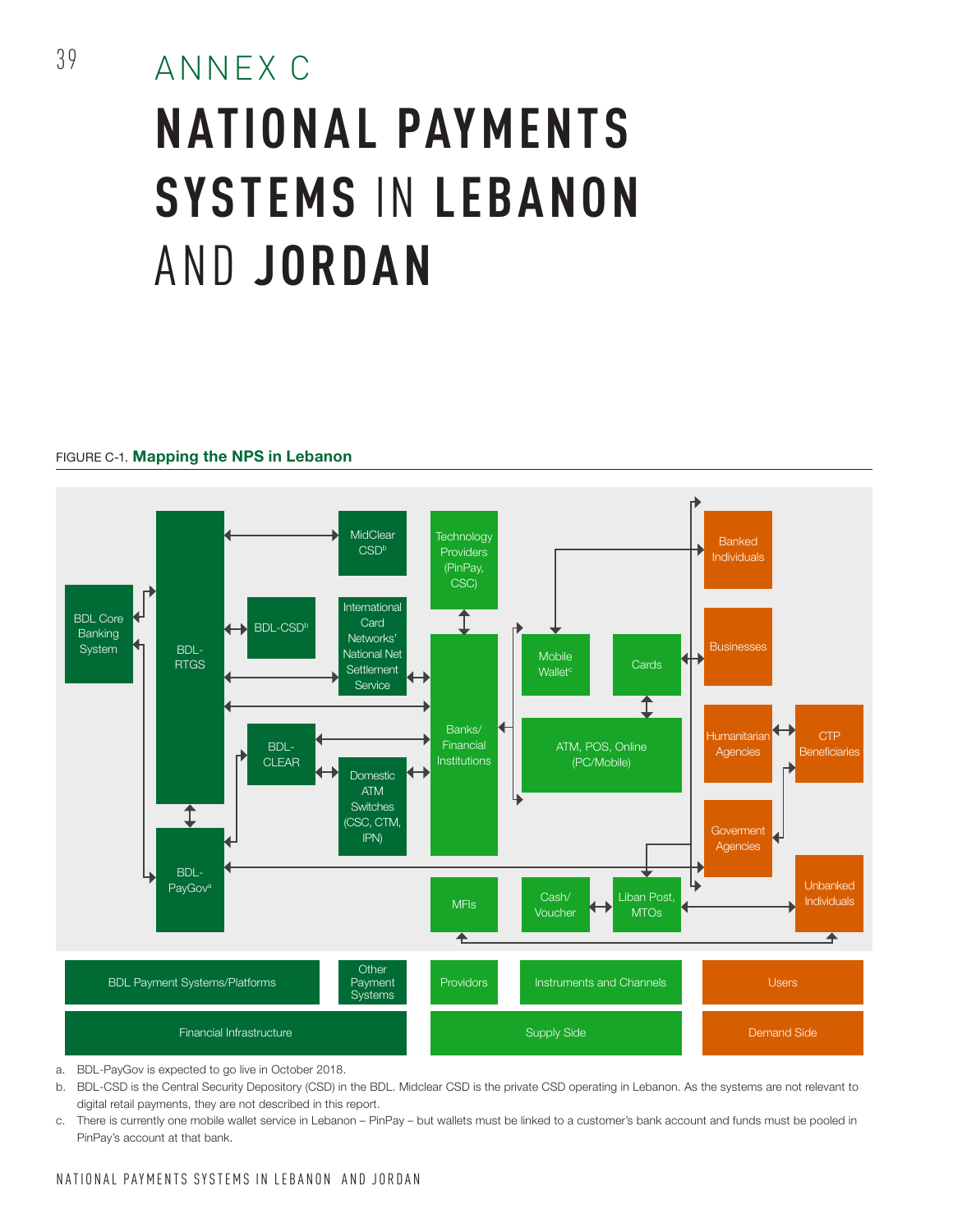## ANNEX C **NATIONAL PAYMENTS SYSTEMS** IN **LEBANON**  AND **JORDAN**

#### FIGURE C-1. Mapping the NPS in Lebanon



a. BDL-PayGov is expected to go live in October 2018.

- b. BDL-CSD is the Central Security Depository (CSD) in the BDL. Midclear CSD is the private CSD operating in Lebanon. As the systems are not relevant to digital retail payments, they are not described in this report.
- c. There is currently one mobile wallet service in Lebanon PinPay but wallets must be linked to a customer's bank account and funds must be pooled in PinPay's account at that bank.

### NATIONAL PAYMENTS SYSTEMS IN LEBANON AND JORDAN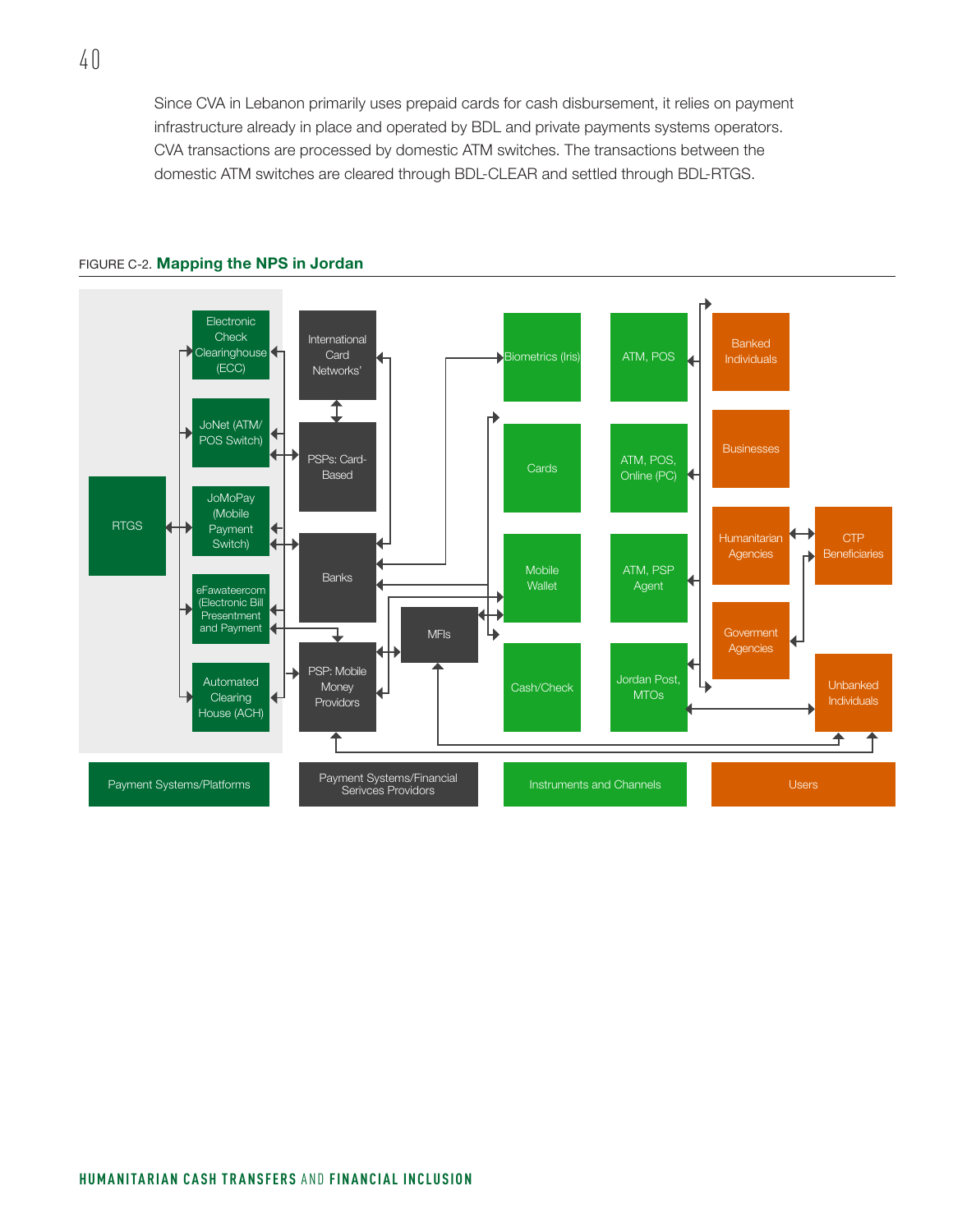Since CVA in Lebanon primarily uses prepaid cards for cash disbursement, it relies on payment infrastructure already in place and operated by BDL and private payments systems operators. CVA transactions are processed by domestic ATM switches. The transactions between the domestic ATM switches are cleared through BDL-CLEAR and settled through BDL-RTGS.



#### FIGURE C-2. Mapping the NPS in Jordan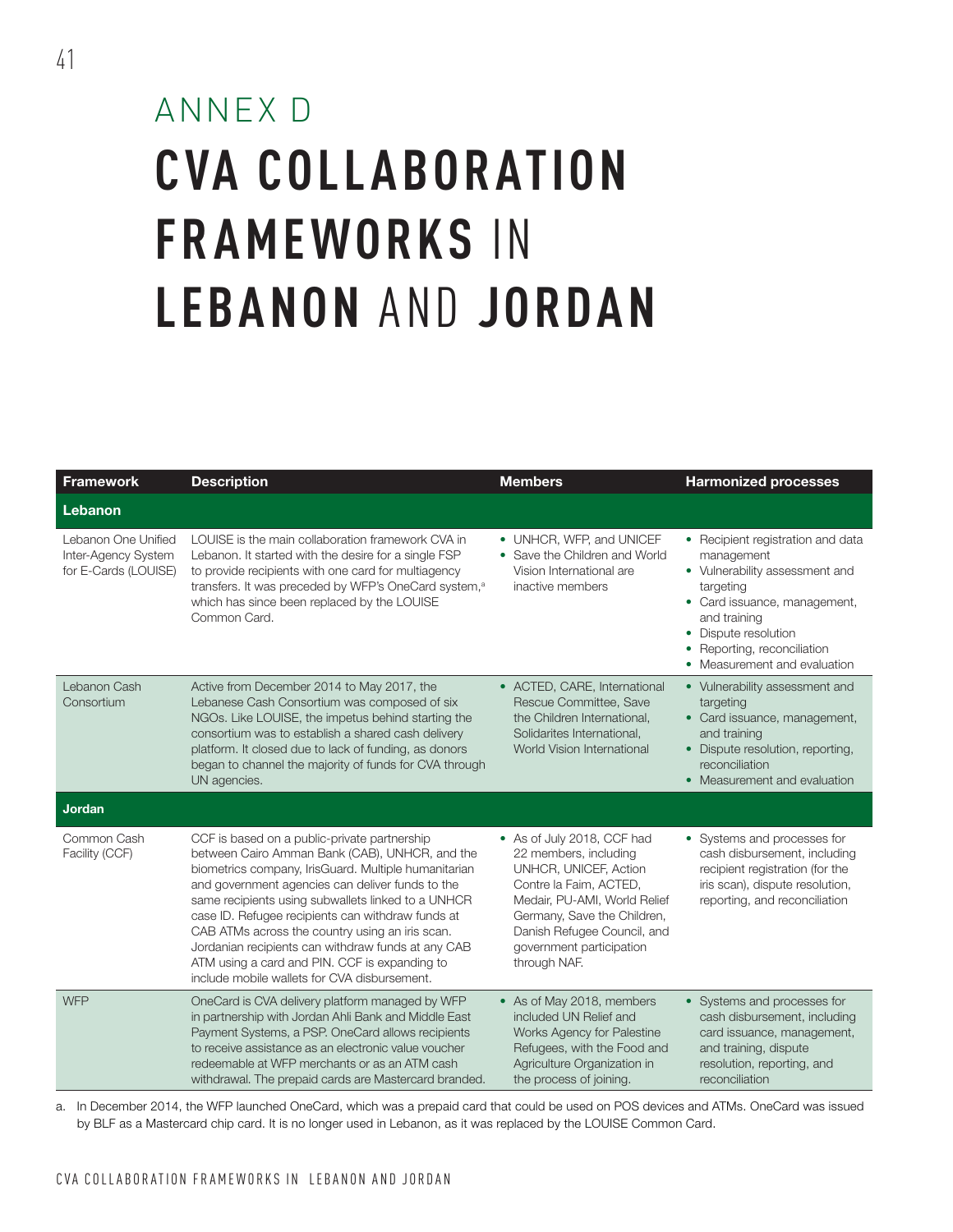# ANNEX D **CVA COLL ABOR ATION FRAMEWORKS** IN **LEBANON** AND **JORDAN**

| <b>Framework</b>                                                   | <b>Description</b>                                                                                                                                                                                                                                                                                                                                                                                                                                                                                                              | <b>Members</b>                                                                                                                                                                                                                                   | <b>Harmonized processes</b>                                                                                                                                                                                                           |
|--------------------------------------------------------------------|---------------------------------------------------------------------------------------------------------------------------------------------------------------------------------------------------------------------------------------------------------------------------------------------------------------------------------------------------------------------------------------------------------------------------------------------------------------------------------------------------------------------------------|--------------------------------------------------------------------------------------------------------------------------------------------------------------------------------------------------------------------------------------------------|---------------------------------------------------------------------------------------------------------------------------------------------------------------------------------------------------------------------------------------|
| Lebanon                                                            |                                                                                                                                                                                                                                                                                                                                                                                                                                                                                                                                 |                                                                                                                                                                                                                                                  |                                                                                                                                                                                                                                       |
| Lebanon One Unified<br>Inter-Agency System<br>for E-Cards (LOUISE) | LOUISE is the main collaboration framework CVA in<br>Lebanon. It started with the desire for a single FSP<br>to provide recipients with one card for multiagency<br>transfers. It was preceded by WFP's OneCard system, <sup>a</sup><br>which has since been replaced by the LOUISE<br>Common Card.                                                                                                                                                                                                                             | • UNHCR, WFP, and UNICEF<br>• Save the Children and World<br>Vision International are<br>inactive members                                                                                                                                        | • Recipient registration and data<br>management<br>• Vulnerability assessment and<br>targeting<br>• Card issuance, management,<br>and training<br>• Dispute resolution<br>• Reporting, reconciliation<br>• Measurement and evaluation |
| Lebanon Cash<br>Consortium                                         | Active from December 2014 to May 2017, the<br>Lebanese Cash Consortium was composed of six<br>NGOs. Like LOUISE, the impetus behind starting the<br>consortium was to establish a shared cash delivery<br>platform. It closed due to lack of funding, as donors<br>began to channel the majority of funds for CVA through<br>UN agencies.                                                                                                                                                                                       | • ACTED, CARE, International<br>Rescue Committee, Save<br>the Children International,<br>Solidarites International,<br>World Vision International                                                                                                | • Vulnerability assessment and<br>targeting<br>• Card issuance, management,<br>and training<br>• Dispute resolution, reporting,<br>reconciliation<br>• Measurement and evaluation                                                     |
| Jordan                                                             |                                                                                                                                                                                                                                                                                                                                                                                                                                                                                                                                 |                                                                                                                                                                                                                                                  |                                                                                                                                                                                                                                       |
| Common Cash<br>Facility (CCF)                                      | CCF is based on a public-private partnership<br>between Cairo Amman Bank (CAB), UNHCR, and the<br>biometrics company, IrisGuard. Multiple humanitarian<br>and government agencies can deliver funds to the<br>same recipients using subwallets linked to a UNHCR<br>case ID. Refugee recipients can withdraw funds at<br>CAB ATMs across the country using an iris scan.<br>Jordanian recipients can withdraw funds at any CAB<br>ATM using a card and PIN. CCF is expanding to<br>include mobile wallets for CVA disbursement. | • As of July 2018, CCF had<br>22 members, including<br>UNHCR, UNICEF, Action<br>Contre la Faim, ACTED,<br>Medair, PU-AMI, World Relief<br>Germany, Save the Children,<br>Danish Refugee Council, and<br>government participation<br>through NAF. | • Systems and processes for<br>cash disbursement, including<br>recipient registration (for the<br>iris scan), dispute resolution,<br>reporting, and reconciliation                                                                    |
| <b>WFP</b>                                                         | OneCard is CVA delivery platform managed by WFP<br>in partnership with Jordan Ahli Bank and Middle East<br>Payment Systems, a PSP. OneCard allows recipients<br>to receive assistance as an electronic value voucher<br>redeemable at WFP merchants or as an ATM cash<br>withdrawal. The prepaid cards are Mastercard branded.                                                                                                                                                                                                  | • As of May 2018, members<br>included UN Relief and<br>Works Agency for Palestine<br>Refugees, with the Food and<br>Agriculture Organization in<br>the process of joining.                                                                       | • Systems and processes for<br>cash disbursement, including<br>card issuance, management,<br>and training, dispute<br>resolution, reporting, and<br>reconciliation                                                                    |

a. In December 2014, the WFP launched OneCard, which was a prepaid card that could be used on POS devices and ATMs. OneCard was issued by BLF as a Mastercard chip card. It is no longer used in Lebanon, as it was replaced by the LOUISE Common Card.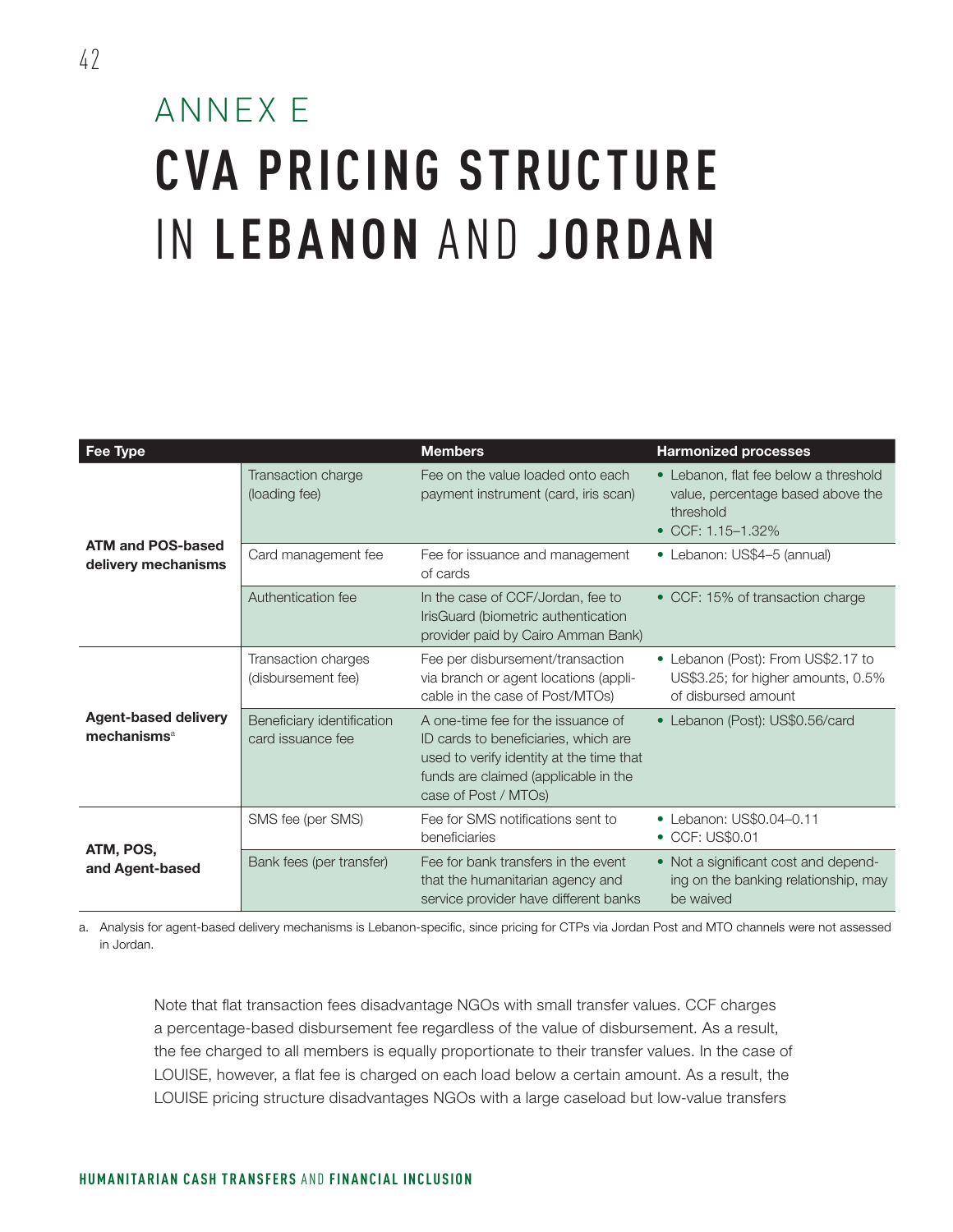### ANNEX E **CVA PRICING STRUCTURE**  IN **LEBANON** AND **JORDAN**

| Fee Type                                               |                                                  | <b>Members</b>                                                                                                                                                                         | <b>Harmonized processes</b>                                                                                       |
|--------------------------------------------------------|--------------------------------------------------|----------------------------------------------------------------------------------------------------------------------------------------------------------------------------------------|-------------------------------------------------------------------------------------------------------------------|
|                                                        | Transaction charge<br>(loading fee)              | Fee on the value loaded onto each<br>payment instrument (card, iris scan)                                                                                                              | • Lebanon, flat fee below a threshold<br>value, percentage based above the<br>threshold<br>• CCF: $1.15 - 1.32\%$ |
| <b>ATM and POS-based</b><br>delivery mechanisms        | Card management fee                              | Fee for issuance and management<br>of cards                                                                                                                                            | • Lebanon: US\$4-5 (annual)                                                                                       |
|                                                        | Authentication fee                               | In the case of CCF/Jordan, fee to<br>IrisGuard (biometric authentication<br>provider paid by Cairo Amman Bank)                                                                         | • CCF: 15% of transaction charge                                                                                  |
|                                                        | <b>Transaction charges</b><br>(disbursement fee) | Fee per disbursement/transaction<br>via branch or agent locations (appli-<br>cable in the case of Post/MTOs)                                                                           | • Lebanon (Post): From US\$2.17 to<br>US\$3.25; for higher amounts, 0.5%<br>of disbursed amount                   |
| <b>Agent-based delivery</b><br>mechanisms <sup>a</sup> | Beneficiary identification<br>card issuance fee  | A one-time fee for the issuance of<br>ID cards to beneficiaries, which are<br>used to verify identity at the time that<br>funds are claimed (applicable in the<br>case of Post / MTOs) | • Lebanon (Post): US\$0.56/card                                                                                   |
| ATM, POS,<br>and Agent-based                           | SMS fee (per SMS)                                | Fee for SMS notifications sent to<br>beneficiaries                                                                                                                                     | • Lebanon: US\$0.04-0.11<br>• CCF: US\$0.01                                                                       |
|                                                        | Bank fees (per transfer)                         | Fee for bank transfers in the event<br>that the humanitarian agency and<br>service provider have different banks                                                                       | • Not a significant cost and depend-<br>ing on the banking relationship, may<br>be waived                         |

a. Analysis for agent-based delivery mechanisms is Lebanon-specific, since pricing for CTPs via Jordan Post and MTO channels were not assessed in Jordan.

Note that flat transaction fees disadvantage NGOs with small transfer values. CCF charges a percentage-based disbursement fee regardless of the value of disbursement. As a result, the fee charged to all members is equally proportionate to their transfer values. In the case of LOUISE, however, a flat fee is charged on each load below a certain amount. As a result, the LOUISE pricing structure disadvantages NGOs with a large caseload but low-value transfers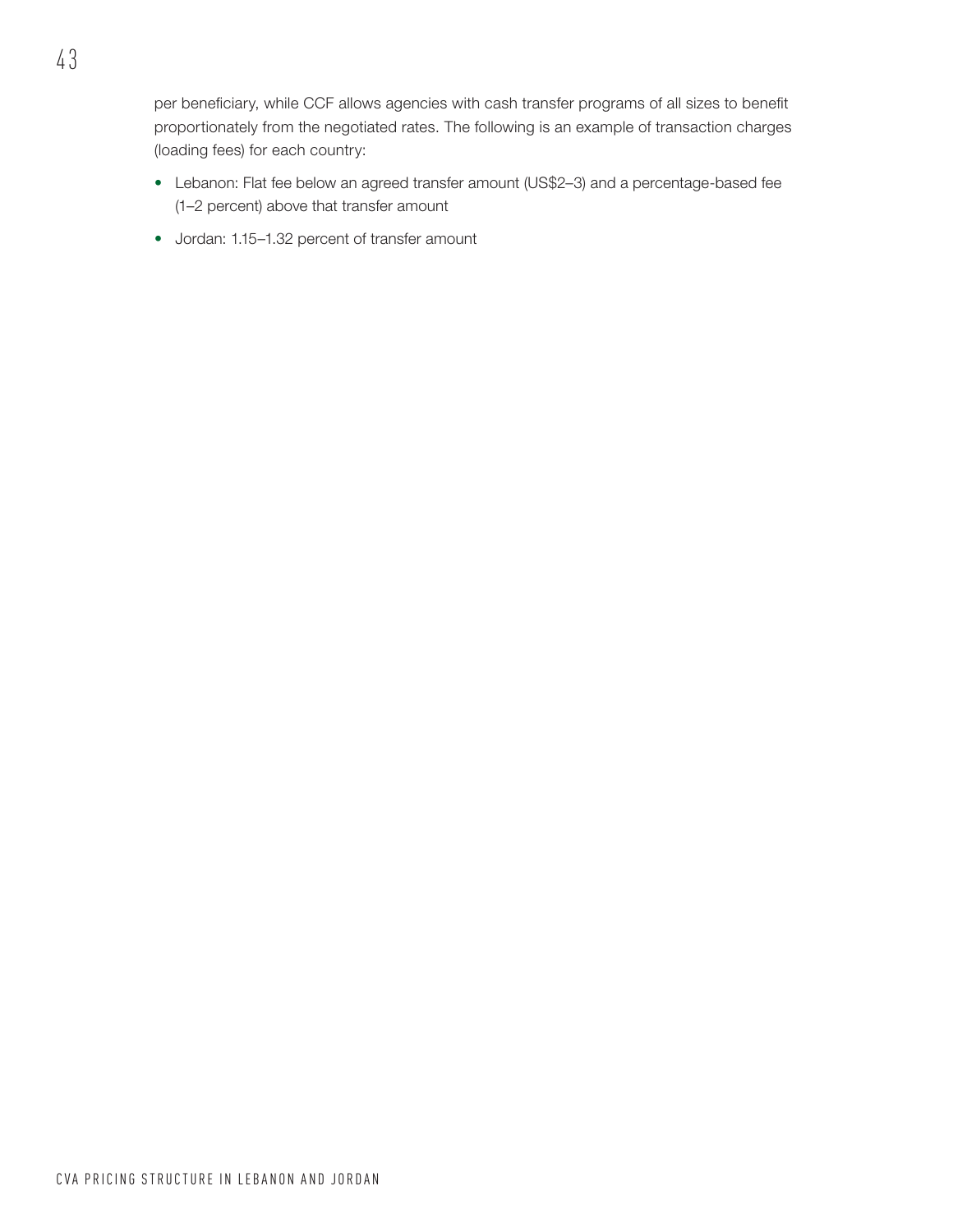per beneficiary, while CCF allows agencies with cash transfer programs of all sizes to benefit proportionately from the negotiated rates. The following is an example of transaction charges (loading fees) for each country:

- Lebanon: Flat fee below an agreed transfer amount (US\$2–3) and a percentage-based fee (1–2 percent) above that transfer amount
- Jordan: 1.15–1.32 percent of transfer amount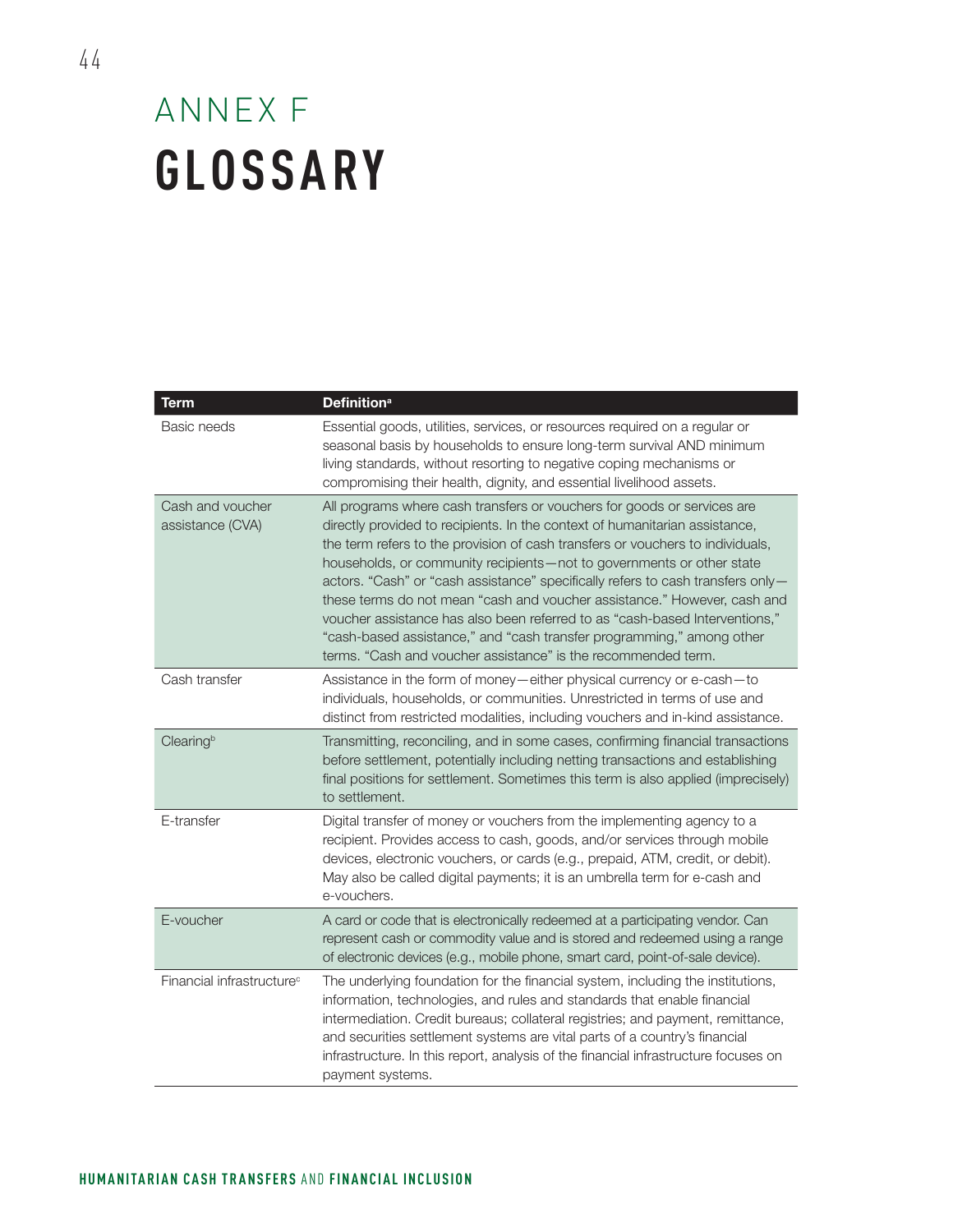### ANNEX F **GLOSSARY**

| <b>Term</b>                           | <b>Definition</b> <sup>a</sup>                                                                                                                                                                                                                                                                                                                                                                                                                                                                                                                                                                                                                                                                            |
|---------------------------------------|-----------------------------------------------------------------------------------------------------------------------------------------------------------------------------------------------------------------------------------------------------------------------------------------------------------------------------------------------------------------------------------------------------------------------------------------------------------------------------------------------------------------------------------------------------------------------------------------------------------------------------------------------------------------------------------------------------------|
| Basic needs                           | Essential goods, utilities, services, or resources required on a regular or<br>seasonal basis by households to ensure long-term survival AND minimum<br>living standards, without resorting to negative coping mechanisms or<br>compromising their health, dignity, and essential livelihood assets.                                                                                                                                                                                                                                                                                                                                                                                                      |
| Cash and voucher<br>assistance (CVA)  | All programs where cash transfers or vouchers for goods or services are<br>directly provided to recipients. In the context of humanitarian assistance,<br>the term refers to the provision of cash transfers or vouchers to individuals,<br>households, or community recipients-not to governments or other state<br>actors. "Cash" or "cash assistance" specifically refers to cash transfers only-<br>these terms do not mean "cash and voucher assistance." However, cash and<br>voucher assistance has also been referred to as "cash-based Interventions,"<br>"cash-based assistance," and "cash transfer programming," among other<br>terms. "Cash and voucher assistance" is the recommended term. |
| Cash transfer                         | Assistance in the form of money-either physical currency or e-cash-to<br>individuals, households, or communities. Unrestricted in terms of use and<br>distinct from restricted modalities, including vouchers and in-kind assistance.                                                                                                                                                                                                                                                                                                                                                                                                                                                                     |
| Clearingb                             | Transmitting, reconciling, and in some cases, confirming financial transactions<br>before settlement, potentially including netting transactions and establishing<br>final positions for settlement. Sometimes this term is also applied (imprecisely)<br>to settlement.                                                                                                                                                                                                                                                                                                                                                                                                                                  |
| E-transfer                            | Digital transfer of money or vouchers from the implementing agency to a<br>recipient. Provides access to cash, goods, and/or services through mobile<br>devices, electronic vouchers, or cards (e.g., prepaid, ATM, credit, or debit).<br>May also be called digital payments; it is an umbrella term for e-cash and<br>e-vouchers.                                                                                                                                                                                                                                                                                                                                                                       |
| E-voucher                             | A card or code that is electronically redeemed at a participating vendor. Can<br>represent cash or commodity value and is stored and redeemed using a range<br>of electronic devices (e.g., mobile phone, smart card, point-of-sale device).                                                                                                                                                                                                                                                                                                                                                                                                                                                              |
| Financial infrastructure <sup>c</sup> | The underlying foundation for the financial system, including the institutions,<br>information, technologies, and rules and standards that enable financial<br>intermediation. Credit bureaus; collateral registries; and payment, remittance,<br>and securities settlement systems are vital parts of a country's financial<br>infrastructure. In this report, analysis of the financial infrastructure focuses on<br>payment systems.                                                                                                                                                                                                                                                                   |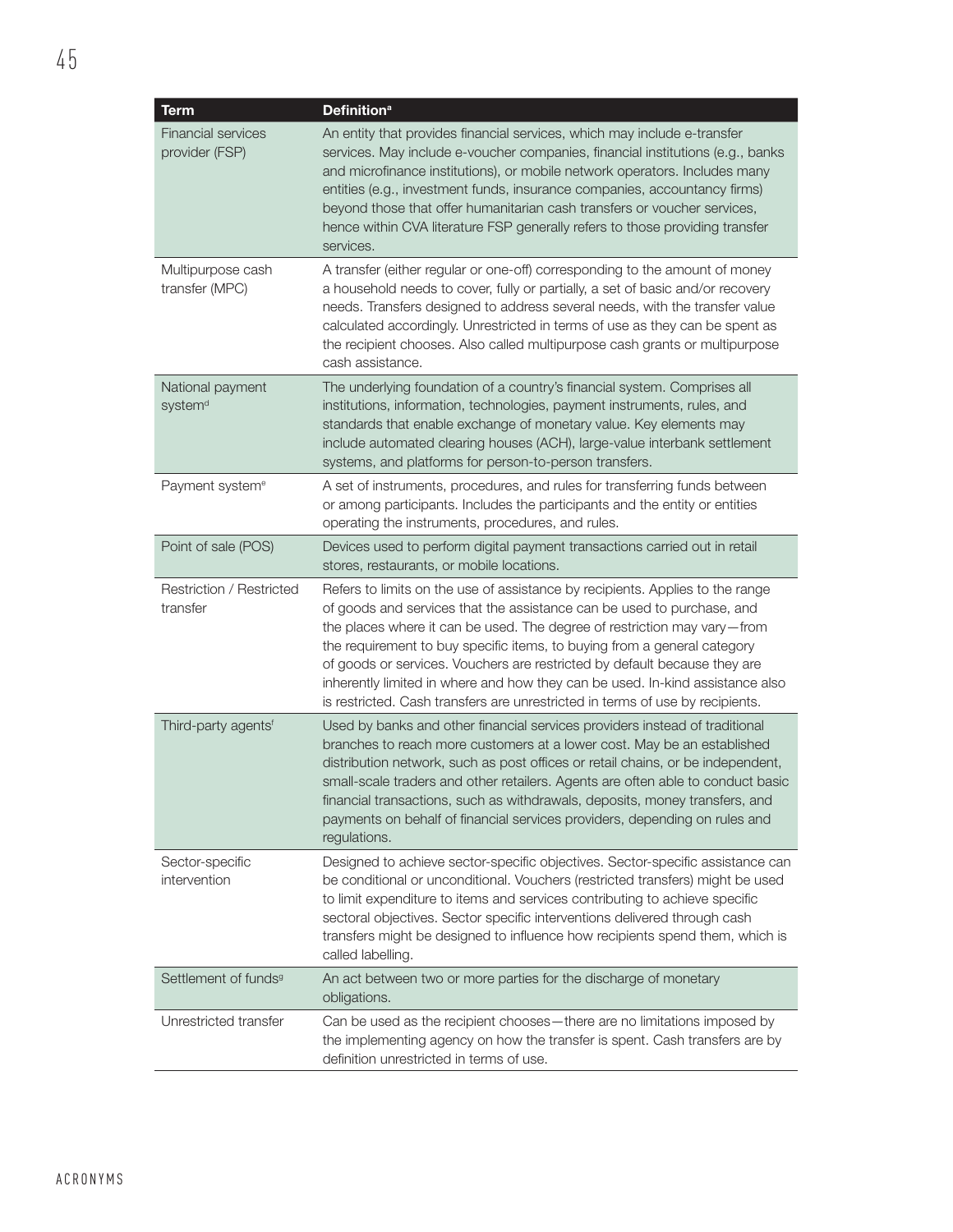| <b>Term</b>                                 | <b>Definition<sup>a</sup></b>                                                                                                                                                                                                                                                                                                                                                                                                                                                                                                                                  |
|---------------------------------------------|----------------------------------------------------------------------------------------------------------------------------------------------------------------------------------------------------------------------------------------------------------------------------------------------------------------------------------------------------------------------------------------------------------------------------------------------------------------------------------------------------------------------------------------------------------------|
| <b>Financial services</b><br>provider (FSP) | An entity that provides financial services, which may include e-transfer<br>services. May include e-voucher companies, financial institutions (e.g., banks<br>and microfinance institutions), or mobile network operators. Includes many<br>entities (e.g., investment funds, insurance companies, accountancy firms)<br>beyond those that offer humanitarian cash transfers or voucher services,<br>hence within CVA literature FSP generally refers to those providing transfer<br>services.                                                                 |
| Multipurpose cash<br>transfer (MPC)         | A transfer (either regular or one-off) corresponding to the amount of money<br>a household needs to cover, fully or partially, a set of basic and/or recovery<br>needs. Transfers designed to address several needs, with the transfer value<br>calculated accordingly. Unrestricted in terms of use as they can be spent as<br>the recipient chooses. Also called multipurpose cash grants or multipurpose<br>cash assistance.                                                                                                                                |
| National payment<br>system <sup>d</sup>     | The underlying foundation of a country's financial system. Comprises all<br>institutions, information, technologies, payment instruments, rules, and<br>standards that enable exchange of monetary value. Key elements may<br>include automated clearing houses (ACH), large-value interbank settlement<br>systems, and platforms for person-to-person transfers.                                                                                                                                                                                              |
| Payment system <sup>e</sup>                 | A set of instruments, procedures, and rules for transferring funds between<br>or among participants. Includes the participants and the entity or entities<br>operating the instruments, procedures, and rules.                                                                                                                                                                                                                                                                                                                                                 |
| Point of sale (POS)                         | Devices used to perform digital payment transactions carried out in retail<br>stores, restaurants, or mobile locations.                                                                                                                                                                                                                                                                                                                                                                                                                                        |
| Restriction / Restricted<br>transfer        | Refers to limits on the use of assistance by recipients. Applies to the range<br>of goods and services that the assistance can be used to purchase, and<br>the places where it can be used. The degree of restriction may vary-from<br>the requirement to buy specific items, to buying from a general category<br>of goods or services. Vouchers are restricted by default because they are<br>inherently limited in where and how they can be used. In-kind assistance also<br>is restricted. Cash transfers are unrestricted in terms of use by recipients. |
| Third-party agents <sup>f</sup>             | Used by banks and other financial services providers instead of traditional<br>branches to reach more customers at a lower cost. May be an established<br>distribution network, such as post offices or retail chains, or be independent,<br>small-scale traders and other retailers. Agents are often able to conduct basic<br>financial transactions, such as withdrawals, deposits, money transfers, and<br>payments on behalf of financial services providers, depending on rules and<br>regulations.                                                      |
| Sector-specific<br>intervention             | Designed to achieve sector-specific objectives. Sector-specific assistance can<br>be conditional or unconditional. Vouchers (restricted transfers) might be used<br>to limit expenditure to items and services contributing to achieve specific<br>sectoral objectives. Sector specific interventions delivered through cash<br>transfers might be designed to influence how recipients spend them, which is<br>called labelling.                                                                                                                              |
| Settlement of funds <sup>9</sup>            | An act between two or more parties for the discharge of monetary<br>obligations.                                                                                                                                                                                                                                                                                                                                                                                                                                                                               |
| Unrestricted transfer                       | Can be used as the recipient chooses-there are no limitations imposed by<br>the implementing agency on how the transfer is spent. Cash transfers are by<br>definition unrestricted in terms of use.                                                                                                                                                                                                                                                                                                                                                            |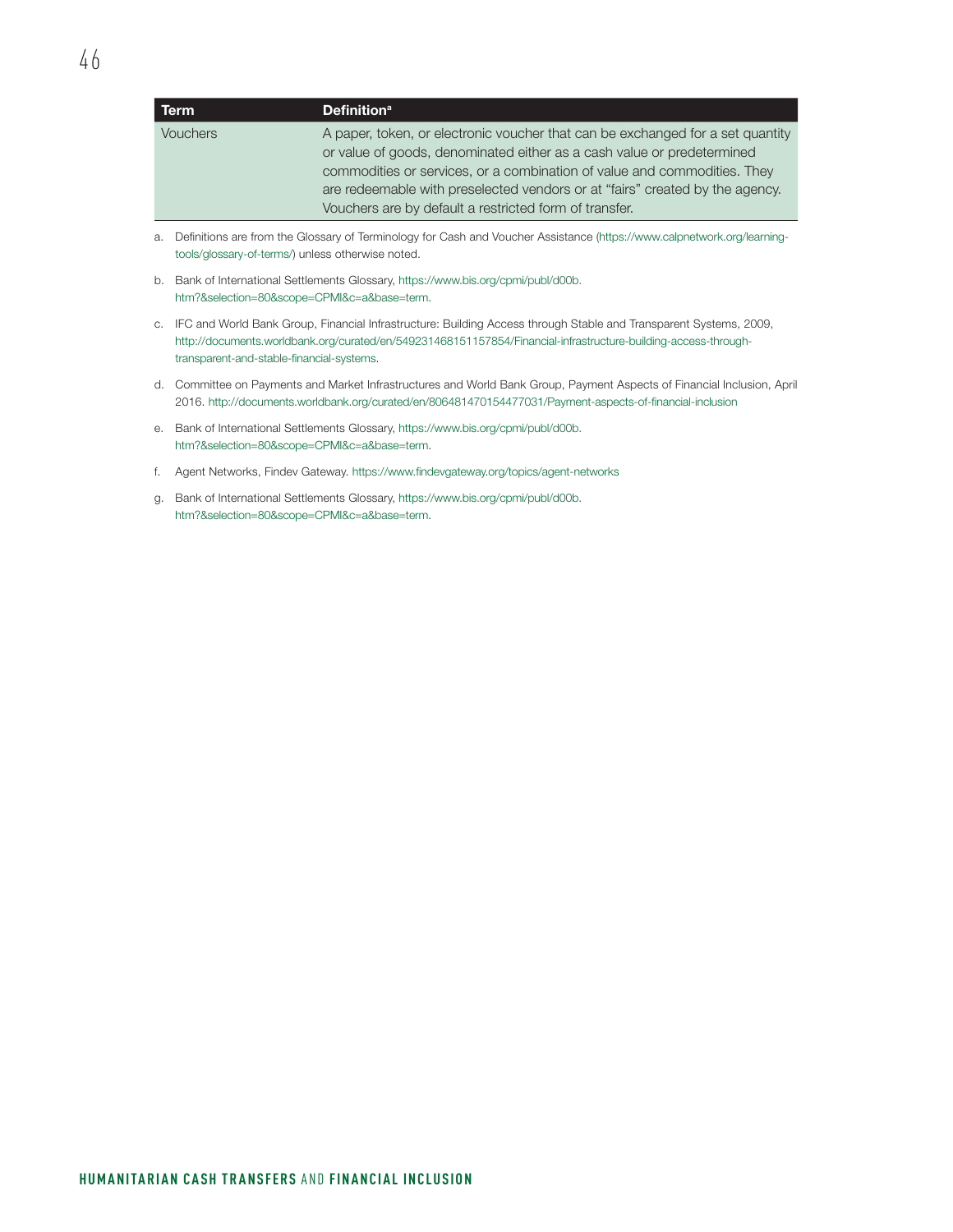| Term            | <b>Definition</b> <sup>a</sup>                                                 |
|-----------------|--------------------------------------------------------------------------------|
| <b>Vouchers</b> | A paper, token, or electronic voucher that can be exchanged for a set quantity |
|                 | or value of goods, denominated either as a cash value or predetermined         |
|                 | commodities or services, or a combination of value and commodities. They       |
|                 | are redeemable with preselected vendors or at "fairs" created by the agency.   |
|                 | Vouchers are by default a restricted form of transfer.                         |

- a. Definitions are from the Glossary of Terminology for Cash and Voucher Assistance [\(https://www.calpnetwork.org/learning](https://www.calpnetwork.org/learning-tools/glossary-of-terms/)[tools/glossary-of-terms/](https://www.calpnetwork.org/learning-tools/glossary-of-terms/)) unless otherwise noted.
- b. Bank of International Settlements Glossary, [https://www.bis.org/cpmi/publ/d00b.](https://www.bis.org/cpmi/publ/d00b.htm?&selection=80&scope=CPMI&c=a&base=term) [htm?&selection=80&scope=CPMI&c=a&base=term](https://www.bis.org/cpmi/publ/d00b.htm?&selection=80&scope=CPMI&c=a&base=term).
- c. IFC and World Bank Group, Financial Infrastructure: Building Access through Stable and Transparent Systems, 2009, [http://documents.worldbank.org/curated/en/549231468151157854/Financial-infrastructure-building-access-through](http://documents.worldbank.org/curated/en/549231468151157854/Financial-infrastructure-building-access-through-transparent-and-stable-financial-systems)[transparent-and-stable-financial-systems.](http://documents.worldbank.org/curated/en/549231468151157854/Financial-infrastructure-building-access-through-transparent-and-stable-financial-systems)
- d. Committee on Payments and Market Infrastructures and World Bank Group, Payment Aspects of Financial Inclusion, April 2016. <http://documents.worldbank.org/curated/en/806481470154477031/Payment-aspects-of-financial-inclusion>
- e. Bank of International Settlements Glossary, [https://www.bis.org/cpmi/publ/d00b.](https://www.bis.org/cpmi/publ/d00b.htm?&selection=80&scope=CPMI&c=a&base=term) [htm?&selection=80&scope=CPMI&c=a&base=term](https://www.bis.org/cpmi/publ/d00b.htm?&selection=80&scope=CPMI&c=a&base=term).
- f. Agent Networks, Findev Gateway.<https://www.findevgateway.org/topics/agent-networks>
- g. Bank of International Settlements Glossary, [https://www.bis.org/cpmi/publ/d00b.](https://www.bis.org/cpmi/publ/d00b.htm?&selection=80&scope=CPMI&c=a&base=term) [htm?&selection=80&scope=CPMI&c=a&base=term](https://www.bis.org/cpmi/publ/d00b.htm?&selection=80&scope=CPMI&c=a&base=term).